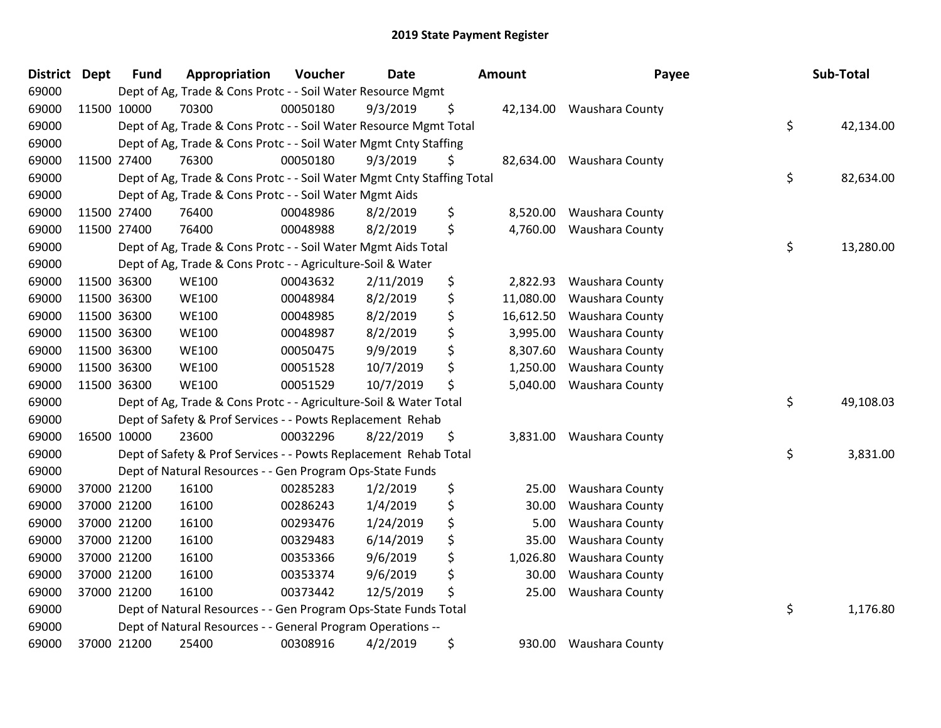| <b>District</b> | <b>Dept</b> | <b>Fund</b> | Appropriation                                                          | Voucher  | <b>Date</b> | Amount          | Payee                  | Sub-Total       |
|-----------------|-------------|-------------|------------------------------------------------------------------------|----------|-------------|-----------------|------------------------|-----------------|
| 69000           |             |             | Dept of Ag, Trade & Cons Protc - - Soil Water Resource Mgmt            |          |             |                 |                        |                 |
| 69000           |             | 11500 10000 | 70300                                                                  | 00050180 | 9/3/2019    | \$<br>42,134.00 | Waushara County        |                 |
| 69000           |             |             | Dept of Ag, Trade & Cons Protc - - Soil Water Resource Mgmt Total      |          |             |                 |                        | \$<br>42,134.00 |
| 69000           |             |             | Dept of Ag, Trade & Cons Protc - - Soil Water Mgmt Cnty Staffing       |          |             |                 |                        |                 |
| 69000           |             | 11500 27400 | 76300                                                                  | 00050180 | 9/3/2019    | \$<br>82,634.00 | <b>Waushara County</b> |                 |
| 69000           |             |             | Dept of Ag, Trade & Cons Protc - - Soil Water Mgmt Cnty Staffing Total |          |             |                 |                        | \$<br>82,634.00 |
| 69000           |             |             | Dept of Ag, Trade & Cons Protc - - Soil Water Mgmt Aids                |          |             |                 |                        |                 |
| 69000           |             | 11500 27400 | 76400                                                                  | 00048986 | 8/2/2019    | \$<br>8,520.00  | Waushara County        |                 |
| 69000           | 11500 27400 |             | 76400                                                                  | 00048988 | 8/2/2019    | \$<br>4,760.00  | Waushara County        |                 |
| 69000           |             |             | Dept of Ag, Trade & Cons Protc - - Soil Water Mgmt Aids Total          |          |             |                 |                        | \$<br>13,280.00 |
| 69000           |             |             | Dept of Ag, Trade & Cons Protc - - Agriculture-Soil & Water            |          |             |                 |                        |                 |
| 69000           |             | 11500 36300 | <b>WE100</b>                                                           | 00043632 | 2/11/2019   | \$<br>2,822.93  | <b>Waushara County</b> |                 |
| 69000           | 11500 36300 |             | <b>WE100</b>                                                           | 00048984 | 8/2/2019    | \$<br>11,080.00 | Waushara County        |                 |
| 69000           | 11500 36300 |             | <b>WE100</b>                                                           | 00048985 | 8/2/2019    | \$<br>16,612.50 | Waushara County        |                 |
| 69000           |             | 11500 36300 | <b>WE100</b>                                                           | 00048987 | 8/2/2019    | \$<br>3,995.00  | Waushara County        |                 |
| 69000           |             | 11500 36300 | <b>WE100</b>                                                           | 00050475 | 9/9/2019    | \$<br>8,307.60  | Waushara County        |                 |
| 69000           | 11500 36300 |             | <b>WE100</b>                                                           | 00051528 | 10/7/2019   | \$<br>1,250.00  | Waushara County        |                 |
| 69000           | 11500 36300 |             | <b>WE100</b>                                                           | 00051529 | 10/7/2019   | \$<br>5,040.00  | Waushara County        |                 |
| 69000           |             |             | Dept of Ag, Trade & Cons Protc - - Agriculture-Soil & Water Total      |          |             |                 |                        | \$<br>49,108.03 |
| 69000           |             |             | Dept of Safety & Prof Services - - Powts Replacement Rehab             |          |             |                 |                        |                 |
| 69000           |             | 16500 10000 | 23600                                                                  | 00032296 | 8/22/2019   | \$<br>3,831.00  | Waushara County        |                 |
| 69000           |             |             | Dept of Safety & Prof Services - - Powts Replacement Rehab Total       |          |             |                 |                        | \$<br>3,831.00  |
| 69000           |             |             | Dept of Natural Resources - - Gen Program Ops-State Funds              |          |             |                 |                        |                 |
| 69000           |             | 37000 21200 | 16100                                                                  | 00285283 | 1/2/2019    | \$<br>25.00     | Waushara County        |                 |
| 69000           |             | 37000 21200 | 16100                                                                  | 00286243 | 1/4/2019    | \$<br>30.00     | Waushara County        |                 |
| 69000           |             | 37000 21200 | 16100                                                                  | 00293476 | 1/24/2019   | \$<br>5.00      | Waushara County        |                 |
| 69000           |             | 37000 21200 | 16100                                                                  | 00329483 | 6/14/2019   | \$<br>35.00     | Waushara County        |                 |
| 69000           |             | 37000 21200 | 16100                                                                  | 00353366 | 9/6/2019    | \$<br>1,026.80  | Waushara County        |                 |
| 69000           |             | 37000 21200 | 16100                                                                  | 00353374 | 9/6/2019    | \$<br>30.00     | Waushara County        |                 |
| 69000           |             | 37000 21200 | 16100                                                                  | 00373442 | 12/5/2019   | \$<br>25.00     | Waushara County        |                 |
| 69000           |             |             | Dept of Natural Resources - - Gen Program Ops-State Funds Total        |          |             |                 |                        | \$<br>1,176.80  |
| 69000           |             |             | Dept of Natural Resources - - General Program Operations --            |          |             |                 |                        |                 |
| 69000           |             | 37000 21200 | 25400                                                                  | 00308916 | 4/2/2019    | \$<br>930.00    | <b>Waushara County</b> |                 |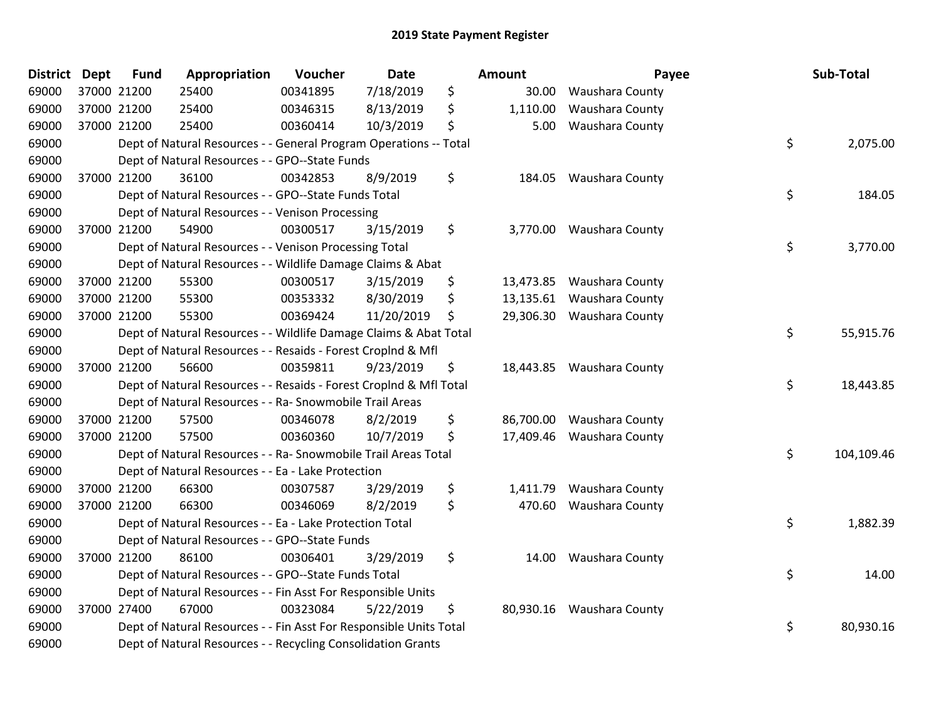| <b>District</b> | <b>Dept</b> | <b>Fund</b> | Appropriation                                                      | Voucher  | <b>Date</b> | Amount         | Payee                     | Sub-Total        |
|-----------------|-------------|-------------|--------------------------------------------------------------------|----------|-------------|----------------|---------------------------|------------------|
| 69000           |             | 37000 21200 | 25400                                                              | 00341895 | 7/18/2019   | \$<br>30.00    | Waushara County           |                  |
| 69000           |             | 37000 21200 | 25400                                                              | 00346315 | 8/13/2019   | \$<br>1,110.00 | Waushara County           |                  |
| 69000           | 37000 21200 |             | 25400                                                              | 00360414 | 10/3/2019   | \$<br>5.00     | Waushara County           |                  |
| 69000           |             |             | Dept of Natural Resources - - General Program Operations -- Total  |          |             |                |                           | \$<br>2,075.00   |
| 69000           |             |             | Dept of Natural Resources - - GPO--State Funds                     |          |             |                |                           |                  |
| 69000           |             | 37000 21200 | 36100                                                              | 00342853 | 8/9/2019    | \$<br>184.05   | Waushara County           |                  |
| 69000           |             |             | Dept of Natural Resources - - GPO--State Funds Total               |          |             |                |                           | \$<br>184.05     |
| 69000           |             |             | Dept of Natural Resources - - Venison Processing                   |          |             |                |                           |                  |
| 69000           |             | 37000 21200 | 54900                                                              | 00300517 | 3/15/2019   | \$             | 3,770.00 Waushara County  |                  |
| 69000           |             |             | Dept of Natural Resources - - Venison Processing Total             |          |             |                |                           | \$<br>3,770.00   |
| 69000           |             |             | Dept of Natural Resources - - Wildlife Damage Claims & Abat        |          |             |                |                           |                  |
| 69000           |             | 37000 21200 | 55300                                                              | 00300517 | 3/15/2019   | \$             | 13,473.85 Waushara County |                  |
| 69000           |             | 37000 21200 | 55300                                                              | 00353332 | 8/30/2019   | \$             | 13,135.61 Waushara County |                  |
| 69000           |             | 37000 21200 | 55300                                                              | 00369424 | 11/20/2019  | \$             | 29,306.30 Waushara County |                  |
| 69000           |             |             | Dept of Natural Resources - - Wildlife Damage Claims & Abat Total  |          |             |                |                           | \$<br>55,915.76  |
| 69000           |             |             | Dept of Natural Resources - - Resaids - Forest Croplnd & Mfl       |          |             |                |                           |                  |
| 69000           |             | 37000 21200 | 56600                                                              | 00359811 | 9/23/2019   | \$             | 18,443.85 Waushara County |                  |
| 69000           |             |             | Dept of Natural Resources - - Resaids - Forest CropInd & Mfl Total |          |             |                |                           | \$<br>18,443.85  |
| 69000           |             |             | Dept of Natural Resources - - Ra- Snowmobile Trail Areas           |          |             |                |                           |                  |
| 69000           |             | 37000 21200 | 57500                                                              | 00346078 | 8/2/2019    | \$             | 86,700.00 Waushara County |                  |
| 69000           |             | 37000 21200 | 57500                                                              | 00360360 | 10/7/2019   | \$             | 17,409.46 Waushara County |                  |
| 69000           |             |             | Dept of Natural Resources - - Ra- Snowmobile Trail Areas Total     |          |             |                |                           | \$<br>104,109.46 |
| 69000           |             |             | Dept of Natural Resources - - Ea - Lake Protection                 |          |             |                |                           |                  |
| 69000           |             | 37000 21200 | 66300                                                              | 00307587 | 3/29/2019   | \$<br>1,411.79 | Waushara County           |                  |
| 69000           |             | 37000 21200 | 66300                                                              | 00346069 | 8/2/2019    | \$<br>470.60   | Waushara County           |                  |
| 69000           |             |             | Dept of Natural Resources - - Ea - Lake Protection Total           |          |             |                |                           | \$<br>1,882.39   |
| 69000           |             |             | Dept of Natural Resources - - GPO--State Funds                     |          |             |                |                           |                  |
| 69000           |             | 37000 21200 | 86100                                                              | 00306401 | 3/29/2019   | \$<br>14.00    | Waushara County           |                  |
| 69000           |             |             | Dept of Natural Resources - - GPO--State Funds Total               |          |             |                |                           | \$<br>14.00      |
| 69000           |             |             | Dept of Natural Resources - - Fin Asst For Responsible Units       |          |             |                |                           |                  |
| 69000           |             | 37000 27400 | 67000                                                              | 00323084 | 5/22/2019   | \$             | 80,930.16 Waushara County |                  |
| 69000           |             |             | Dept of Natural Resources - - Fin Asst For Responsible Units Total |          |             |                |                           | \$<br>80,930.16  |
| 69000           |             |             | Dept of Natural Resources - - Recycling Consolidation Grants       |          |             |                |                           |                  |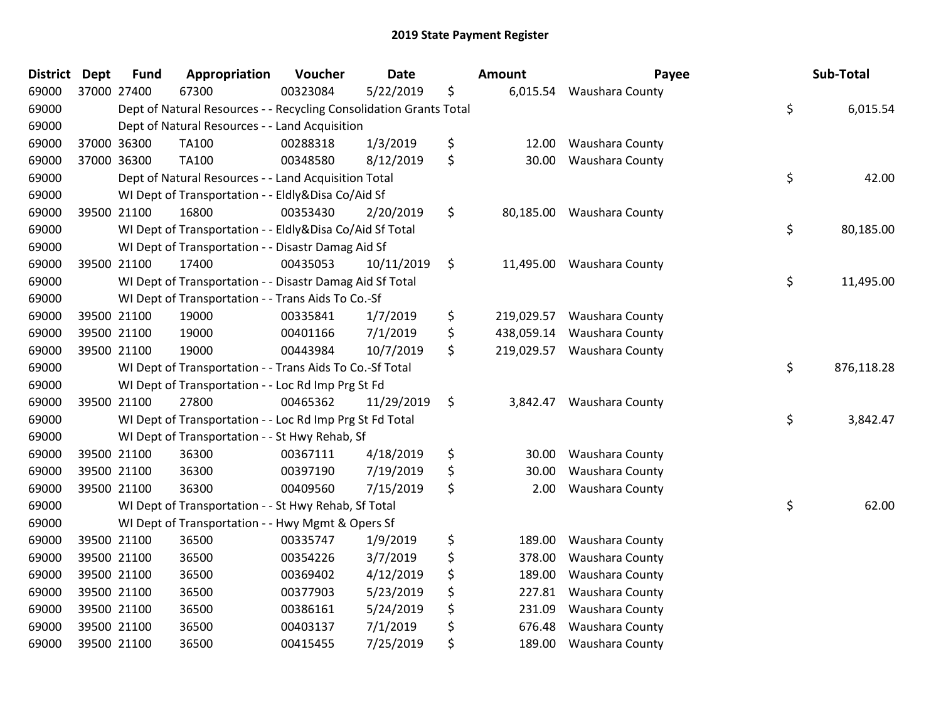| <b>District</b> | <b>Dept</b> | <b>Fund</b> | Appropriation                                                      | Voucher  | <b>Date</b> | Amount           | Payee                     | Sub-Total        |
|-----------------|-------------|-------------|--------------------------------------------------------------------|----------|-------------|------------------|---------------------------|------------------|
| 69000           | 37000 27400 |             | 67300                                                              | 00323084 | 5/22/2019   | \$<br>6,015.54   | Waushara County           |                  |
| 69000           |             |             | Dept of Natural Resources - - Recycling Consolidation Grants Total |          |             |                  |                           | \$<br>6,015.54   |
| 69000           |             |             | Dept of Natural Resources - - Land Acquisition                     |          |             |                  |                           |                  |
| 69000           | 37000 36300 |             | <b>TA100</b>                                                       | 00288318 | 1/3/2019    | \$<br>12.00      | Waushara County           |                  |
| 69000           | 37000 36300 |             | <b>TA100</b>                                                       | 00348580 | 8/12/2019   | \$<br>30.00      | Waushara County           |                  |
| 69000           |             |             | Dept of Natural Resources - - Land Acquisition Total               |          |             |                  |                           | \$<br>42.00      |
| 69000           |             |             | WI Dept of Transportation - - Eldly&Disa Co/Aid Sf                 |          |             |                  |                           |                  |
| 69000           | 39500 21100 |             | 16800                                                              | 00353430 | 2/20/2019   | \$<br>80,185.00  | Waushara County           |                  |
| 69000           |             |             | WI Dept of Transportation - - Eldly&Disa Co/Aid Sf Total           |          |             |                  |                           | \$<br>80,185.00  |
| 69000           |             |             | WI Dept of Transportation - - Disastr Damag Aid Sf                 |          |             |                  |                           |                  |
| 69000           | 39500 21100 |             | 17400                                                              | 00435053 | 10/11/2019  | \$               | 11,495.00 Waushara County |                  |
| 69000           |             |             | WI Dept of Transportation - - Disastr Damag Aid Sf Total           |          |             |                  |                           | \$<br>11,495.00  |
| 69000           |             |             | WI Dept of Transportation - - Trans Aids To Co.-Sf                 |          |             |                  |                           |                  |
| 69000           | 39500 21100 |             | 19000                                                              | 00335841 | 1/7/2019    | \$<br>219,029.57 | Waushara County           |                  |
| 69000           | 39500 21100 |             | 19000                                                              | 00401166 | 7/1/2019    | \$<br>438,059.14 | Waushara County           |                  |
| 69000           | 39500 21100 |             | 19000                                                              | 00443984 | 10/7/2019   | \$<br>219,029.57 | Waushara County           |                  |
| 69000           |             |             | WI Dept of Transportation - - Trans Aids To Co.-Sf Total           |          |             |                  |                           | \$<br>876,118.28 |
| 69000           |             |             | WI Dept of Transportation - - Loc Rd Imp Prg St Fd                 |          |             |                  |                           |                  |
| 69000           | 39500 21100 |             | 27800                                                              | 00465362 | 11/29/2019  | \$<br>3,842.47   | Waushara County           |                  |
| 69000           |             |             | WI Dept of Transportation - - Loc Rd Imp Prg St Fd Total           |          |             |                  |                           | \$<br>3,842.47   |
| 69000           |             |             | WI Dept of Transportation - - St Hwy Rehab, Sf                     |          |             |                  |                           |                  |
| 69000           | 39500 21100 |             | 36300                                                              | 00367111 | 4/18/2019   | \$<br>30.00      | Waushara County           |                  |
| 69000           | 39500 21100 |             | 36300                                                              | 00397190 | 7/19/2019   | \$<br>30.00      | Waushara County           |                  |
| 69000           | 39500 21100 |             | 36300                                                              | 00409560 | 7/15/2019   | \$<br>2.00       | Waushara County           |                  |
| 69000           |             |             | WI Dept of Transportation - - St Hwy Rehab, Sf Total               |          |             |                  |                           | \$<br>62.00      |
| 69000           |             |             | WI Dept of Transportation - - Hwy Mgmt & Opers Sf                  |          |             |                  |                           |                  |
| 69000           | 39500 21100 |             | 36500                                                              | 00335747 | 1/9/2019    | \$<br>189.00     | Waushara County           |                  |
| 69000           | 39500 21100 |             | 36500                                                              | 00354226 | 3/7/2019    | \$<br>378.00     | Waushara County           |                  |
| 69000           | 39500 21100 |             | 36500                                                              | 00369402 | 4/12/2019   | \$<br>189.00     | Waushara County           |                  |
| 69000           | 39500 21100 |             | 36500                                                              | 00377903 | 5/23/2019   | \$<br>227.81     | Waushara County           |                  |
| 69000           | 39500 21100 |             | 36500                                                              | 00386161 | 5/24/2019   | \$<br>231.09     | Waushara County           |                  |
| 69000           | 39500 21100 |             | 36500                                                              | 00403137 | 7/1/2019    | \$<br>676.48     | Waushara County           |                  |
| 69000           | 39500 21100 |             | 36500                                                              | 00415455 | 7/25/2019   | \$<br>189.00     | Waushara County           |                  |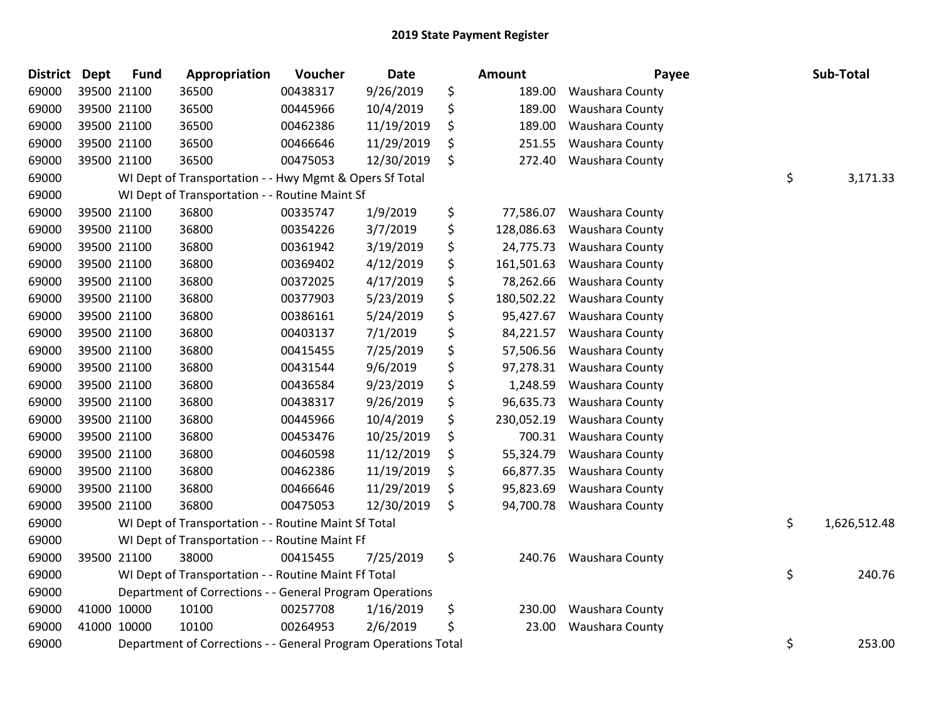| <b>District</b> | <b>Dept</b> | <b>Fund</b> | Appropriation                                                  | Voucher  | Date       | <b>Amount</b>    | Payee           | Sub-Total          |
|-----------------|-------------|-------------|----------------------------------------------------------------|----------|------------|------------------|-----------------|--------------------|
| 69000           |             | 39500 21100 | 36500                                                          | 00438317 | 9/26/2019  | \$<br>189.00     | Waushara County |                    |
| 69000           |             | 39500 21100 | 36500                                                          | 00445966 | 10/4/2019  | \$<br>189.00     | Waushara County |                    |
| 69000           |             | 39500 21100 | 36500                                                          | 00462386 | 11/19/2019 | \$<br>189.00     | Waushara County |                    |
| 69000           |             | 39500 21100 | 36500                                                          | 00466646 | 11/29/2019 | \$<br>251.55     | Waushara County |                    |
| 69000           |             | 39500 21100 | 36500                                                          | 00475053 | 12/30/2019 | \$<br>272.40     | Waushara County |                    |
| 69000           |             |             | WI Dept of Transportation - - Hwy Mgmt & Opers Sf Total        |          |            |                  |                 | \$<br>3,171.33     |
| 69000           |             |             | WI Dept of Transportation - - Routine Maint Sf                 |          |            |                  |                 |                    |
| 69000           |             | 39500 21100 | 36800                                                          | 00335747 | 1/9/2019   | \$<br>77,586.07  | Waushara County |                    |
| 69000           | 39500 21100 |             | 36800                                                          | 00354226 | 3/7/2019   | \$<br>128,086.63 | Waushara County |                    |
| 69000           |             | 39500 21100 | 36800                                                          | 00361942 | 3/19/2019  | \$<br>24,775.73  | Waushara County |                    |
| 69000           |             | 39500 21100 | 36800                                                          | 00369402 | 4/12/2019  | \$<br>161,501.63 | Waushara County |                    |
| 69000           |             | 39500 21100 | 36800                                                          | 00372025 | 4/17/2019  | \$<br>78,262.66  | Waushara County |                    |
| 69000           |             | 39500 21100 | 36800                                                          | 00377903 | 5/23/2019  | \$<br>180,502.22 | Waushara County |                    |
| 69000           |             | 39500 21100 | 36800                                                          | 00386161 | 5/24/2019  | \$<br>95,427.67  | Waushara County |                    |
| 69000           |             | 39500 21100 | 36800                                                          | 00403137 | 7/1/2019   | \$<br>84,221.57  | Waushara County |                    |
| 69000           |             | 39500 21100 | 36800                                                          | 00415455 | 7/25/2019  | \$<br>57,506.56  | Waushara County |                    |
| 69000           |             | 39500 21100 | 36800                                                          | 00431544 | 9/6/2019   | \$<br>97,278.31  | Waushara County |                    |
| 69000           |             | 39500 21100 | 36800                                                          | 00436584 | 9/23/2019  | \$<br>1,248.59   | Waushara County |                    |
| 69000           |             | 39500 21100 | 36800                                                          | 00438317 | 9/26/2019  | \$<br>96,635.73  | Waushara County |                    |
| 69000           |             | 39500 21100 | 36800                                                          | 00445966 | 10/4/2019  | \$<br>230,052.19 | Waushara County |                    |
| 69000           |             | 39500 21100 | 36800                                                          | 00453476 | 10/25/2019 | \$<br>700.31     | Waushara County |                    |
| 69000           |             | 39500 21100 | 36800                                                          | 00460598 | 11/12/2019 | \$<br>55,324.79  | Waushara County |                    |
| 69000           |             | 39500 21100 | 36800                                                          | 00462386 | 11/19/2019 | \$<br>66,877.35  | Waushara County |                    |
| 69000           |             | 39500 21100 | 36800                                                          | 00466646 | 11/29/2019 | \$<br>95,823.69  | Waushara County |                    |
| 69000           |             | 39500 21100 | 36800                                                          | 00475053 | 12/30/2019 | \$<br>94,700.78  | Waushara County |                    |
| 69000           |             |             | WI Dept of Transportation - - Routine Maint Sf Total           |          |            |                  |                 | \$<br>1,626,512.48 |
| 69000           |             |             | WI Dept of Transportation - - Routine Maint Ff                 |          |            |                  |                 |                    |
| 69000           |             | 39500 21100 | 38000                                                          | 00415455 | 7/25/2019  | \$<br>240.76     | Waushara County |                    |
| 69000           |             |             | WI Dept of Transportation - - Routine Maint Ff Total           |          |            |                  |                 | \$<br>240.76       |
| 69000           |             |             | Department of Corrections - - General Program Operations       |          |            |                  |                 |                    |
| 69000           | 41000 10000 |             | 10100                                                          | 00257708 | 1/16/2019  | \$<br>230.00     | Waushara County |                    |
| 69000           |             | 41000 10000 | 10100                                                          | 00264953 | 2/6/2019   | \$<br>23.00      | Waushara County |                    |
| 69000           |             |             | Department of Corrections - - General Program Operations Total |          |            |                  |                 | \$<br>253.00       |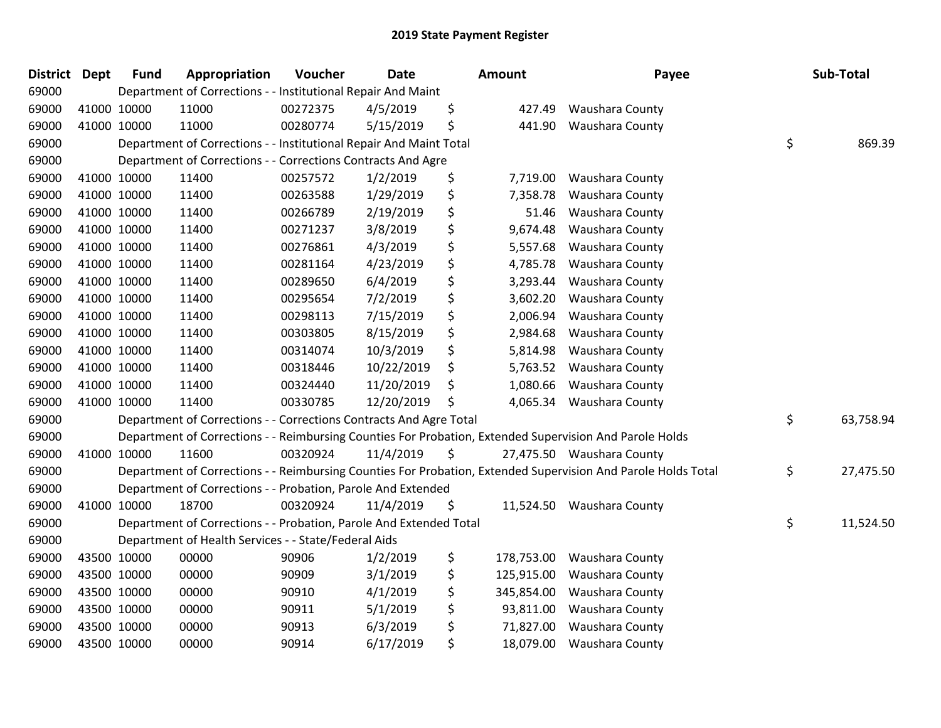| District | <b>Dept</b> | <b>Fund</b> | Appropriation                                                      | Voucher  | <b>Date</b> | <b>Amount</b>    | Payee                                                                                                         | Sub-Total       |
|----------|-------------|-------------|--------------------------------------------------------------------|----------|-------------|------------------|---------------------------------------------------------------------------------------------------------------|-----------------|
| 69000    |             |             | Department of Corrections - - Institutional Repair And Maint       |          |             |                  |                                                                                                               |                 |
| 69000    | 41000 10000 |             | 11000                                                              | 00272375 | 4/5/2019    | \$<br>427.49     | <b>Waushara County</b>                                                                                        |                 |
| 69000    | 41000 10000 |             | 11000                                                              | 00280774 | 5/15/2019   | \$<br>441.90     | Waushara County                                                                                               |                 |
| 69000    |             |             | Department of Corrections - - Institutional Repair And Maint Total |          |             |                  |                                                                                                               | \$<br>869.39    |
| 69000    |             |             | Department of Corrections - - Corrections Contracts And Agre       |          |             |                  |                                                                                                               |                 |
| 69000    | 41000 10000 |             | 11400                                                              | 00257572 | 1/2/2019    | \$<br>7,719.00   | <b>Waushara County</b>                                                                                        |                 |
| 69000    | 41000 10000 |             | 11400                                                              | 00263588 | 1/29/2019   | \$<br>7,358.78   | Waushara County                                                                                               |                 |
| 69000    | 41000 10000 |             | 11400                                                              | 00266789 | 2/19/2019   | \$<br>51.46      | Waushara County                                                                                               |                 |
| 69000    | 41000 10000 |             | 11400                                                              | 00271237 | 3/8/2019    | \$<br>9,674.48   | Waushara County                                                                                               |                 |
| 69000    | 41000 10000 |             | 11400                                                              | 00276861 | 4/3/2019    | \$<br>5,557.68   | Waushara County                                                                                               |                 |
| 69000    | 41000 10000 |             | 11400                                                              | 00281164 | 4/23/2019   | \$<br>4,785.78   | Waushara County                                                                                               |                 |
| 69000    | 41000 10000 |             | 11400                                                              | 00289650 | 6/4/2019    | \$<br>3,293.44   | Waushara County                                                                                               |                 |
| 69000    | 41000 10000 |             | 11400                                                              | 00295654 | 7/2/2019    | \$<br>3,602.20   | Waushara County                                                                                               |                 |
| 69000    | 41000 10000 |             | 11400                                                              | 00298113 | 7/15/2019   | \$<br>2,006.94   | Waushara County                                                                                               |                 |
| 69000    | 41000 10000 |             | 11400                                                              | 00303805 | 8/15/2019   | \$<br>2,984.68   | Waushara County                                                                                               |                 |
| 69000    | 41000 10000 |             | 11400                                                              | 00314074 | 10/3/2019   | \$<br>5,814.98   | Waushara County                                                                                               |                 |
| 69000    | 41000 10000 |             | 11400                                                              | 00318446 | 10/22/2019  | \$<br>5,763.52   | Waushara County                                                                                               |                 |
| 69000    | 41000 10000 |             | 11400                                                              | 00324440 | 11/20/2019  | \$<br>1,080.66   | Waushara County                                                                                               |                 |
| 69000    | 41000 10000 |             | 11400                                                              | 00330785 | 12/20/2019  | \$<br>4,065.34   | Waushara County                                                                                               |                 |
| 69000    |             |             | Department of Corrections - - Corrections Contracts And Agre Total |          |             |                  |                                                                                                               | \$<br>63,758.94 |
| 69000    |             |             |                                                                    |          |             |                  | Department of Corrections - - Reimbursing Counties For Probation, Extended Supervision And Parole Holds       |                 |
| 69000    | 41000 10000 |             | 11600                                                              | 00320924 | 11/4/2019   | \$               | 27,475.50 Waushara County                                                                                     |                 |
| 69000    |             |             |                                                                    |          |             |                  | Department of Corrections - - Reimbursing Counties For Probation, Extended Supervision And Parole Holds Total | \$<br>27,475.50 |
| 69000    |             |             | Department of Corrections - - Probation, Parole And Extended       |          |             |                  |                                                                                                               |                 |
| 69000    | 41000 10000 |             | 18700                                                              | 00320924 | 11/4/2019   | \$               | 11,524.50 Waushara County                                                                                     |                 |
| 69000    |             |             | Department of Corrections - - Probation, Parole And Extended Total |          |             |                  |                                                                                                               | \$<br>11,524.50 |
| 69000    |             |             | Department of Health Services - - State/Federal Aids               |          |             |                  |                                                                                                               |                 |
| 69000    | 43500 10000 |             | 00000                                                              | 90906    | 1/2/2019    | \$<br>178,753.00 | Waushara County                                                                                               |                 |
| 69000    | 43500 10000 |             | 00000                                                              | 90909    | 3/1/2019    | \$<br>125,915.00 | Waushara County                                                                                               |                 |
| 69000    | 43500 10000 |             | 00000                                                              | 90910    | 4/1/2019    | \$<br>345,854.00 | Waushara County                                                                                               |                 |
| 69000    | 43500 10000 |             | 00000                                                              | 90911    | 5/1/2019    | \$<br>93,811.00  | Waushara County                                                                                               |                 |
| 69000    | 43500 10000 |             | 00000                                                              | 90913    | 6/3/2019    | \$<br>71,827.00  | Waushara County                                                                                               |                 |
| 69000    | 43500 10000 |             | 00000                                                              | 90914    | 6/17/2019   | \$<br>18,079.00  | Waushara County                                                                                               |                 |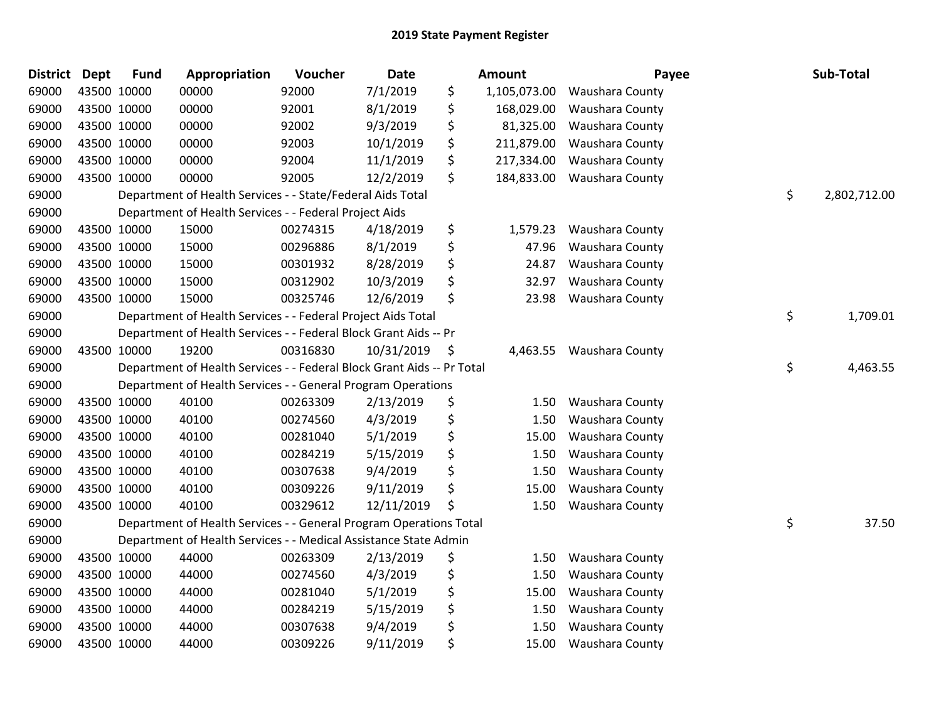| <b>District</b> | <b>Dept</b> | <b>Fund</b> | Appropriation                                                          | Voucher  | <b>Date</b> | Amount             | Payee           | Sub-Total          |
|-----------------|-------------|-------------|------------------------------------------------------------------------|----------|-------------|--------------------|-----------------|--------------------|
| 69000           |             | 43500 10000 | 00000                                                                  | 92000    | 7/1/2019    | \$<br>1,105,073.00 | Waushara County |                    |
| 69000           |             | 43500 10000 | 00000                                                                  | 92001    | 8/1/2019    | \$<br>168,029.00   | Waushara County |                    |
| 69000           | 43500 10000 |             | 00000                                                                  | 92002    | 9/3/2019    | \$<br>81,325.00    | Waushara County |                    |
| 69000           |             | 43500 10000 | 00000                                                                  | 92003    | 10/1/2019   | \$<br>211,879.00   | Waushara County |                    |
| 69000           |             | 43500 10000 | 00000                                                                  | 92004    | 11/1/2019   | \$<br>217,334.00   | Waushara County |                    |
| 69000           |             | 43500 10000 | 00000                                                                  | 92005    | 12/2/2019   | \$<br>184,833.00   | Waushara County |                    |
| 69000           |             |             | Department of Health Services - - State/Federal Aids Total             |          |             |                    |                 | \$<br>2,802,712.00 |
| 69000           |             |             | Department of Health Services - - Federal Project Aids                 |          |             |                    |                 |                    |
| 69000           |             | 43500 10000 | 15000                                                                  | 00274315 | 4/18/2019   | \$<br>1,579.23     | Waushara County |                    |
| 69000           |             | 43500 10000 | 15000                                                                  | 00296886 | 8/1/2019    | \$<br>47.96        | Waushara County |                    |
| 69000           |             | 43500 10000 | 15000                                                                  | 00301932 | 8/28/2019   | \$<br>24.87        | Waushara County |                    |
| 69000           |             | 43500 10000 | 15000                                                                  | 00312902 | 10/3/2019   | \$<br>32.97        | Waushara County |                    |
| 69000           |             | 43500 10000 | 15000                                                                  | 00325746 | 12/6/2019   | \$<br>23.98        | Waushara County |                    |
| 69000           |             |             | Department of Health Services - - Federal Project Aids Total           |          |             |                    |                 | \$<br>1,709.01     |
| 69000           |             |             | Department of Health Services - - Federal Block Grant Aids -- Pr       |          |             |                    |                 |                    |
| 69000           |             | 43500 10000 | 19200                                                                  | 00316830 | 10/31/2019  | \$<br>4,463.55     | Waushara County |                    |
| 69000           |             |             | Department of Health Services - - Federal Block Grant Aids -- Pr Total |          |             |                    |                 | \$<br>4,463.55     |
| 69000           |             |             | Department of Health Services - - General Program Operations           |          |             |                    |                 |                    |
| 69000           |             | 43500 10000 | 40100                                                                  | 00263309 | 2/13/2019   | \$<br>1.50         | Waushara County |                    |
| 69000           |             | 43500 10000 | 40100                                                                  | 00274560 | 4/3/2019    | \$<br>1.50         | Waushara County |                    |
| 69000           |             | 43500 10000 | 40100                                                                  | 00281040 | 5/1/2019    | \$<br>15.00        | Waushara County |                    |
| 69000           |             | 43500 10000 | 40100                                                                  | 00284219 | 5/15/2019   | \$<br>1.50         | Waushara County |                    |
| 69000           |             | 43500 10000 | 40100                                                                  | 00307638 | 9/4/2019    | \$<br>1.50         | Waushara County |                    |
| 69000           |             | 43500 10000 | 40100                                                                  | 00309226 | 9/11/2019   | \$<br>15.00        | Waushara County |                    |
| 69000           |             | 43500 10000 | 40100                                                                  | 00329612 | 12/11/2019  | \$<br>1.50         | Waushara County |                    |
| 69000           |             |             | Department of Health Services - - General Program Operations Total     |          |             |                    |                 | \$<br>37.50        |
| 69000           |             |             | Department of Health Services - - Medical Assistance State Admin       |          |             |                    |                 |                    |
| 69000           |             | 43500 10000 | 44000                                                                  | 00263309 | 2/13/2019   | \$<br>1.50         | Waushara County |                    |
| 69000           |             | 43500 10000 | 44000                                                                  | 00274560 | 4/3/2019    | \$<br>1.50         | Waushara County |                    |
| 69000           |             | 43500 10000 | 44000                                                                  | 00281040 | 5/1/2019    | \$<br>15.00        | Waushara County |                    |
| 69000           |             | 43500 10000 | 44000                                                                  | 00284219 | 5/15/2019   | \$<br>1.50         | Waushara County |                    |
| 69000           |             | 43500 10000 | 44000                                                                  | 00307638 | 9/4/2019    | \$<br>1.50         | Waushara County |                    |
| 69000           |             | 43500 10000 | 44000                                                                  | 00309226 | 9/11/2019   | \$<br>15.00        | Waushara County |                    |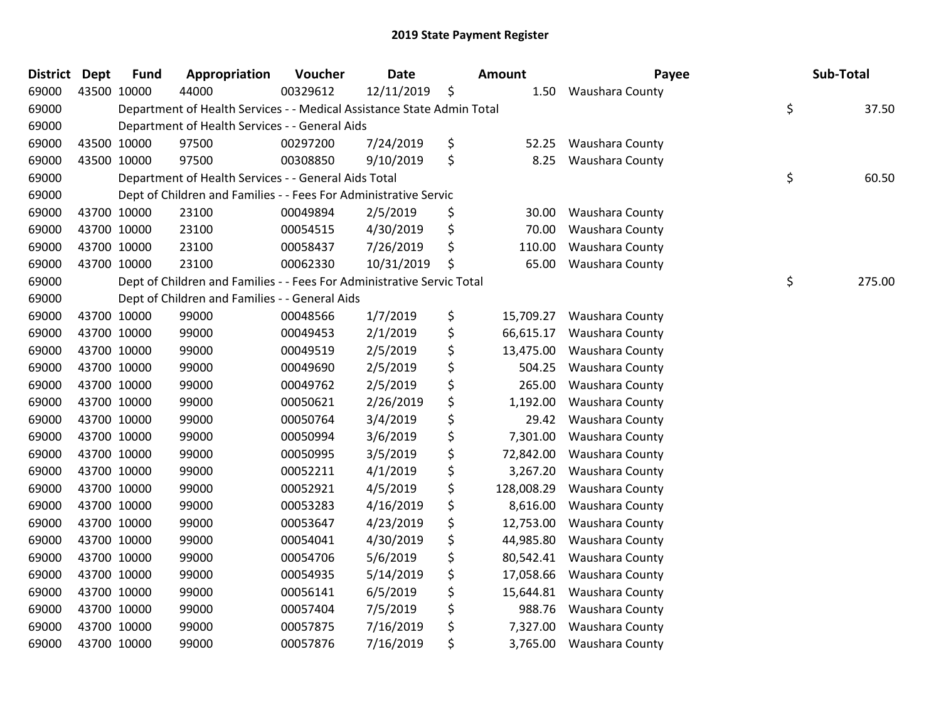| <b>District</b> | <b>Dept</b> | <b>Fund</b> | Appropriation                                                          | Voucher  | <b>Date</b> |    | <b>Amount</b> | Payee                  | Sub-Total    |
|-----------------|-------------|-------------|------------------------------------------------------------------------|----------|-------------|----|---------------|------------------------|--------------|
| 69000           | 43500 10000 |             | 44000                                                                  | 00329612 | 12/11/2019  | \$ | 1.50          | Waushara County        |              |
| 69000           |             |             | Department of Health Services - - Medical Assistance State Admin Total |          |             |    |               |                        | \$<br>37.50  |
| 69000           |             |             | Department of Health Services - - General Aids                         |          |             |    |               |                        |              |
| 69000           |             | 43500 10000 | 97500                                                                  | 00297200 | 7/24/2019   | \$ | 52.25         | <b>Waushara County</b> |              |
| 69000           |             | 43500 10000 | 97500                                                                  | 00308850 | 9/10/2019   | \$ | 8.25          | Waushara County        |              |
| 69000           |             |             | Department of Health Services - - General Aids Total                   |          |             |    |               |                        | \$<br>60.50  |
| 69000           |             |             | Dept of Children and Families - - Fees For Administrative Servic       |          |             |    |               |                        |              |
| 69000           |             | 43700 10000 | 23100                                                                  | 00049894 | 2/5/2019    | \$ | 30.00         | Waushara County        |              |
| 69000           |             | 43700 10000 | 23100                                                                  | 00054515 | 4/30/2019   | \$ | 70.00         | Waushara County        |              |
| 69000           |             | 43700 10000 | 23100                                                                  | 00058437 | 7/26/2019   | \$ | 110.00        | Waushara County        |              |
| 69000           |             | 43700 10000 | 23100                                                                  | 00062330 | 10/31/2019  | Ś. | 65.00         | Waushara County        |              |
| 69000           |             |             | Dept of Children and Families - - Fees For Administrative Servic Total |          |             |    |               |                        | \$<br>275.00 |
| 69000           |             |             | Dept of Children and Families - - General Aids                         |          |             |    |               |                        |              |
| 69000           |             | 43700 10000 | 99000                                                                  | 00048566 | 1/7/2019    | \$ | 15,709.27     | Waushara County        |              |
| 69000           |             | 43700 10000 | 99000                                                                  | 00049453 | 2/1/2019    | \$ | 66,615.17     | Waushara County        |              |
| 69000           | 43700 10000 |             | 99000                                                                  | 00049519 | 2/5/2019    | \$ | 13,475.00     | Waushara County        |              |
| 69000           |             | 43700 10000 | 99000                                                                  | 00049690 | 2/5/2019    | \$ | 504.25        | Waushara County        |              |
| 69000           | 43700 10000 |             | 99000                                                                  | 00049762 | 2/5/2019    | \$ | 265.00        | Waushara County        |              |
| 69000           | 43700 10000 |             | 99000                                                                  | 00050621 | 2/26/2019   | \$ | 1,192.00      | Waushara County        |              |
| 69000           | 43700 10000 |             | 99000                                                                  | 00050764 | 3/4/2019    | \$ | 29.42         | Waushara County        |              |
| 69000           |             | 43700 10000 | 99000                                                                  | 00050994 | 3/6/2019    | \$ | 7,301.00      | Waushara County        |              |
| 69000           |             | 43700 10000 | 99000                                                                  | 00050995 | 3/5/2019    | \$ | 72,842.00     | Waushara County        |              |
| 69000           | 43700 10000 |             | 99000                                                                  | 00052211 | 4/1/2019    | \$ | 3,267.20      | Waushara County        |              |
| 69000           | 43700 10000 |             | 99000                                                                  | 00052921 | 4/5/2019    | \$ | 128,008.29    | Waushara County        |              |
| 69000           |             | 43700 10000 | 99000                                                                  | 00053283 | 4/16/2019   | \$ | 8,616.00      | Waushara County        |              |
| 69000           |             | 43700 10000 | 99000                                                                  | 00053647 | 4/23/2019   | \$ | 12,753.00     | Waushara County        |              |
| 69000           |             | 43700 10000 | 99000                                                                  | 00054041 | 4/30/2019   | \$ | 44,985.80     | Waushara County        |              |
| 69000           |             | 43700 10000 | 99000                                                                  | 00054706 | 5/6/2019    | \$ | 80,542.41     | Waushara County        |              |
| 69000           |             | 43700 10000 | 99000                                                                  | 00054935 | 5/14/2019   | \$ | 17,058.66     | Waushara County        |              |
| 69000           | 43700 10000 |             | 99000                                                                  | 00056141 | 6/5/2019    | \$ | 15,644.81     | Waushara County        |              |
| 69000           |             | 43700 10000 | 99000                                                                  | 00057404 | 7/5/2019    | \$ | 988.76        | Waushara County        |              |
| 69000           |             | 43700 10000 | 99000                                                                  | 00057875 | 7/16/2019   | \$ | 7,327.00      | Waushara County        |              |
| 69000           | 43700 10000 |             | 99000                                                                  | 00057876 | 7/16/2019   | \$ | 3,765.00      | Waushara County        |              |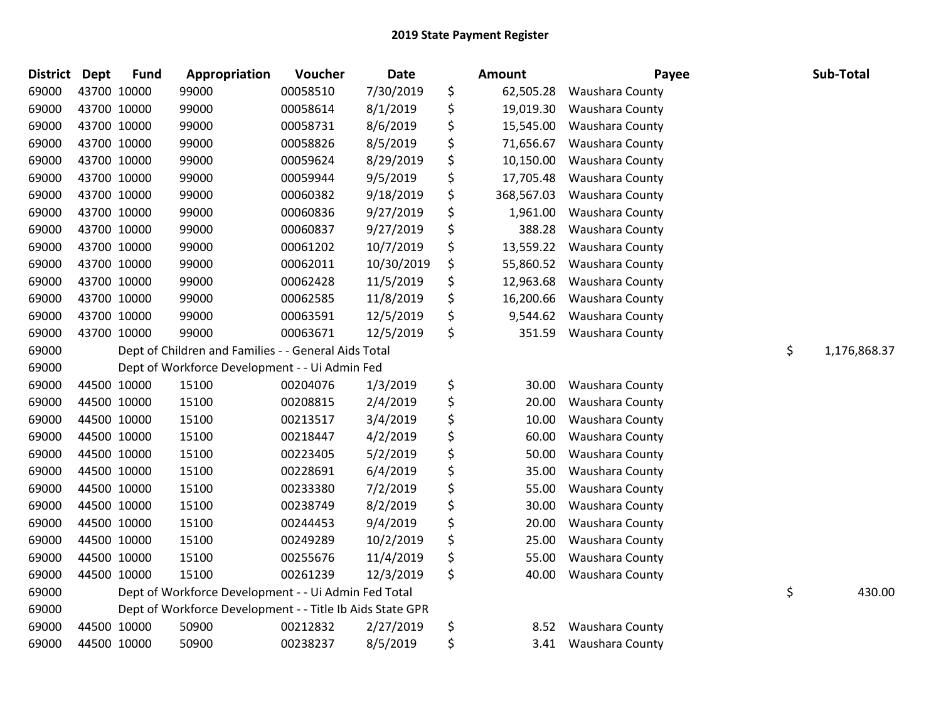| District Dept | <b>Fund</b> | Appropriation                                             | Voucher  | <b>Date</b> | Amount           | Payee                  | Sub-Total          |
|---------------|-------------|-----------------------------------------------------------|----------|-------------|------------------|------------------------|--------------------|
| 69000         | 43700 10000 | 99000                                                     | 00058510 | 7/30/2019   | \$<br>62,505.28  | <b>Waushara County</b> |                    |
| 69000         | 43700 10000 | 99000                                                     | 00058614 | 8/1/2019    | \$<br>19,019.30  | <b>Waushara County</b> |                    |
| 69000         | 43700 10000 | 99000                                                     | 00058731 | 8/6/2019    | \$<br>15,545.00  | Waushara County        |                    |
| 69000         | 43700 10000 | 99000                                                     | 00058826 | 8/5/2019    | \$<br>71,656.67  | Waushara County        |                    |
| 69000         | 43700 10000 | 99000                                                     | 00059624 | 8/29/2019   | \$<br>10,150.00  | Waushara County        |                    |
| 69000         | 43700 10000 | 99000                                                     | 00059944 | 9/5/2019    | \$<br>17,705.48  | Waushara County        |                    |
| 69000         | 43700 10000 | 99000                                                     | 00060382 | 9/18/2019   | \$<br>368,567.03 | Waushara County        |                    |
| 69000         | 43700 10000 | 99000                                                     | 00060836 | 9/27/2019   | \$<br>1,961.00   | Waushara County        |                    |
| 69000         | 43700 10000 | 99000                                                     | 00060837 | 9/27/2019   | \$<br>388.28     | Waushara County        |                    |
| 69000         | 43700 10000 | 99000                                                     | 00061202 | 10/7/2019   | \$<br>13,559.22  | Waushara County        |                    |
| 69000         | 43700 10000 | 99000                                                     | 00062011 | 10/30/2019  | \$<br>55,860.52  | <b>Waushara County</b> |                    |
| 69000         | 43700 10000 | 99000                                                     | 00062428 | 11/5/2019   | \$<br>12,963.68  | Waushara County        |                    |
| 69000         | 43700 10000 | 99000                                                     | 00062585 | 11/8/2019   | \$<br>16,200.66  | Waushara County        |                    |
| 69000         | 43700 10000 | 99000                                                     | 00063591 | 12/5/2019   | \$<br>9,544.62   | Waushara County        |                    |
| 69000         | 43700 10000 | 99000                                                     | 00063671 | 12/5/2019   | \$<br>351.59     | Waushara County        |                    |
| 69000         |             | Dept of Children and Families - - General Aids Total      |          |             |                  |                        | \$<br>1,176,868.37 |
| 69000         |             | Dept of Workforce Development - - Ui Admin Fed            |          |             |                  |                        |                    |
| 69000         | 44500 10000 | 15100                                                     | 00204076 | 1/3/2019    | \$<br>30.00      | Waushara County        |                    |
| 69000         | 44500 10000 | 15100                                                     | 00208815 | 2/4/2019    | \$<br>20.00      | Waushara County        |                    |
| 69000         | 44500 10000 | 15100                                                     | 00213517 | 3/4/2019    | \$<br>10.00      | <b>Waushara County</b> |                    |
| 69000         | 44500 10000 | 15100                                                     | 00218447 | 4/2/2019    | \$<br>60.00      | <b>Waushara County</b> |                    |
| 69000         | 44500 10000 | 15100                                                     | 00223405 | 5/2/2019    | \$<br>50.00      | Waushara County        |                    |
| 69000         | 44500 10000 | 15100                                                     | 00228691 | 6/4/2019    | \$<br>35.00      | Waushara County        |                    |
| 69000         | 44500 10000 | 15100                                                     | 00233380 | 7/2/2019    | \$<br>55.00      | Waushara County        |                    |
| 69000         | 44500 10000 | 15100                                                     | 00238749 | 8/2/2019    | \$<br>30.00      | <b>Waushara County</b> |                    |
| 69000         | 44500 10000 | 15100                                                     | 00244453 | 9/4/2019    | \$<br>20.00      | Waushara County        |                    |
| 69000         | 44500 10000 | 15100                                                     | 00249289 | 10/2/2019   | \$<br>25.00      | Waushara County        |                    |
| 69000         | 44500 10000 | 15100                                                     | 00255676 | 11/4/2019   | \$<br>55.00      | Waushara County        |                    |
| 69000         | 44500 10000 | 15100                                                     | 00261239 | 12/3/2019   | \$<br>40.00      | Waushara County        |                    |
| 69000         |             | Dept of Workforce Development - - Ui Admin Fed Total      |          |             |                  |                        | \$<br>430.00       |
| 69000         |             | Dept of Workforce Development - - Title Ib Aids State GPR |          |             |                  |                        |                    |
| 69000         | 44500 10000 | 50900                                                     | 00212832 | 2/27/2019   | \$<br>8.52       | <b>Waushara County</b> |                    |
| 69000         | 44500 10000 | 50900                                                     | 00238237 | 8/5/2019    | \$<br>3.41       | <b>Waushara County</b> |                    |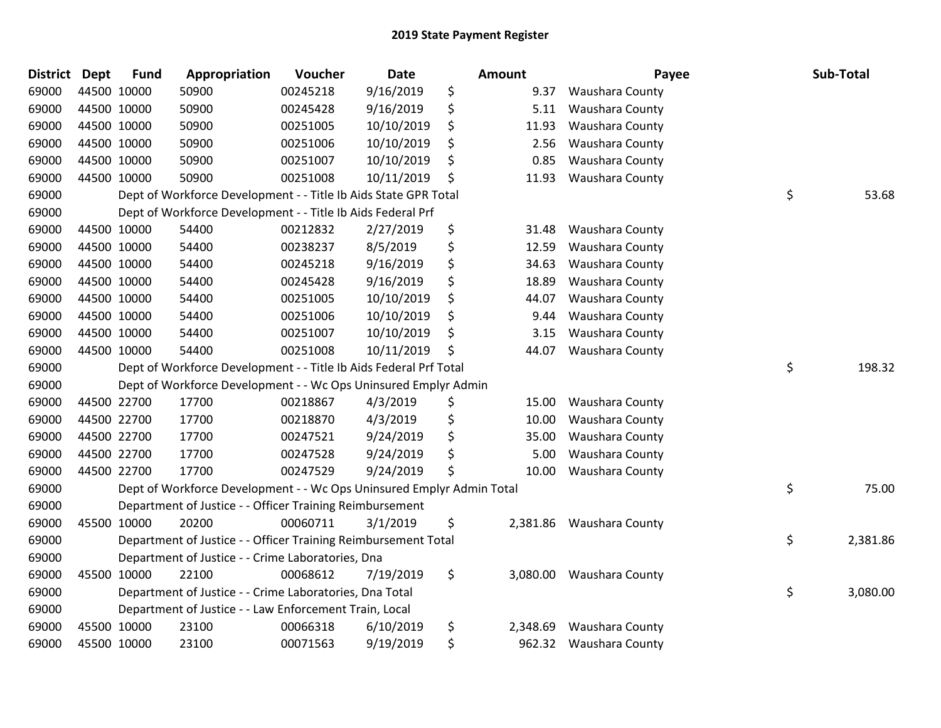| District Dept | <b>Fund</b> | Appropriation                                                         | Voucher  | <b>Date</b> | <b>Amount</b>  | Payee                  | Sub-Total      |
|---------------|-------------|-----------------------------------------------------------------------|----------|-------------|----------------|------------------------|----------------|
| 69000         | 44500 10000 | 50900                                                                 | 00245218 | 9/16/2019   | \$<br>9.37     | Waushara County        |                |
| 69000         | 44500 10000 | 50900                                                                 | 00245428 | 9/16/2019   | \$<br>5.11     | <b>Waushara County</b> |                |
| 69000         | 44500 10000 | 50900                                                                 | 00251005 | 10/10/2019  | \$<br>11.93    | Waushara County        |                |
| 69000         | 44500 10000 | 50900                                                                 | 00251006 | 10/10/2019  | \$<br>2.56     | Waushara County        |                |
| 69000         | 44500 10000 | 50900                                                                 | 00251007 | 10/10/2019  | \$<br>0.85     | Waushara County        |                |
| 69000         | 44500 10000 | 50900                                                                 | 00251008 | 10/11/2019  | \$<br>11.93    | Waushara County        |                |
| 69000         |             | Dept of Workforce Development - - Title Ib Aids State GPR Total       |          |             |                |                        | \$<br>53.68    |
| 69000         |             | Dept of Workforce Development - - Title Ib Aids Federal Prf           |          |             |                |                        |                |
| 69000         | 44500 10000 | 54400                                                                 | 00212832 | 2/27/2019   | \$<br>31.48    | Waushara County        |                |
| 69000         | 44500 10000 | 54400                                                                 | 00238237 | 8/5/2019    | \$<br>12.59    | Waushara County        |                |
| 69000         | 44500 10000 | 54400                                                                 | 00245218 | 9/16/2019   | \$<br>34.63    | Waushara County        |                |
| 69000         | 44500 10000 | 54400                                                                 | 00245428 | 9/16/2019   | \$<br>18.89    | Waushara County        |                |
| 69000         | 44500 10000 | 54400                                                                 | 00251005 | 10/10/2019  | \$<br>44.07    | Waushara County        |                |
| 69000         | 44500 10000 | 54400                                                                 | 00251006 | 10/10/2019  | \$<br>9.44     | Waushara County        |                |
| 69000         | 44500 10000 | 54400                                                                 | 00251007 | 10/10/2019  | \$<br>3.15     | <b>Waushara County</b> |                |
| 69000         | 44500 10000 | 54400                                                                 | 00251008 | 10/11/2019  | \$<br>44.07    | Waushara County        |                |
| 69000         |             | Dept of Workforce Development - - Title Ib Aids Federal Prf Total     |          |             |                |                        | \$<br>198.32   |
| 69000         |             | Dept of Workforce Development - - Wc Ops Uninsured Emplyr Admin       |          |             |                |                        |                |
| 69000         | 44500 22700 | 17700                                                                 | 00218867 | 4/3/2019    | \$<br>15.00    | Waushara County        |                |
| 69000         | 44500 22700 | 17700                                                                 | 00218870 | 4/3/2019    | \$<br>10.00    | Waushara County        |                |
| 69000         | 44500 22700 | 17700                                                                 | 00247521 | 9/24/2019   | \$<br>35.00    | Waushara County        |                |
| 69000         | 44500 22700 | 17700                                                                 | 00247528 | 9/24/2019   | \$<br>5.00     | Waushara County        |                |
| 69000         | 44500 22700 | 17700                                                                 | 00247529 | 9/24/2019   | \$<br>10.00    | Waushara County        |                |
| 69000         |             | Dept of Workforce Development - - Wc Ops Uninsured Emplyr Admin Total |          |             |                |                        | \$<br>75.00    |
| 69000         |             | Department of Justice - - Officer Training Reimbursement              |          |             |                |                        |                |
| 69000         | 45500 10000 | 20200                                                                 | 00060711 | 3/1/2019    | \$<br>2,381.86 | Waushara County        |                |
| 69000         |             | Department of Justice - - Officer Training Reimbursement Total        |          |             |                |                        | \$<br>2,381.86 |
| 69000         |             | Department of Justice - - Crime Laboratories, Dna                     |          |             |                |                        |                |
| 69000         | 45500 10000 | 22100                                                                 | 00068612 | 7/19/2019   | \$<br>3,080.00 | <b>Waushara County</b> |                |
| 69000         |             | Department of Justice - - Crime Laboratories, Dna Total               |          |             |                |                        | \$<br>3,080.00 |
| 69000         |             | Department of Justice - - Law Enforcement Train, Local                |          |             |                |                        |                |
| 69000         | 45500 10000 | 23100                                                                 | 00066318 | 6/10/2019   | \$<br>2,348.69 | Waushara County        |                |
| 69000         | 45500 10000 | 23100                                                                 | 00071563 | 9/19/2019   | \$<br>962.32   | <b>Waushara County</b> |                |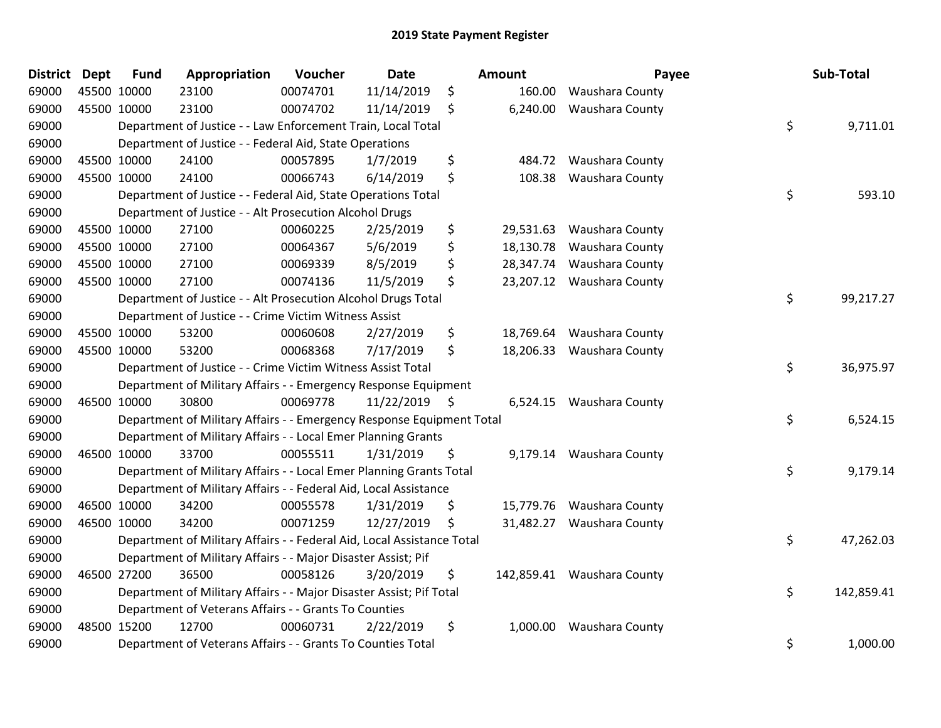| District Dept | <b>Fund</b> | Appropriation                                                          | Voucher  | <b>Date</b>     | Amount          | Payee                      | Sub-Total        |
|---------------|-------------|------------------------------------------------------------------------|----------|-----------------|-----------------|----------------------------|------------------|
| 69000         | 45500 10000 | 23100                                                                  | 00074701 | 11/14/2019      | \$<br>160.00    | <b>Waushara County</b>     |                  |
| 69000         | 45500 10000 | 23100                                                                  | 00074702 | 11/14/2019      | \$<br>6,240.00  | Waushara County            |                  |
| 69000         |             | Department of Justice - - Law Enforcement Train, Local Total           |          |                 |                 |                            | \$<br>9,711.01   |
| 69000         |             | Department of Justice - - Federal Aid, State Operations                |          |                 |                 |                            |                  |
| 69000         | 45500 10000 | 24100                                                                  | 00057895 | 1/7/2019        | \$<br>484.72    | Waushara County            |                  |
| 69000         | 45500 10000 | 24100                                                                  | 00066743 | 6/14/2019       | \$<br>108.38    | Waushara County            |                  |
| 69000         |             | Department of Justice - - Federal Aid, State Operations Total          |          |                 |                 |                            | \$<br>593.10     |
| 69000         |             | Department of Justice - - Alt Prosecution Alcohol Drugs                |          |                 |                 |                            |                  |
| 69000         | 45500 10000 | 27100                                                                  | 00060225 | 2/25/2019       | \$<br>29,531.63 | Waushara County            |                  |
| 69000         | 45500 10000 | 27100                                                                  | 00064367 | 5/6/2019        | \$<br>18,130.78 | Waushara County            |                  |
| 69000         | 45500 10000 | 27100                                                                  | 00069339 | 8/5/2019        | \$<br>28,347.74 | Waushara County            |                  |
| 69000         | 45500 10000 | 27100                                                                  | 00074136 | 11/5/2019       | \$<br>23,207.12 | Waushara County            |                  |
| 69000         |             | Department of Justice - - Alt Prosecution Alcohol Drugs Total          |          |                 |                 |                            | \$<br>99,217.27  |
| 69000         |             | Department of Justice - - Crime Victim Witness Assist                  |          |                 |                 |                            |                  |
| 69000         | 45500 10000 | 53200                                                                  | 00060608 | 2/27/2019       | \$<br>18,769.64 | Waushara County            |                  |
| 69000         | 45500 10000 | 53200                                                                  | 00068368 | 7/17/2019       | \$<br>18,206.33 | Waushara County            |                  |
| 69000         |             | Department of Justice - - Crime Victim Witness Assist Total            |          |                 |                 |                            | \$<br>36,975.97  |
| 69000         |             | Department of Military Affairs - - Emergency Response Equipment        |          |                 |                 |                            |                  |
| 69000         | 46500 10000 | 30800                                                                  | 00069778 | $11/22/2019$ \$ |                 | 6,524.15 Waushara County   |                  |
| 69000         |             | Department of Military Affairs - - Emergency Response Equipment Total  |          |                 |                 |                            | \$<br>6,524.15   |
| 69000         |             | Department of Military Affairs - - Local Emer Planning Grants          |          |                 |                 |                            |                  |
| 69000         | 46500 10000 | 33700                                                                  | 00055511 | 1/31/2019       | \$<br>9,179.14  | Waushara County            |                  |
| 69000         |             | Department of Military Affairs - - Local Emer Planning Grants Total    |          |                 |                 |                            | \$<br>9,179.14   |
| 69000         |             | Department of Military Affairs - - Federal Aid, Local Assistance       |          |                 |                 |                            |                  |
| 69000         | 46500 10000 | 34200                                                                  | 00055578 | 1/31/2019       | \$<br>15,779.76 | Waushara County            |                  |
| 69000         | 46500 10000 | 34200                                                                  | 00071259 | 12/27/2019      | \$<br>31,482.27 | Waushara County            |                  |
| 69000         |             | Department of Military Affairs - - Federal Aid, Local Assistance Total |          |                 |                 |                            | \$<br>47,262.03  |
| 69000         |             | Department of Military Affairs - - Major Disaster Assist; Pif          |          |                 |                 |                            |                  |
| 69000         | 46500 27200 | 36500                                                                  | 00058126 | 3/20/2019       | \$              | 142,859.41 Waushara County |                  |
| 69000         |             | Department of Military Affairs - - Major Disaster Assist; Pif Total    |          |                 |                 |                            | \$<br>142,859.41 |
| 69000         |             | Department of Veterans Affairs - - Grants To Counties                  |          |                 |                 |                            |                  |
| 69000         | 48500 15200 | 12700                                                                  | 00060731 | 2/22/2019       | \$<br>1,000.00  | Waushara County            |                  |
| 69000         |             | Department of Veterans Affairs - - Grants To Counties Total            |          |                 |                 |                            | \$<br>1,000.00   |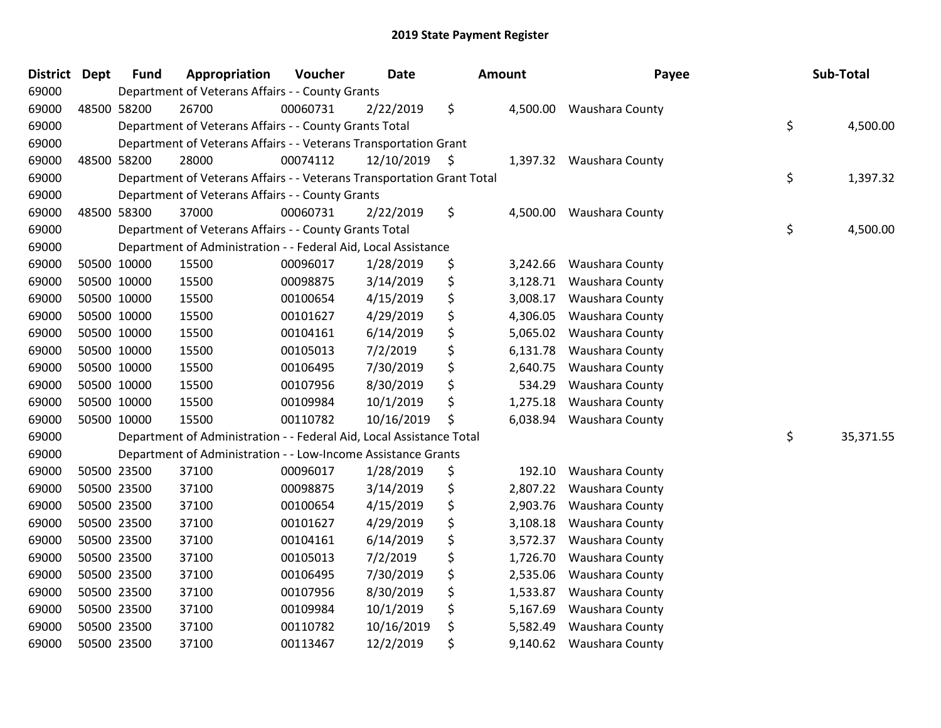| <b>District</b> | <b>Dept</b> | <b>Fund</b> | Appropriation                                                          | Voucher  | <b>Date</b> | Amount |          | Payee                    | Sub-Total       |
|-----------------|-------------|-------------|------------------------------------------------------------------------|----------|-------------|--------|----------|--------------------------|-----------------|
| 69000           |             |             | Department of Veterans Affairs - - County Grants                       |          |             |        |          |                          |                 |
| 69000           |             | 48500 58200 | 26700                                                                  | 00060731 | 2/22/2019   | \$     | 4,500.00 | <b>Waushara County</b>   |                 |
| 69000           |             |             | Department of Veterans Affairs - - County Grants Total                 |          |             |        |          |                          | \$<br>4,500.00  |
| 69000           |             |             | Department of Veterans Affairs - - Veterans Transportation Grant       |          |             |        |          |                          |                 |
| 69000           |             | 48500 58200 | 28000                                                                  | 00074112 | 12/10/2019  | \$     |          | 1,397.32 Waushara County |                 |
| 69000           |             |             | Department of Veterans Affairs - - Veterans Transportation Grant Total |          |             |        |          |                          | \$<br>1,397.32  |
| 69000           |             |             | Department of Veterans Affairs - - County Grants                       |          |             |        |          |                          |                 |
| 69000           |             | 48500 58300 | 37000                                                                  | 00060731 | 2/22/2019   | \$     | 4,500.00 | <b>Waushara County</b>   |                 |
| 69000           |             |             | Department of Veterans Affairs - - County Grants Total                 |          |             |        |          |                          | \$<br>4,500.00  |
| 69000           |             |             | Department of Administration - - Federal Aid, Local Assistance         |          |             |        |          |                          |                 |
| 69000           |             | 50500 10000 | 15500                                                                  | 00096017 | 1/28/2019   | \$     | 3,242.66 | Waushara County          |                 |
| 69000           |             | 50500 10000 | 15500                                                                  | 00098875 | 3/14/2019   | \$     | 3,128.71 | Waushara County          |                 |
| 69000           |             | 50500 10000 | 15500                                                                  | 00100654 | 4/15/2019   | \$     | 3,008.17 | Waushara County          |                 |
| 69000           |             | 50500 10000 | 15500                                                                  | 00101627 | 4/29/2019   | \$     | 4,306.05 | Waushara County          |                 |
| 69000           |             | 50500 10000 | 15500                                                                  | 00104161 | 6/14/2019   | \$     | 5,065.02 | <b>Waushara County</b>   |                 |
| 69000           |             | 50500 10000 | 15500                                                                  | 00105013 | 7/2/2019    | \$     | 6,131.78 | Waushara County          |                 |
| 69000           |             | 50500 10000 | 15500                                                                  | 00106495 | 7/30/2019   | \$     | 2,640.75 | Waushara County          |                 |
| 69000           |             | 50500 10000 | 15500                                                                  | 00107956 | 8/30/2019   | \$     | 534.29   | Waushara County          |                 |
| 69000           |             | 50500 10000 | 15500                                                                  | 00109984 | 10/1/2019   | \$     | 1,275.18 | Waushara County          |                 |
| 69000           |             | 50500 10000 | 15500                                                                  | 00110782 | 10/16/2019  | \$     | 6,038.94 | Waushara County          |                 |
| 69000           |             |             | Department of Administration - - Federal Aid, Local Assistance Total   |          |             |        |          |                          | \$<br>35,371.55 |
| 69000           |             |             | Department of Administration - - Low-Income Assistance Grants          |          |             |        |          |                          |                 |
| 69000           |             | 50500 23500 | 37100                                                                  | 00096017 | 1/28/2019   | \$     | 192.10   | Waushara County          |                 |
| 69000           |             | 50500 23500 | 37100                                                                  | 00098875 | 3/14/2019   | \$     | 2,807.22 | Waushara County          |                 |
| 69000           | 50500 23500 |             | 37100                                                                  | 00100654 | 4/15/2019   | \$     | 2,903.76 | Waushara County          |                 |
| 69000           |             | 50500 23500 | 37100                                                                  | 00101627 | 4/29/2019   | \$     | 3,108.18 | Waushara County          |                 |
| 69000           |             | 50500 23500 | 37100                                                                  | 00104161 | 6/14/2019   | \$     | 3,572.37 | Waushara County          |                 |
| 69000           |             | 50500 23500 | 37100                                                                  | 00105013 | 7/2/2019    | \$     | 1,726.70 | Waushara County          |                 |
| 69000           |             | 50500 23500 | 37100                                                                  | 00106495 | 7/30/2019   | \$     | 2,535.06 | Waushara County          |                 |
| 69000           |             | 50500 23500 | 37100                                                                  | 00107956 | 8/30/2019   | \$     | 1,533.87 | Waushara County          |                 |
| 69000           |             | 50500 23500 | 37100                                                                  | 00109984 | 10/1/2019   | \$     | 5,167.69 | Waushara County          |                 |
| 69000           |             | 50500 23500 | 37100                                                                  | 00110782 | 10/16/2019  | \$     | 5,582.49 | Waushara County          |                 |
| 69000           |             | 50500 23500 | 37100                                                                  | 00113467 | 12/2/2019   | \$     | 9,140.62 | Waushara County          |                 |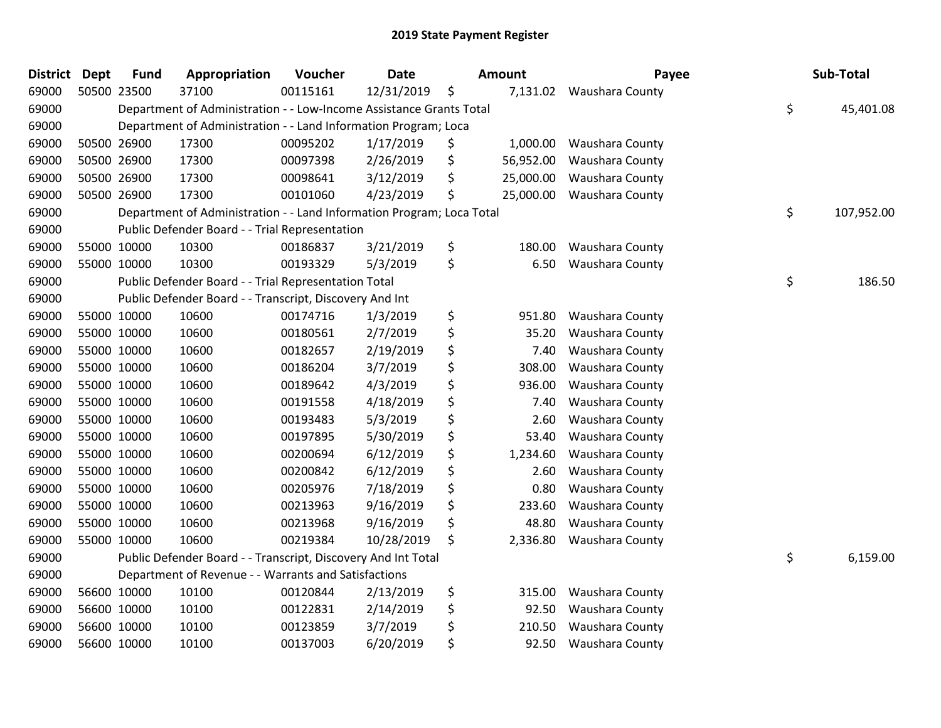| <b>District</b> | <b>Dept</b> | <b>Fund</b> | Appropriation                                                         | Voucher  | <b>Date</b> | Amount          | Payee           | Sub-Total        |
|-----------------|-------------|-------------|-----------------------------------------------------------------------|----------|-------------|-----------------|-----------------|------------------|
| 69000           |             | 50500 23500 | 37100                                                                 | 00115161 | 12/31/2019  | \$<br>7,131.02  | Waushara County |                  |
| 69000           |             |             | Department of Administration - - Low-Income Assistance Grants Total   |          |             |                 |                 | \$<br>45,401.08  |
| 69000           |             |             | Department of Administration - - Land Information Program; Loca       |          |             |                 |                 |                  |
| 69000           |             | 50500 26900 | 17300                                                                 | 00095202 | 1/17/2019   | \$<br>1,000.00  | Waushara County |                  |
| 69000           |             | 50500 26900 | 17300                                                                 | 00097398 | 2/26/2019   | \$<br>56,952.00 | Waushara County |                  |
| 69000           |             | 50500 26900 | 17300                                                                 | 00098641 | 3/12/2019   | \$<br>25,000.00 | Waushara County |                  |
| 69000           |             | 50500 26900 | 17300                                                                 | 00101060 | 4/23/2019   | \$<br>25,000.00 | Waushara County |                  |
| 69000           |             |             | Department of Administration - - Land Information Program; Loca Total |          |             |                 |                 | \$<br>107,952.00 |
| 69000           |             |             | Public Defender Board - - Trial Representation                        |          |             |                 |                 |                  |
| 69000           |             | 55000 10000 | 10300                                                                 | 00186837 | 3/21/2019   | \$<br>180.00    | Waushara County |                  |
| 69000           | 55000 10000 |             | 10300                                                                 | 00193329 | 5/3/2019    | \$<br>6.50      | Waushara County |                  |
| 69000           |             |             | Public Defender Board - - Trial Representation Total                  |          |             |                 |                 | \$<br>186.50     |
| 69000           |             |             | Public Defender Board - - Transcript, Discovery And Int               |          |             |                 |                 |                  |
| 69000           |             | 55000 10000 | 10600                                                                 | 00174716 | 1/3/2019    | \$<br>951.80    | Waushara County |                  |
| 69000           |             | 55000 10000 | 10600                                                                 | 00180561 | 2/7/2019    | \$<br>35.20     | Waushara County |                  |
| 69000           |             | 55000 10000 | 10600                                                                 | 00182657 | 2/19/2019   | \$<br>7.40      | Waushara County |                  |
| 69000           |             | 55000 10000 | 10600                                                                 | 00186204 | 3/7/2019    | \$<br>308.00    | Waushara County |                  |
| 69000           |             | 55000 10000 | 10600                                                                 | 00189642 | 4/3/2019    | \$<br>936.00    | Waushara County |                  |
| 69000           |             | 55000 10000 | 10600                                                                 | 00191558 | 4/18/2019   | \$<br>7.40      | Waushara County |                  |
| 69000           |             | 55000 10000 | 10600                                                                 | 00193483 | 5/3/2019    | \$<br>2.60      | Waushara County |                  |
| 69000           | 55000 10000 |             | 10600                                                                 | 00197895 | 5/30/2019   | \$<br>53.40     | Waushara County |                  |
| 69000           |             | 55000 10000 | 10600                                                                 | 00200694 | 6/12/2019   | \$<br>1,234.60  | Waushara County |                  |
| 69000           |             | 55000 10000 | 10600                                                                 | 00200842 | 6/12/2019   | \$<br>2.60      | Waushara County |                  |
| 69000           |             | 55000 10000 | 10600                                                                 | 00205976 | 7/18/2019   | \$<br>0.80      | Waushara County |                  |
| 69000           |             | 55000 10000 | 10600                                                                 | 00213963 | 9/16/2019   | \$<br>233.60    | Waushara County |                  |
| 69000           |             | 55000 10000 | 10600                                                                 | 00213968 | 9/16/2019   | \$<br>48.80     | Waushara County |                  |
| 69000           |             | 55000 10000 | 10600                                                                 | 00219384 | 10/28/2019  | \$<br>2,336.80  | Waushara County |                  |
| 69000           |             |             | Public Defender Board - - Transcript, Discovery And Int Total         |          |             |                 |                 | \$<br>6,159.00   |
| 69000           |             |             | Department of Revenue - - Warrants and Satisfactions                  |          |             |                 |                 |                  |
| 69000           |             | 56600 10000 | 10100                                                                 | 00120844 | 2/13/2019   | \$<br>315.00    | Waushara County |                  |
| 69000           |             | 56600 10000 | 10100                                                                 | 00122831 | 2/14/2019   | \$<br>92.50     | Waushara County |                  |
| 69000           |             | 56600 10000 | 10100                                                                 | 00123859 | 3/7/2019    | \$<br>210.50    | Waushara County |                  |
| 69000           |             | 56600 10000 | 10100                                                                 | 00137003 | 6/20/2019   | \$<br>92.50     | Waushara County |                  |
|                 |             |             |                                                                       |          |             |                 |                 |                  |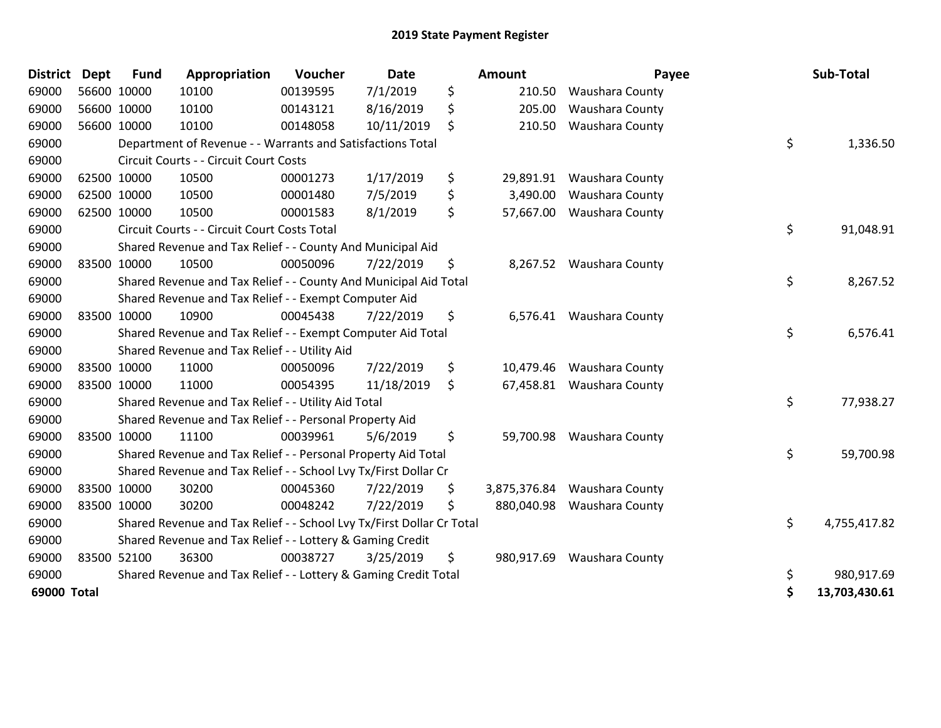| <b>District Dept</b> |             | <b>Fund</b> | Appropriation                                                         | Voucher  | <b>Date</b> | <b>Amount</b>      | Payee                      | Sub-Total           |
|----------------------|-------------|-------------|-----------------------------------------------------------------------|----------|-------------|--------------------|----------------------------|---------------------|
| 69000                | 56600 10000 |             | 10100                                                                 | 00139595 | 7/1/2019    | \$<br>210.50       | Waushara County            |                     |
| 69000                | 56600 10000 |             | 10100                                                                 | 00143121 | 8/16/2019   | \$<br>205.00       | Waushara County            |                     |
| 69000                | 56600 10000 |             | 10100                                                                 | 00148058 | 10/11/2019  | \$<br>210.50       | Waushara County            |                     |
| 69000                |             |             | Department of Revenue - - Warrants and Satisfactions Total            |          |             |                    |                            | \$<br>1,336.50      |
| 69000                |             |             | Circuit Courts - - Circuit Court Costs                                |          |             |                    |                            |                     |
| 69000                |             | 62500 10000 | 10500                                                                 | 00001273 | 1/17/2019   | \$                 | 29,891.91 Waushara County  |                     |
| 69000                |             | 62500 10000 | 10500                                                                 | 00001480 | 7/5/2019    | \$<br>3,490.00     | Waushara County            |                     |
| 69000                |             | 62500 10000 | 10500                                                                 | 00001583 | 8/1/2019    | \$                 | 57,667.00 Waushara County  |                     |
| 69000                |             |             | Circuit Courts - - Circuit Court Costs Total                          |          |             |                    |                            | \$<br>91,048.91     |
| 69000                |             |             | Shared Revenue and Tax Relief - - County And Municipal Aid            |          |             |                    |                            |                     |
| 69000                |             | 83500 10000 | 10500                                                                 | 00050096 | 7/22/2019   | \$                 | 8,267.52 Waushara County   |                     |
| 69000                |             |             | Shared Revenue and Tax Relief - - County And Municipal Aid Total      |          |             |                    |                            | \$<br>8,267.52      |
| 69000                |             |             | Shared Revenue and Tax Relief - - Exempt Computer Aid                 |          |             |                    |                            |                     |
| 69000                |             | 83500 10000 | 10900                                                                 | 00045438 | 7/22/2019   | \$                 | 6,576.41 Waushara County   |                     |
| 69000                |             |             | Shared Revenue and Tax Relief - - Exempt Computer Aid Total           |          |             |                    |                            | \$<br>6,576.41      |
| 69000                |             |             | Shared Revenue and Tax Relief - - Utility Aid                         |          |             |                    |                            |                     |
| 69000                |             | 83500 10000 | 11000                                                                 | 00050096 | 7/22/2019   | \$<br>10,479.46    | Waushara County            |                     |
| 69000                |             | 83500 10000 | 11000                                                                 | 00054395 | 11/18/2019  | \$                 | 67,458.81 Waushara County  |                     |
| 69000                |             |             | Shared Revenue and Tax Relief - - Utility Aid Total                   |          |             |                    |                            | \$<br>77,938.27     |
| 69000                |             |             | Shared Revenue and Tax Relief - - Personal Property Aid               |          |             |                    |                            |                     |
| 69000                |             | 83500 10000 | 11100                                                                 | 00039961 | 5/6/2019    | \$                 | 59,700.98 Waushara County  |                     |
| 69000                |             |             | Shared Revenue and Tax Relief - - Personal Property Aid Total         |          |             |                    |                            | \$<br>59,700.98     |
| 69000                |             |             | Shared Revenue and Tax Relief - - School Lvy Tx/First Dollar Cr       |          |             |                    |                            |                     |
| 69000                | 83500 10000 |             | 30200                                                                 | 00045360 | 7/22/2019   | \$<br>3,875,376.84 | <b>Waushara County</b>     |                     |
| 69000                | 83500 10000 |             | 30200                                                                 | 00048242 | 7/22/2019   | \$                 | 880,040.98 Waushara County |                     |
| 69000                |             |             | Shared Revenue and Tax Relief - - School Lvy Tx/First Dollar Cr Total |          |             |                    |                            | \$<br>4,755,417.82  |
| 69000                |             |             | Shared Revenue and Tax Relief - - Lottery & Gaming Credit             |          |             |                    |                            |                     |
| 69000                |             | 83500 52100 | 36300                                                                 | 00038727 | 3/25/2019   | \$                 | 980,917.69 Waushara County |                     |
| 69000                |             |             | Shared Revenue and Tax Relief - - Lottery & Gaming Credit Total       |          |             |                    |                            | \$<br>980,917.69    |
| 69000 Total          |             |             |                                                                       |          |             |                    |                            | \$<br>13,703,430.61 |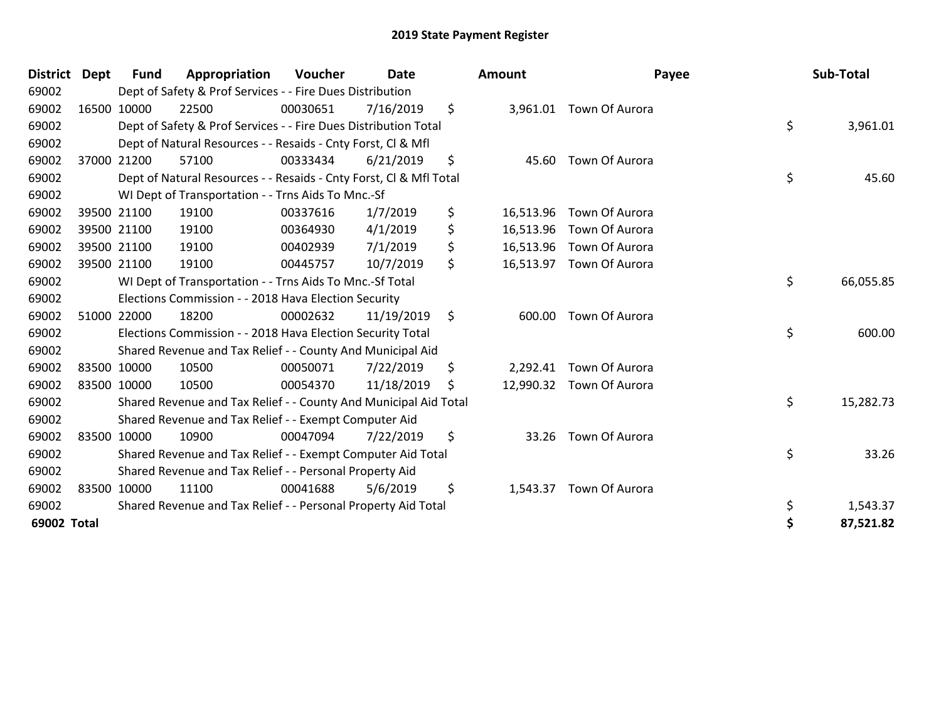| <b>District</b> | <b>Dept</b> | <b>Fund</b> | Appropriation                                                      | <b>Voucher</b> | <b>Date</b> | <b>Amount</b>   | Payee                    |    | Sub-Total |
|-----------------|-------------|-------------|--------------------------------------------------------------------|----------------|-------------|-----------------|--------------------------|----|-----------|
| 69002           |             |             | Dept of Safety & Prof Services - - Fire Dues Distribution          |                |             |                 |                          |    |           |
| 69002           | 16500 10000 |             | 22500                                                              | 00030651       | 7/16/2019   | \$              | 3,961.01 Town Of Aurora  |    |           |
| 69002           |             |             | Dept of Safety & Prof Services - - Fire Dues Distribution Total    |                |             |                 |                          | \$ | 3,961.01  |
| 69002           |             |             | Dept of Natural Resources - - Resaids - Cnty Forst, CI & Mfl       |                |             |                 |                          |    |           |
| 69002           |             | 37000 21200 | 57100                                                              | 00333434       | 6/21/2019   | \$              | 45.60 Town Of Aurora     |    |           |
| 69002           |             |             | Dept of Natural Resources - - Resaids - Cnty Forst, CI & Mfl Total |                |             |                 |                          | \$ | 45.60     |
| 69002           |             |             | WI Dept of Transportation - - Trns Aids To Mnc.-Sf                 |                |             |                 |                          |    |           |
| 69002           |             | 39500 21100 | 19100                                                              | 00337616       | 1/7/2019    | \$<br>16,513.96 | Town Of Aurora           |    |           |
| 69002           |             | 39500 21100 | 19100                                                              | 00364930       | 4/1/2019    | \$<br>16,513.96 | Town Of Aurora           |    |           |
| 69002           |             | 39500 21100 | 19100                                                              | 00402939       | 7/1/2019    | \$              | 16,513.96 Town Of Aurora |    |           |
| 69002           |             | 39500 21100 | 19100                                                              | 00445757       | 10/7/2019   | \$              | 16,513.97 Town Of Aurora |    |           |
| 69002           |             |             | WI Dept of Transportation - - Trns Aids To Mnc.-Sf Total           |                |             |                 |                          | \$ | 66,055.85 |
| 69002           |             |             | Elections Commission - - 2018 Hava Election Security               |                |             |                 |                          |    |           |
| 69002           |             | 51000 22000 | 18200                                                              | 00002632       | 11/19/2019  | \$<br>600.00    | Town Of Aurora           |    |           |
| 69002           |             |             | Elections Commission - - 2018 Hava Election Security Total         |                |             |                 |                          | \$ | 600.00    |
| 69002           |             |             | Shared Revenue and Tax Relief - - County And Municipal Aid         |                |             |                 |                          |    |           |
| 69002           | 83500 10000 |             | 10500                                                              | 00050071       | 7/22/2019   | \$<br>2,292.41  | Town Of Aurora           |    |           |
| 69002           | 83500 10000 |             | 10500                                                              | 00054370       | 11/18/2019  | \$              | 12,990.32 Town Of Aurora |    |           |
| 69002           |             |             | Shared Revenue and Tax Relief - - County And Municipal Aid Total   |                |             |                 |                          | \$ | 15,282.73 |
| 69002           |             |             | Shared Revenue and Tax Relief - - Exempt Computer Aid              |                |             |                 |                          |    |           |
| 69002           | 83500 10000 |             | 10900                                                              | 00047094       | 7/22/2019   | \$<br>33.26     | Town Of Aurora           |    |           |
| 69002           |             |             | Shared Revenue and Tax Relief - - Exempt Computer Aid Total        |                |             |                 |                          | \$ | 33.26     |
| 69002           |             |             | Shared Revenue and Tax Relief - - Personal Property Aid            |                |             |                 |                          |    |           |
| 69002           | 83500 10000 |             | 11100                                                              | 00041688       | 5/6/2019    | \$<br>1,543.37  | Town Of Aurora           |    |           |
| 69002           |             |             | Shared Revenue and Tax Relief - - Personal Property Aid Total      |                |             |                 |                          | \$ | 1,543.37  |
| 69002 Total     |             |             |                                                                    |                |             |                 |                          | Ś  | 87,521.82 |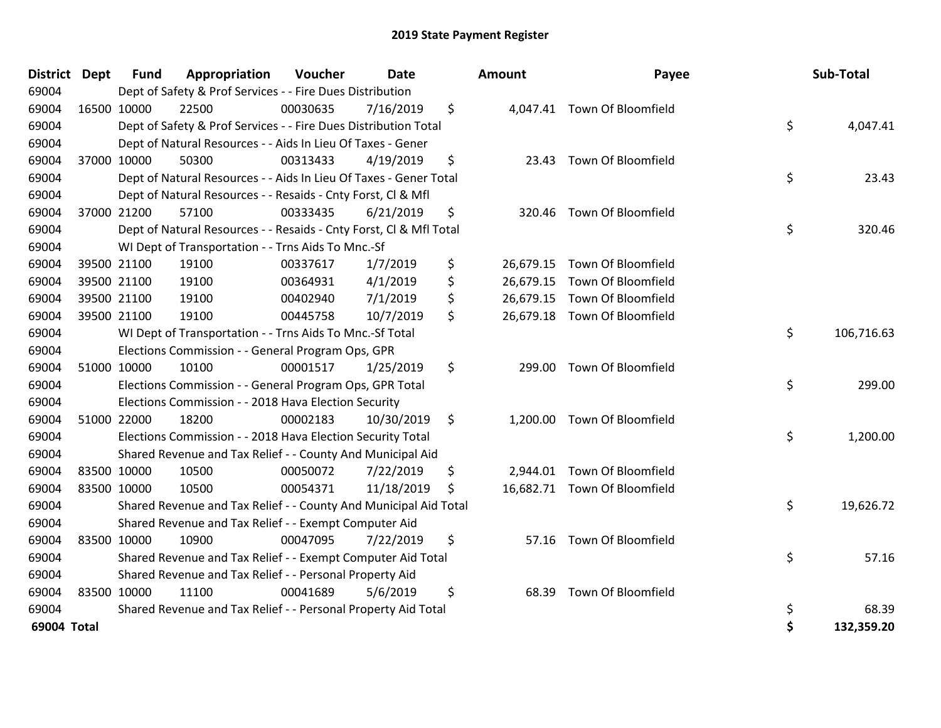| <b>District</b> | <b>Dept</b> | <b>Fund</b> | Appropriation                                                      | Voucher  | <b>Date</b> | <b>Amount</b>  | Payee                        | Sub-Total        |
|-----------------|-------------|-------------|--------------------------------------------------------------------|----------|-------------|----------------|------------------------------|------------------|
| 69004           |             |             | Dept of Safety & Prof Services - - Fire Dues Distribution          |          |             |                |                              |                  |
| 69004           | 16500 10000 |             | 22500                                                              | 00030635 | 7/16/2019   | \$             | 4,047.41 Town Of Bloomfield  |                  |
| 69004           |             |             | Dept of Safety & Prof Services - - Fire Dues Distribution Total    |          |             |                |                              | \$<br>4,047.41   |
| 69004           |             |             | Dept of Natural Resources - - Aids In Lieu Of Taxes - Gener        |          |             |                |                              |                  |
| 69004           |             | 37000 10000 | 50300                                                              | 00313433 | 4/19/2019   | \$<br>23.43    | Town Of Bloomfield           |                  |
| 69004           |             |             | Dept of Natural Resources - - Aids In Lieu Of Taxes - Gener Total  |          |             |                |                              | \$<br>23.43      |
| 69004           |             |             | Dept of Natural Resources - - Resaids - Cnty Forst, CI & Mfl       |          |             |                |                              |                  |
| 69004           |             | 37000 21200 | 57100                                                              | 00333435 | 6/21/2019   | \$             | 320.46 Town Of Bloomfield    |                  |
| 69004           |             |             | Dept of Natural Resources - - Resaids - Cnty Forst, Cl & Mfl Total |          |             |                |                              | \$<br>320.46     |
| 69004           |             |             | WI Dept of Transportation - - Trns Aids To Mnc.-Sf                 |          |             |                |                              |                  |
| 69004           |             | 39500 21100 | 19100                                                              | 00337617 | 1/7/2019    | \$             | 26,679.15 Town Of Bloomfield |                  |
| 69004           |             | 39500 21100 | 19100                                                              | 00364931 | 4/1/2019    | \$             | 26,679.15 Town Of Bloomfield |                  |
| 69004           |             | 39500 21100 | 19100                                                              | 00402940 | 7/1/2019    | \$             | 26,679.15 Town Of Bloomfield |                  |
| 69004           |             | 39500 21100 | 19100                                                              | 00445758 | 10/7/2019   | \$             | 26,679.18 Town Of Bloomfield |                  |
| 69004           |             |             | WI Dept of Transportation - - Trns Aids To Mnc.-Sf Total           |          |             |                |                              | \$<br>106,716.63 |
| 69004           |             |             | Elections Commission - - General Program Ops, GPR                  |          |             |                |                              |                  |
| 69004           |             | 51000 10000 | 10100                                                              | 00001517 | 1/25/2019   | \$             | 299.00 Town Of Bloomfield    |                  |
| 69004           |             |             | Elections Commission - - General Program Ops, GPR Total            |          |             |                |                              | \$<br>299.00     |
| 69004           |             |             | Elections Commission - - 2018 Hava Election Security               |          |             |                |                              |                  |
| 69004           |             | 51000 22000 | 18200                                                              | 00002183 | 10/30/2019  | \$<br>1,200.00 | <b>Town Of Bloomfield</b>    |                  |
| 69004           |             |             | Elections Commission - - 2018 Hava Election Security Total         |          |             |                |                              | \$<br>1,200.00   |
| 69004           |             |             | Shared Revenue and Tax Relief - - County And Municipal Aid         |          |             |                |                              |                  |
| 69004           |             | 83500 10000 | 10500                                                              | 00050072 | 7/22/2019   | \$             | 2,944.01 Town Of Bloomfield  |                  |
| 69004           | 83500 10000 |             | 10500                                                              | 00054371 | 11/18/2019  | \$             | 16,682.71 Town Of Bloomfield |                  |
| 69004           |             |             | Shared Revenue and Tax Relief - - County And Municipal Aid Total   |          |             |                |                              | \$<br>19,626.72  |
| 69004           |             |             | Shared Revenue and Tax Relief - - Exempt Computer Aid              |          |             |                |                              |                  |
| 69004           |             | 83500 10000 | 10900                                                              | 00047095 | 7/22/2019   | \$<br>57.16    | Town Of Bloomfield           |                  |
| 69004           |             |             | Shared Revenue and Tax Relief - - Exempt Computer Aid Total        |          |             |                |                              | \$<br>57.16      |
| 69004           |             |             | Shared Revenue and Tax Relief - - Personal Property Aid            |          |             |                |                              |                  |
| 69004           | 83500 10000 |             | 11100                                                              | 00041689 | 5/6/2019    | \$<br>68.39    | <b>Town Of Bloomfield</b>    |                  |
| 69004           |             |             | Shared Revenue and Tax Relief - - Personal Property Aid Total      |          |             |                |                              | \$<br>68.39      |
| 69004 Total     |             |             |                                                                    |          |             |                |                              | \$<br>132,359.20 |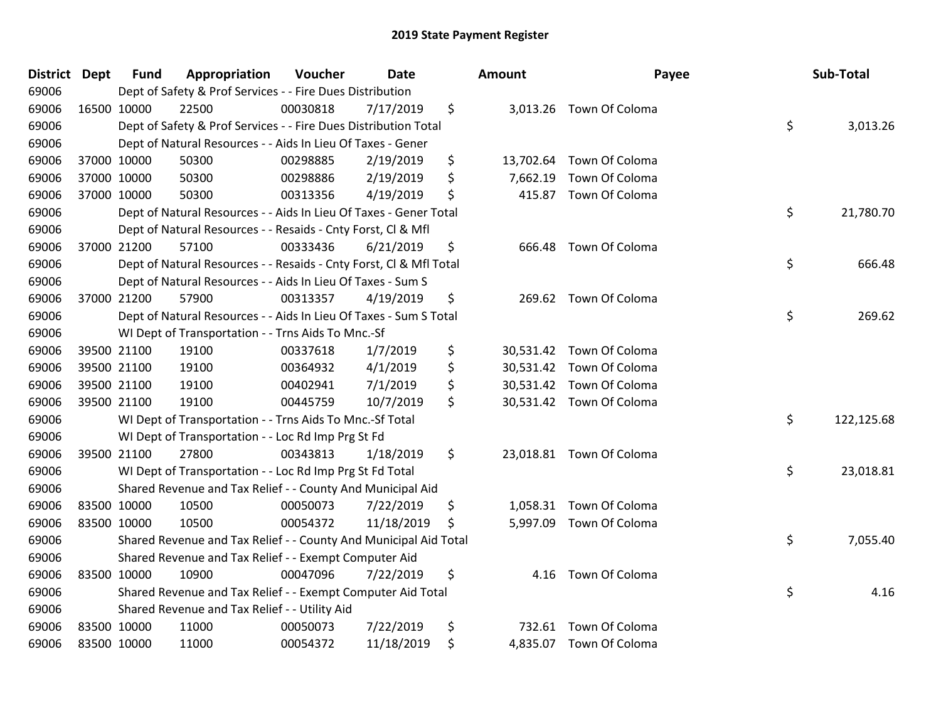| <b>District</b> | <b>Dept</b> | <b>Fund</b> | Appropriation                                                      | Voucher  | <b>Date</b> | <b>Amount</b>   | Payee                    | Sub-Total        |
|-----------------|-------------|-------------|--------------------------------------------------------------------|----------|-------------|-----------------|--------------------------|------------------|
| 69006           |             |             | Dept of Safety & Prof Services - - Fire Dues Distribution          |          |             |                 |                          |                  |
| 69006           |             | 16500 10000 | 22500                                                              | 00030818 | 7/17/2019   | \$              | 3,013.26 Town Of Coloma  |                  |
| 69006           |             |             | Dept of Safety & Prof Services - - Fire Dues Distribution Total    |          |             |                 |                          | \$<br>3,013.26   |
| 69006           |             |             | Dept of Natural Resources - - Aids In Lieu Of Taxes - Gener        |          |             |                 |                          |                  |
| 69006           |             | 37000 10000 | 50300                                                              | 00298885 | 2/19/2019   | \$              | 13,702.64 Town Of Coloma |                  |
| 69006           |             | 37000 10000 | 50300                                                              | 00298886 | 2/19/2019   | \$<br>7,662.19  | Town Of Coloma           |                  |
| 69006           |             | 37000 10000 | 50300                                                              | 00313356 | 4/19/2019   | \$<br>415.87    | Town Of Coloma           |                  |
| 69006           |             |             | Dept of Natural Resources - - Aids In Lieu Of Taxes - Gener Total  |          |             |                 |                          | \$<br>21,780.70  |
| 69006           |             |             | Dept of Natural Resources - - Resaids - Cnty Forst, CI & Mfl       |          |             |                 |                          |                  |
| 69006           |             | 37000 21200 | 57100                                                              | 00333436 | 6/21/2019   | \$<br>666.48    | Town Of Coloma           |                  |
| 69006           |             |             | Dept of Natural Resources - - Resaids - Cnty Forst, Cl & Mfl Total |          |             |                 |                          | \$<br>666.48     |
| 69006           |             |             | Dept of Natural Resources - - Aids In Lieu Of Taxes - Sum S        |          |             |                 |                          |                  |
| 69006           |             | 37000 21200 | 57900                                                              | 00313357 | 4/19/2019   | \$              | 269.62 Town Of Coloma    |                  |
| 69006           |             |             | Dept of Natural Resources - - Aids In Lieu Of Taxes - Sum S Total  |          |             |                 |                          | \$<br>269.62     |
| 69006           |             |             | WI Dept of Transportation - - Trns Aids To Mnc.-Sf                 |          |             |                 |                          |                  |
| 69006           |             | 39500 21100 | 19100                                                              | 00337618 | 1/7/2019    | \$<br>30,531.42 | Town Of Coloma           |                  |
| 69006           |             | 39500 21100 | 19100                                                              | 00364932 | 4/1/2019    | \$              | 30,531.42 Town Of Coloma |                  |
| 69006           |             | 39500 21100 | 19100                                                              | 00402941 | 7/1/2019    | \$              | 30,531.42 Town Of Coloma |                  |
| 69006           |             | 39500 21100 | 19100                                                              | 00445759 | 10/7/2019   | \$              | 30,531.42 Town Of Coloma |                  |
| 69006           |             |             | WI Dept of Transportation - - Trns Aids To Mnc.-Sf Total           |          |             |                 |                          | \$<br>122,125.68 |
| 69006           |             |             | WI Dept of Transportation - - Loc Rd Imp Prg St Fd                 |          |             |                 |                          |                  |
| 69006           | 39500 21100 |             | 27800                                                              | 00343813 | 1/18/2019   | \$              | 23,018.81 Town Of Coloma |                  |
| 69006           |             |             | WI Dept of Transportation - - Loc Rd Imp Prg St Fd Total           |          |             |                 |                          | \$<br>23,018.81  |
| 69006           |             |             | Shared Revenue and Tax Relief - - County And Municipal Aid         |          |             |                 |                          |                  |
| 69006           | 83500 10000 |             | 10500                                                              | 00050073 | 7/22/2019   | \$              | 1,058.31 Town Of Coloma  |                  |
| 69006           | 83500 10000 |             | 10500                                                              | 00054372 | 11/18/2019  | \$              | 5,997.09 Town Of Coloma  |                  |
| 69006           |             |             | Shared Revenue and Tax Relief - - County And Municipal Aid Total   |          |             |                 |                          | \$<br>7,055.40   |
| 69006           |             |             | Shared Revenue and Tax Relief - - Exempt Computer Aid              |          |             |                 |                          |                  |
| 69006           |             | 83500 10000 | 10900                                                              | 00047096 | 7/22/2019   | \$<br>4.16      | Town Of Coloma           |                  |
| 69006           |             |             | Shared Revenue and Tax Relief - - Exempt Computer Aid Total        |          |             |                 |                          | \$<br>4.16       |
| 69006           |             |             | Shared Revenue and Tax Relief - - Utility Aid                      |          |             |                 |                          |                  |
| 69006           | 83500 10000 |             | 11000                                                              | 00050073 | 7/22/2019   | \$<br>732.61    | Town Of Coloma           |                  |
| 69006           | 83500 10000 |             | 11000                                                              | 00054372 | 11/18/2019  | \$              | 4,835.07 Town Of Coloma  |                  |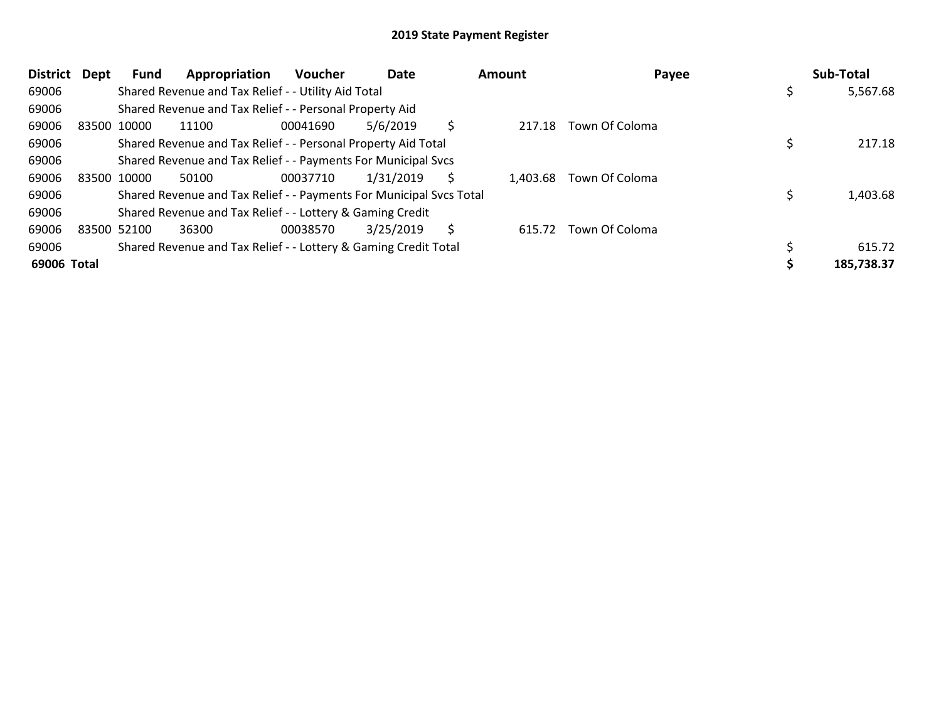| <b>District</b> | Dept        | Fund | Appropriation                                                       | Voucher  | Date      |    | Amount   | Payee          | Sub-Total  |
|-----------------|-------------|------|---------------------------------------------------------------------|----------|-----------|----|----------|----------------|------------|
| 69006           |             |      | Shared Revenue and Tax Relief - - Utility Aid Total                 |          |           |    |          |                | 5,567.68   |
| 69006           |             |      | Shared Revenue and Tax Relief - - Personal Property Aid             |          |           |    |          |                |            |
| 69006           | 83500 10000 |      | 11100                                                               | 00041690 | 5/6/2019  | \$ | 217.18   | Town Of Coloma |            |
| 69006           |             |      | Shared Revenue and Tax Relief - - Personal Property Aid Total       |          |           |    |          |                | 217.18     |
| 69006           |             |      | Shared Revenue and Tax Relief - - Payments For Municipal Svcs       |          |           |    |          |                |            |
| 69006           | 83500 10000 |      | 50100                                                               | 00037710 | 1/31/2019 |    | 1,403.68 | Town Of Coloma |            |
| 69006           |             |      | Shared Revenue and Tax Relief - - Payments For Municipal Svcs Total |          |           |    |          |                | 1,403.68   |
| 69006           |             |      | Shared Revenue and Tax Relief - - Lottery & Gaming Credit           |          |           |    |          |                |            |
| 69006           | 83500 52100 |      | 36300                                                               | 00038570 | 3/25/2019 | S  | 615.72   | Town Of Coloma |            |
| 69006           |             |      | Shared Revenue and Tax Relief - - Lottery & Gaming Credit Total     |          |           |    |          |                | 615.72     |
| 69006 Total     |             |      |                                                                     |          |           |    |          |                | 185,738.37 |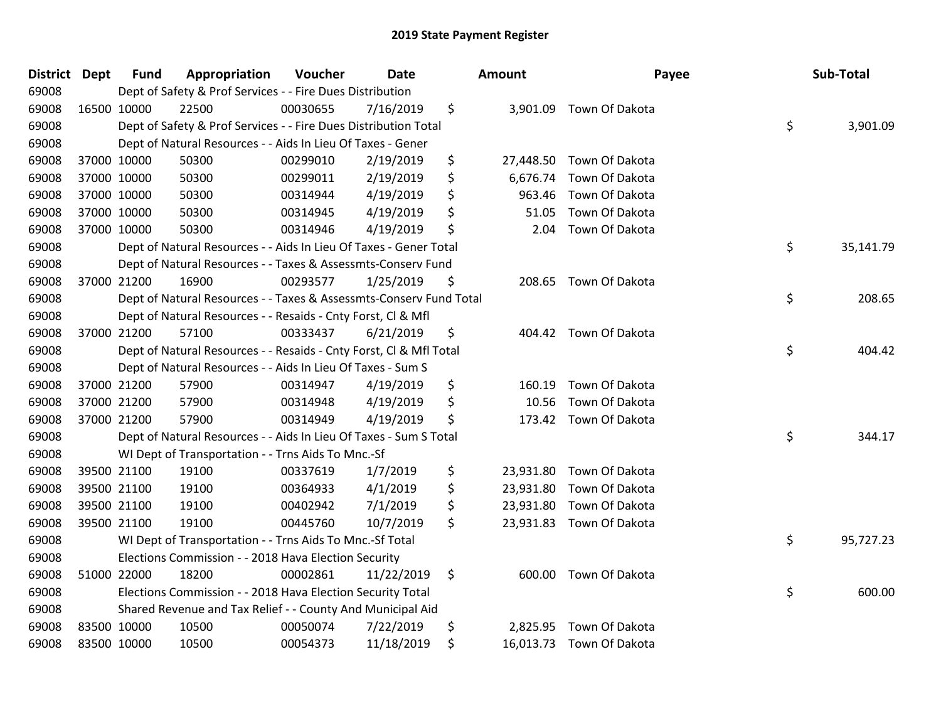| District Dept |             | <b>Fund</b> | Appropriation                                                      | Voucher  | <b>Date</b> | Amount          | Payee                    | Sub-Total       |
|---------------|-------------|-------------|--------------------------------------------------------------------|----------|-------------|-----------------|--------------------------|-----------------|
| 69008         |             |             | Dept of Safety & Prof Services - - Fire Dues Distribution          |          |             |                 |                          |                 |
| 69008         |             | 16500 10000 | 22500                                                              | 00030655 | 7/16/2019   | \$              | 3,901.09 Town Of Dakota  |                 |
| 69008         |             |             | Dept of Safety & Prof Services - - Fire Dues Distribution Total    |          |             |                 |                          | \$<br>3,901.09  |
| 69008         |             |             | Dept of Natural Resources - - Aids In Lieu Of Taxes - Gener        |          |             |                 |                          |                 |
| 69008         |             | 37000 10000 | 50300                                                              | 00299010 | 2/19/2019   | \$<br>27,448.50 | Town Of Dakota           |                 |
| 69008         |             | 37000 10000 | 50300                                                              | 00299011 | 2/19/2019   | \$<br>6,676.74  | Town Of Dakota           |                 |
| 69008         | 37000 10000 |             | 50300                                                              | 00314944 | 4/19/2019   | \$<br>963.46    | Town Of Dakota           |                 |
| 69008         | 37000 10000 |             | 50300                                                              | 00314945 | 4/19/2019   | \$<br>51.05     | Town Of Dakota           |                 |
| 69008         | 37000 10000 |             | 50300                                                              | 00314946 | 4/19/2019   | \$<br>2.04      | Town Of Dakota           |                 |
| 69008         |             |             | Dept of Natural Resources - - Aids In Lieu Of Taxes - Gener Total  |          |             |                 |                          | \$<br>35,141.79 |
| 69008         |             |             | Dept of Natural Resources - - Taxes & Assessmts-Conserv Fund       |          |             |                 |                          |                 |
| 69008         |             | 37000 21200 | 16900                                                              | 00293577 | 1/25/2019   | \$              | 208.65 Town Of Dakota    |                 |
| 69008         |             |             | Dept of Natural Resources - - Taxes & Assessmts-Conserv Fund Total |          |             |                 |                          | \$<br>208.65    |
| 69008         |             |             | Dept of Natural Resources - - Resaids - Cnty Forst, Cl & Mfl       |          |             |                 |                          |                 |
| 69008         |             | 37000 21200 | 57100                                                              | 00333437 | 6/21/2019   | \$<br>404.42    | Town Of Dakota           |                 |
| 69008         |             |             | Dept of Natural Resources - - Resaids - Cnty Forst, CI & Mfl Total |          |             |                 |                          | \$<br>404.42    |
| 69008         |             |             | Dept of Natural Resources - - Aids In Lieu Of Taxes - Sum S        |          |             |                 |                          |                 |
| 69008         | 37000 21200 |             | 57900                                                              | 00314947 | 4/19/2019   | \$<br>160.19    | Town Of Dakota           |                 |
| 69008         | 37000 21200 |             | 57900                                                              | 00314948 | 4/19/2019   | \$<br>10.56     | Town Of Dakota           |                 |
| 69008         |             | 37000 21200 | 57900                                                              | 00314949 | 4/19/2019   | \$<br>173.42    | Town Of Dakota           |                 |
| 69008         |             |             | Dept of Natural Resources - - Aids In Lieu Of Taxes - Sum S Total  |          |             |                 |                          | \$<br>344.17    |
| 69008         |             |             | WI Dept of Transportation - - Trns Aids To Mnc.-Sf                 |          |             |                 |                          |                 |
| 69008         |             | 39500 21100 | 19100                                                              | 00337619 | 1/7/2019    | \$              | 23,931.80 Town Of Dakota |                 |
| 69008         | 39500 21100 |             | 19100                                                              | 00364933 | 4/1/2019    | \$              | 23,931.80 Town Of Dakota |                 |
| 69008         |             | 39500 21100 | 19100                                                              | 00402942 | 7/1/2019    | \$              | 23,931.80 Town Of Dakota |                 |
| 69008         |             | 39500 21100 | 19100                                                              | 00445760 | 10/7/2019   | \$              | 23,931.83 Town Of Dakota |                 |
| 69008         |             |             | WI Dept of Transportation - - Trns Aids To Mnc.-Sf Total           |          |             |                 |                          | \$<br>95,727.23 |
| 69008         |             |             | Elections Commission - - 2018 Hava Election Security               |          |             |                 |                          |                 |
| 69008         |             | 51000 22000 | 18200                                                              | 00002861 | 11/22/2019  | \$              | 600.00 Town Of Dakota    |                 |
| 69008         |             |             | Elections Commission - - 2018 Hava Election Security Total         |          |             |                 |                          | \$<br>600.00    |
| 69008         |             |             | Shared Revenue and Tax Relief - - County And Municipal Aid         |          |             |                 |                          |                 |
| 69008         | 83500 10000 |             | 10500                                                              | 00050074 | 7/22/2019   | \$<br>2,825.95  | Town Of Dakota           |                 |
| 69008         | 83500 10000 |             | 10500                                                              | 00054373 | 11/18/2019  | \$              | 16,013.73 Town Of Dakota |                 |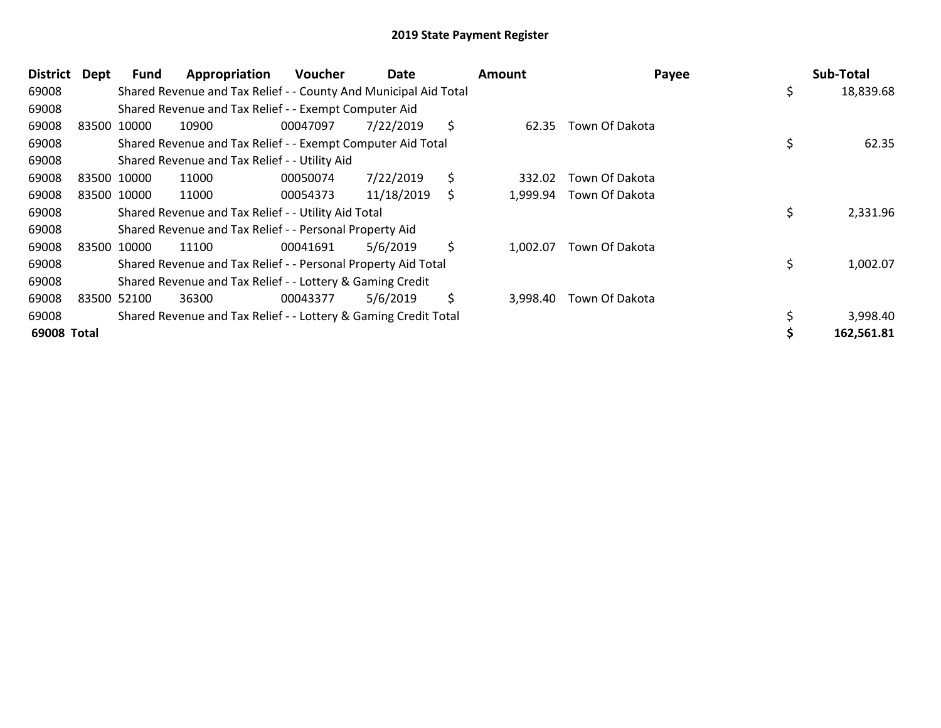| <b>District</b> | Dept | Fund        | Appropriation                                                    | <b>Voucher</b> | Date       |    | <b>Amount</b> | Payee          | Sub-Total       |
|-----------------|------|-------------|------------------------------------------------------------------|----------------|------------|----|---------------|----------------|-----------------|
| 69008           |      |             | Shared Revenue and Tax Relief - - County And Municipal Aid Total |                |            |    |               |                | \$<br>18,839.68 |
| 69008           |      |             | Shared Revenue and Tax Relief - - Exempt Computer Aid            |                |            |    |               |                |                 |
| 69008           |      | 83500 10000 | 10900                                                            | 00047097       | 7/22/2019  | \$ | 62.35         | Town Of Dakota |                 |
| 69008           |      |             | Shared Revenue and Tax Relief - - Exempt Computer Aid Total      |                |            |    |               |                | \$<br>62.35     |
| 69008           |      |             | Shared Revenue and Tax Relief - - Utility Aid                    |                |            |    |               |                |                 |
| 69008           |      | 83500 10000 | 11000                                                            | 00050074       | 7/22/2019  | \$ | 332.02        | Town Of Dakota |                 |
| 69008           |      | 83500 10000 | 11000                                                            | 00054373       | 11/18/2019 | S  | 1,999.94      | Town Of Dakota |                 |
| 69008           |      |             | Shared Revenue and Tax Relief - - Utility Aid Total              |                |            |    |               |                | \$<br>2,331.96  |
| 69008           |      |             | Shared Revenue and Tax Relief - - Personal Property Aid          |                |            |    |               |                |                 |
| 69008           |      | 83500 10000 | 11100                                                            | 00041691       | 5/6/2019   | \$ | 1,002.07      | Town Of Dakota |                 |
| 69008           |      |             | Shared Revenue and Tax Relief - - Personal Property Aid Total    |                |            |    |               |                | \$<br>1,002.07  |
| 69008           |      |             | Shared Revenue and Tax Relief - - Lottery & Gaming Credit        |                |            |    |               |                |                 |
| 69008           |      | 83500 52100 | 36300                                                            | 00043377       | 5/6/2019   | \$ | 3,998.40      | Town Of Dakota |                 |
| 69008           |      |             | Shared Revenue and Tax Relief - - Lottery & Gaming Credit Total  |                |            |    |               |                | 3,998.40        |
| 69008 Total     |      |             |                                                                  |                |            |    |               |                | 162,561.81      |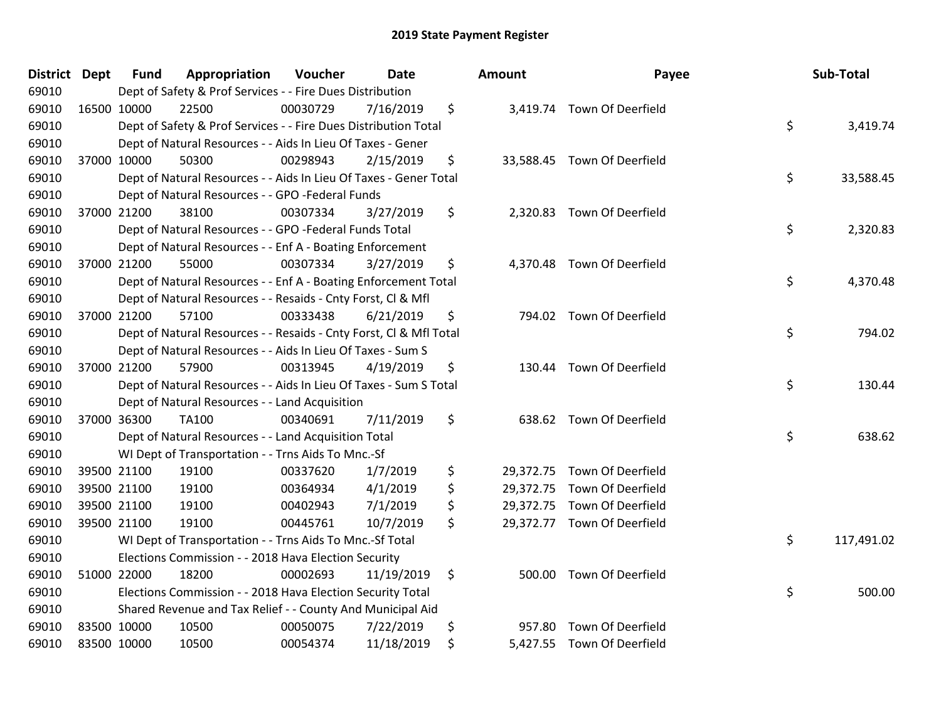| District Dept | <b>Fund</b> | Appropriation                                                      | Voucher  | Date       | <b>Amount</b> | Payee                       | Sub-Total        |
|---------------|-------------|--------------------------------------------------------------------|----------|------------|---------------|-----------------------------|------------------|
| 69010         |             | Dept of Safety & Prof Services - - Fire Dues Distribution          |          |            |               |                             |                  |
| 69010         | 16500 10000 | 22500                                                              | 00030729 | 7/16/2019  | \$            | 3,419.74 Town Of Deerfield  |                  |
| 69010         |             | Dept of Safety & Prof Services - - Fire Dues Distribution Total    |          |            |               |                             | \$<br>3,419.74   |
| 69010         |             | Dept of Natural Resources - - Aids In Lieu Of Taxes - Gener        |          |            |               |                             |                  |
| 69010         | 37000 10000 | 50300                                                              | 00298943 | 2/15/2019  | \$            | 33,588.45 Town Of Deerfield |                  |
| 69010         |             | Dept of Natural Resources - - Aids In Lieu Of Taxes - Gener Total  |          |            |               |                             | \$<br>33,588.45  |
| 69010         |             | Dept of Natural Resources - - GPO -Federal Funds                   |          |            |               |                             |                  |
| 69010         | 37000 21200 | 38100                                                              | 00307334 | 3/27/2019  | \$            | 2,320.83 Town Of Deerfield  |                  |
| 69010         |             | Dept of Natural Resources - - GPO -Federal Funds Total             |          |            |               |                             | \$<br>2,320.83   |
| 69010         |             | Dept of Natural Resources - - Enf A - Boating Enforcement          |          |            |               |                             |                  |
| 69010         | 37000 21200 | 55000                                                              | 00307334 | 3/27/2019  | \$            | 4,370.48 Town Of Deerfield  |                  |
| 69010         |             | Dept of Natural Resources - - Enf A - Boating Enforcement Total    |          |            |               |                             | \$<br>4,370.48   |
| 69010         |             | Dept of Natural Resources - - Resaids - Cnty Forst, Cl & Mfl       |          |            |               |                             |                  |
| 69010         | 37000 21200 | 57100                                                              | 00333438 | 6/21/2019  | \$            | 794.02 Town Of Deerfield    |                  |
| 69010         |             | Dept of Natural Resources - - Resaids - Cnty Forst, Cl & Mfl Total |          |            |               |                             | \$<br>794.02     |
| 69010         |             | Dept of Natural Resources - - Aids In Lieu Of Taxes - Sum S        |          |            |               |                             |                  |
| 69010         | 37000 21200 | 57900                                                              | 00313945 | 4/19/2019  | \$<br>130.44  | Town Of Deerfield           |                  |
| 69010         |             | Dept of Natural Resources - - Aids In Lieu Of Taxes - Sum S Total  |          |            |               |                             | \$<br>130.44     |
| 69010         |             | Dept of Natural Resources - - Land Acquisition                     |          |            |               |                             |                  |
| 69010         | 37000 36300 | TA100                                                              | 00340691 | 7/11/2019  | \$            | 638.62 Town Of Deerfield    |                  |
| 69010         |             | Dept of Natural Resources - - Land Acquisition Total               |          |            |               |                             | \$<br>638.62     |
| 69010         |             | WI Dept of Transportation - - Trns Aids To Mnc.-Sf                 |          |            |               |                             |                  |
| 69010         | 39500 21100 | 19100                                                              | 00337620 | 1/7/2019   | \$            | 29,372.75 Town Of Deerfield |                  |
| 69010         | 39500 21100 | 19100                                                              | 00364934 | 4/1/2019   | \$            | 29,372.75 Town Of Deerfield |                  |
| 69010         | 39500 21100 | 19100                                                              | 00402943 | 7/1/2019   | \$            | 29,372.75 Town Of Deerfield |                  |
| 69010         | 39500 21100 | 19100                                                              | 00445761 | 10/7/2019  | \$            | 29,372.77 Town Of Deerfield |                  |
| 69010         |             | WI Dept of Transportation - - Trns Aids To Mnc.-Sf Total           |          |            |               |                             | \$<br>117,491.02 |
| 69010         |             | Elections Commission - - 2018 Hava Election Security               |          |            |               |                             |                  |
| 69010         | 51000 22000 | 18200                                                              | 00002693 | 11/19/2019 | \$            | 500.00 Town Of Deerfield    |                  |
| 69010         |             | Elections Commission - - 2018 Hava Election Security Total         |          |            |               |                             | \$<br>500.00     |
| 69010         |             | Shared Revenue and Tax Relief - - County And Municipal Aid         |          |            |               |                             |                  |
| 69010         | 83500 10000 | 10500                                                              | 00050075 | 7/22/2019  | \$            | 957.80 Town Of Deerfield    |                  |
| 69010         | 83500 10000 | 10500                                                              | 00054374 | 11/18/2019 | \$            | 5,427.55 Town Of Deerfield  |                  |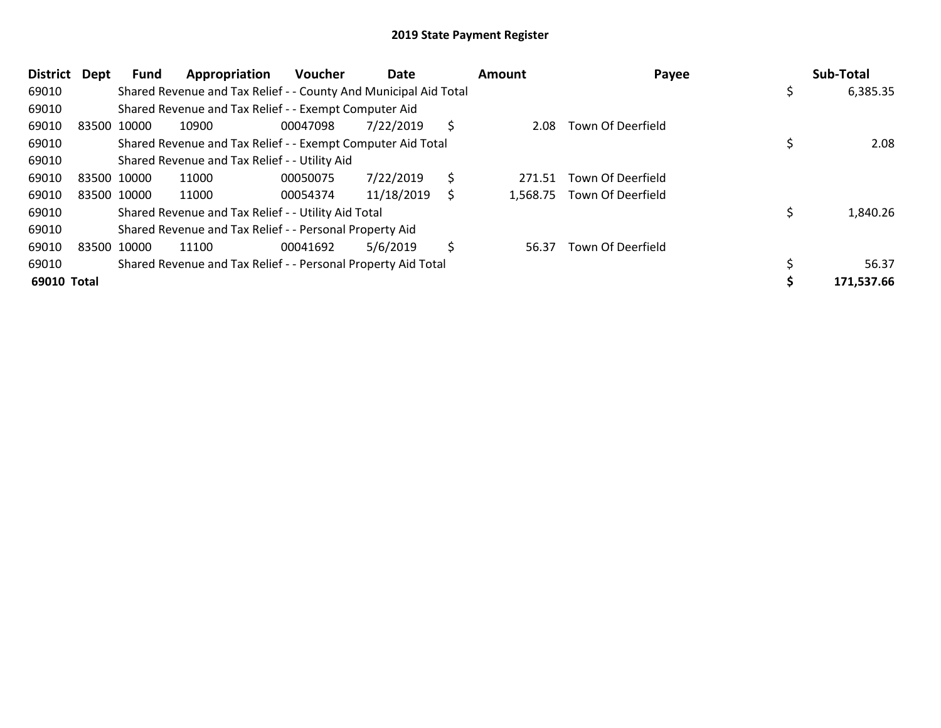| <b>District</b> | <b>Dept</b> | Fund        | Appropriation                                                    | Voucher  | Date       |    | Amount | Payee                      |     | Sub-Total  |
|-----------------|-------------|-------------|------------------------------------------------------------------|----------|------------|----|--------|----------------------------|-----|------------|
| 69010           |             |             | Shared Revenue and Tax Relief - - County And Municipal Aid Total |          |            |    |        |                            | \$. | 6,385.35   |
| 69010           |             |             | Shared Revenue and Tax Relief - - Exempt Computer Aid            |          |            |    |        |                            |     |            |
| 69010           |             | 83500 10000 | 10900                                                            | 00047098 | 7/22/2019  | S  | 2.08   | Town Of Deerfield          |     |            |
| 69010           |             |             | Shared Revenue and Tax Relief - - Exempt Computer Aid Total      |          |            |    |        |                            |     | 2.08       |
| 69010           |             |             | Shared Revenue and Tax Relief - - Utility Aid                    |          |            |    |        |                            |     |            |
| 69010           |             | 83500 10000 | 11000                                                            | 00050075 | 7/22/2019  | \$ | 271.51 | Town Of Deerfield          |     |            |
| 69010           |             | 83500 10000 | 11000                                                            | 00054374 | 11/18/2019 | S  |        | 1,568.75 Town Of Deerfield |     |            |
| 69010           |             |             | Shared Revenue and Tax Relief - - Utility Aid Total              |          |            |    |        |                            |     | 1,840.26   |
| 69010           |             |             | Shared Revenue and Tax Relief - - Personal Property Aid          |          |            |    |        |                            |     |            |
| 69010           |             | 83500 10000 | 11100                                                            | 00041692 | 5/6/2019   | \$ | 56.37  | <b>Town Of Deerfield</b>   |     |            |
| 69010           |             |             | Shared Revenue and Tax Relief - - Personal Property Aid Total    |          |            |    |        |                            |     | 56.37      |
| 69010 Total     |             |             |                                                                  |          |            |    |        |                            |     | 171,537.66 |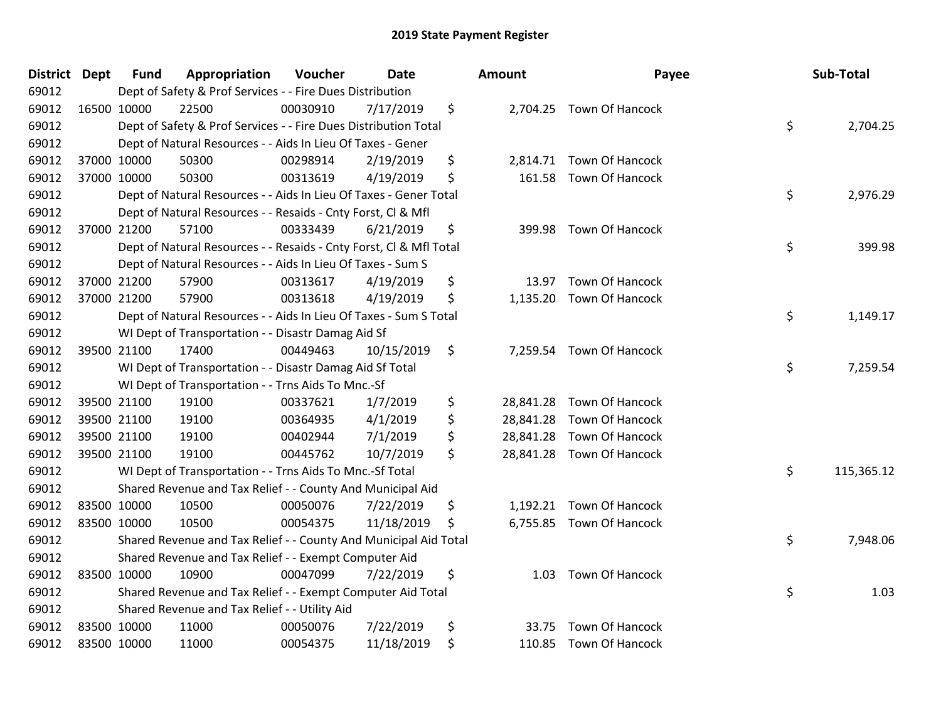| 69012<br>Dept of Safety & Prof Services - - Fire Dues Distribution<br>69012<br>\$<br>16500 10000<br>22500<br>00030910<br>7/17/2019<br>2,704.25 Town Of Hancock<br>\$<br>69012<br>Dept of Safety & Prof Services - - Fire Dues Distribution Total<br>2,704.25<br>69012<br>Dept of Natural Resources - - Aids In Lieu Of Taxes - Gener<br>\$<br>69012<br>37000 10000<br>50300<br>00298914<br>2/19/2019<br>2,814.71<br><b>Town Of Hancock</b><br>69012<br>37000 10000<br>Town Of Hancock<br>50300<br>00313619<br>4/19/2019<br>\$<br>161.58<br>\$<br>2,976.29<br>69012<br>Dept of Natural Resources - - Aids In Lieu Of Taxes - Gener Total<br>69012<br>Dept of Natural Resources - - Resaids - Cnty Forst, Cl & Mfl<br>\$<br>69012<br>37000 21200<br>57100<br>00333439<br>6/21/2019<br><b>Town Of Hancock</b><br>399.98<br>\$<br>69012<br>Dept of Natural Resources - - Resaids - Cnty Forst, Cl & Mfl Total<br>399.98<br>69012<br>Dept of Natural Resources - - Aids In Lieu Of Taxes - Sum S<br>\$<br>69012<br>37000 21200<br>57900<br>00313617<br>4/19/2019<br><b>Town Of Hancock</b><br>13.97<br>69012<br>37000 21200<br>57900<br>00313618<br>4/19/2019<br>\$<br>1,135.20<br>Town Of Hancock<br>\$<br>69012<br>Dept of Natural Resources - - Aids In Lieu Of Taxes - Sum S Total<br>1,149.17<br>69012<br>WI Dept of Transportation - - Disastr Damag Aid Sf<br>69012<br>39500 21100<br>17400<br>00449463<br>10/15/2019<br>Town Of Hancock<br>\$<br>7,259.54<br>\$<br>69012<br>7,259.54<br>WI Dept of Transportation - - Disastr Damag Aid Sf Total<br>69012<br>WI Dept of Transportation - - Trns Aids To Mnc.-Sf<br>69012<br>39500 21100<br>19100<br>00337621<br>\$<br>Town Of Hancock<br>1/7/2019<br>28,841.28<br>\$<br>69012<br>39500 21100<br>28,841.28 Town Of Hancock<br>19100<br>00364935<br>4/1/2019<br>\$<br><b>Town Of Hancock</b><br>69012<br>39500 21100<br>19100<br>00402944<br>7/1/2019<br>28,841.28<br>\$<br>69012<br>39500 21100<br>19100<br>00445762<br>10/7/2019<br>28,841.28 Town Of Hancock<br>\$<br>69012<br>WI Dept of Transportation - - Trns Aids To Mnc.-Sf Total<br>115,365.12<br>69012<br>Shared Revenue and Tax Relief - - County And Municipal Aid<br>69012<br>83500 10000<br>10500<br>00050076<br>7/22/2019<br>\$<br>1,192.21 Town Of Hancock<br>69012<br>6,755.85 Town Of Hancock<br>83500 10000<br>10500<br>00054375<br>11/18/2019<br>\$<br>\$<br>69012<br>Shared Revenue and Tax Relief - - County And Municipal Aid Total<br>7,948.06<br>69012<br>Shared Revenue and Tax Relief - - Exempt Computer Aid<br>69012<br>83500 10000<br>\$<br><b>Town Of Hancock</b><br>10900<br>00047099<br>7/22/2019<br>1.03<br>\$<br>69012<br>1.03<br>Shared Revenue and Tax Relief - - Exempt Computer Aid Total<br>69012<br>Shared Revenue and Tax Relief - - Utility Aid<br>\$<br>83500 10000<br>11000<br>7/22/2019<br>Town Of Hancock<br>69012<br>00050076<br>33.75 | <b>District</b> | <b>Dept</b> | <b>Fund</b> | Appropriation | Voucher  | <b>Date</b> | Amount | Payee | Sub-Total |
|------------------------------------------------------------------------------------------------------------------------------------------------------------------------------------------------------------------------------------------------------------------------------------------------------------------------------------------------------------------------------------------------------------------------------------------------------------------------------------------------------------------------------------------------------------------------------------------------------------------------------------------------------------------------------------------------------------------------------------------------------------------------------------------------------------------------------------------------------------------------------------------------------------------------------------------------------------------------------------------------------------------------------------------------------------------------------------------------------------------------------------------------------------------------------------------------------------------------------------------------------------------------------------------------------------------------------------------------------------------------------------------------------------------------------------------------------------------------------------------------------------------------------------------------------------------------------------------------------------------------------------------------------------------------------------------------------------------------------------------------------------------------------------------------------------------------------------------------------------------------------------------------------------------------------------------------------------------------------------------------------------------------------------------------------------------------------------------------------------------------------------------------------------------------------------------------------------------------------------------------------------------------------------------------------------------------------------------------------------------------------------------------------------------------------------------------------------------------------------------------------------------------------------------------------------------------------------------------------------------------------------------------------------------------------------------------------------------------------------------------------------------------------------------------------------------------------------------------------------------------------------------|-----------------|-------------|-------------|---------------|----------|-------------|--------|-------|-----------|
|                                                                                                                                                                                                                                                                                                                                                                                                                                                                                                                                                                                                                                                                                                                                                                                                                                                                                                                                                                                                                                                                                                                                                                                                                                                                                                                                                                                                                                                                                                                                                                                                                                                                                                                                                                                                                                                                                                                                                                                                                                                                                                                                                                                                                                                                                                                                                                                                                                                                                                                                                                                                                                                                                                                                                                                                                                                                                          |                 |             |             |               |          |             |        |       |           |
|                                                                                                                                                                                                                                                                                                                                                                                                                                                                                                                                                                                                                                                                                                                                                                                                                                                                                                                                                                                                                                                                                                                                                                                                                                                                                                                                                                                                                                                                                                                                                                                                                                                                                                                                                                                                                                                                                                                                                                                                                                                                                                                                                                                                                                                                                                                                                                                                                                                                                                                                                                                                                                                                                                                                                                                                                                                                                          |                 |             |             |               |          |             |        |       |           |
|                                                                                                                                                                                                                                                                                                                                                                                                                                                                                                                                                                                                                                                                                                                                                                                                                                                                                                                                                                                                                                                                                                                                                                                                                                                                                                                                                                                                                                                                                                                                                                                                                                                                                                                                                                                                                                                                                                                                                                                                                                                                                                                                                                                                                                                                                                                                                                                                                                                                                                                                                                                                                                                                                                                                                                                                                                                                                          |                 |             |             |               |          |             |        |       |           |
|                                                                                                                                                                                                                                                                                                                                                                                                                                                                                                                                                                                                                                                                                                                                                                                                                                                                                                                                                                                                                                                                                                                                                                                                                                                                                                                                                                                                                                                                                                                                                                                                                                                                                                                                                                                                                                                                                                                                                                                                                                                                                                                                                                                                                                                                                                                                                                                                                                                                                                                                                                                                                                                                                                                                                                                                                                                                                          |                 |             |             |               |          |             |        |       |           |
|                                                                                                                                                                                                                                                                                                                                                                                                                                                                                                                                                                                                                                                                                                                                                                                                                                                                                                                                                                                                                                                                                                                                                                                                                                                                                                                                                                                                                                                                                                                                                                                                                                                                                                                                                                                                                                                                                                                                                                                                                                                                                                                                                                                                                                                                                                                                                                                                                                                                                                                                                                                                                                                                                                                                                                                                                                                                                          |                 |             |             |               |          |             |        |       |           |
|                                                                                                                                                                                                                                                                                                                                                                                                                                                                                                                                                                                                                                                                                                                                                                                                                                                                                                                                                                                                                                                                                                                                                                                                                                                                                                                                                                                                                                                                                                                                                                                                                                                                                                                                                                                                                                                                                                                                                                                                                                                                                                                                                                                                                                                                                                                                                                                                                                                                                                                                                                                                                                                                                                                                                                                                                                                                                          |                 |             |             |               |          |             |        |       |           |
|                                                                                                                                                                                                                                                                                                                                                                                                                                                                                                                                                                                                                                                                                                                                                                                                                                                                                                                                                                                                                                                                                                                                                                                                                                                                                                                                                                                                                                                                                                                                                                                                                                                                                                                                                                                                                                                                                                                                                                                                                                                                                                                                                                                                                                                                                                                                                                                                                                                                                                                                                                                                                                                                                                                                                                                                                                                                                          |                 |             |             |               |          |             |        |       |           |
|                                                                                                                                                                                                                                                                                                                                                                                                                                                                                                                                                                                                                                                                                                                                                                                                                                                                                                                                                                                                                                                                                                                                                                                                                                                                                                                                                                                                                                                                                                                                                                                                                                                                                                                                                                                                                                                                                                                                                                                                                                                                                                                                                                                                                                                                                                                                                                                                                                                                                                                                                                                                                                                                                                                                                                                                                                                                                          |                 |             |             |               |          |             |        |       |           |
|                                                                                                                                                                                                                                                                                                                                                                                                                                                                                                                                                                                                                                                                                                                                                                                                                                                                                                                                                                                                                                                                                                                                                                                                                                                                                                                                                                                                                                                                                                                                                                                                                                                                                                                                                                                                                                                                                                                                                                                                                                                                                                                                                                                                                                                                                                                                                                                                                                                                                                                                                                                                                                                                                                                                                                                                                                                                                          |                 |             |             |               |          |             |        |       |           |
|                                                                                                                                                                                                                                                                                                                                                                                                                                                                                                                                                                                                                                                                                                                                                                                                                                                                                                                                                                                                                                                                                                                                                                                                                                                                                                                                                                                                                                                                                                                                                                                                                                                                                                                                                                                                                                                                                                                                                                                                                                                                                                                                                                                                                                                                                                                                                                                                                                                                                                                                                                                                                                                                                                                                                                                                                                                                                          |                 |             |             |               |          |             |        |       |           |
|                                                                                                                                                                                                                                                                                                                                                                                                                                                                                                                                                                                                                                                                                                                                                                                                                                                                                                                                                                                                                                                                                                                                                                                                                                                                                                                                                                                                                                                                                                                                                                                                                                                                                                                                                                                                                                                                                                                                                                                                                                                                                                                                                                                                                                                                                                                                                                                                                                                                                                                                                                                                                                                                                                                                                                                                                                                                                          |                 |             |             |               |          |             |        |       |           |
|                                                                                                                                                                                                                                                                                                                                                                                                                                                                                                                                                                                                                                                                                                                                                                                                                                                                                                                                                                                                                                                                                                                                                                                                                                                                                                                                                                                                                                                                                                                                                                                                                                                                                                                                                                                                                                                                                                                                                                                                                                                                                                                                                                                                                                                                                                                                                                                                                                                                                                                                                                                                                                                                                                                                                                                                                                                                                          |                 |             |             |               |          |             |        |       |           |
|                                                                                                                                                                                                                                                                                                                                                                                                                                                                                                                                                                                                                                                                                                                                                                                                                                                                                                                                                                                                                                                                                                                                                                                                                                                                                                                                                                                                                                                                                                                                                                                                                                                                                                                                                                                                                                                                                                                                                                                                                                                                                                                                                                                                                                                                                                                                                                                                                                                                                                                                                                                                                                                                                                                                                                                                                                                                                          |                 |             |             |               |          |             |        |       |           |
|                                                                                                                                                                                                                                                                                                                                                                                                                                                                                                                                                                                                                                                                                                                                                                                                                                                                                                                                                                                                                                                                                                                                                                                                                                                                                                                                                                                                                                                                                                                                                                                                                                                                                                                                                                                                                                                                                                                                                                                                                                                                                                                                                                                                                                                                                                                                                                                                                                                                                                                                                                                                                                                                                                                                                                                                                                                                                          |                 |             |             |               |          |             |        |       |           |
|                                                                                                                                                                                                                                                                                                                                                                                                                                                                                                                                                                                                                                                                                                                                                                                                                                                                                                                                                                                                                                                                                                                                                                                                                                                                                                                                                                                                                                                                                                                                                                                                                                                                                                                                                                                                                                                                                                                                                                                                                                                                                                                                                                                                                                                                                                                                                                                                                                                                                                                                                                                                                                                                                                                                                                                                                                                                                          |                 |             |             |               |          |             |        |       |           |
|                                                                                                                                                                                                                                                                                                                                                                                                                                                                                                                                                                                                                                                                                                                                                                                                                                                                                                                                                                                                                                                                                                                                                                                                                                                                                                                                                                                                                                                                                                                                                                                                                                                                                                                                                                                                                                                                                                                                                                                                                                                                                                                                                                                                                                                                                                                                                                                                                                                                                                                                                                                                                                                                                                                                                                                                                                                                                          |                 |             |             |               |          |             |        |       |           |
|                                                                                                                                                                                                                                                                                                                                                                                                                                                                                                                                                                                                                                                                                                                                                                                                                                                                                                                                                                                                                                                                                                                                                                                                                                                                                                                                                                                                                                                                                                                                                                                                                                                                                                                                                                                                                                                                                                                                                                                                                                                                                                                                                                                                                                                                                                                                                                                                                                                                                                                                                                                                                                                                                                                                                                                                                                                                                          |                 |             |             |               |          |             |        |       |           |
|                                                                                                                                                                                                                                                                                                                                                                                                                                                                                                                                                                                                                                                                                                                                                                                                                                                                                                                                                                                                                                                                                                                                                                                                                                                                                                                                                                                                                                                                                                                                                                                                                                                                                                                                                                                                                                                                                                                                                                                                                                                                                                                                                                                                                                                                                                                                                                                                                                                                                                                                                                                                                                                                                                                                                                                                                                                                                          |                 |             |             |               |          |             |        |       |           |
|                                                                                                                                                                                                                                                                                                                                                                                                                                                                                                                                                                                                                                                                                                                                                                                                                                                                                                                                                                                                                                                                                                                                                                                                                                                                                                                                                                                                                                                                                                                                                                                                                                                                                                                                                                                                                                                                                                                                                                                                                                                                                                                                                                                                                                                                                                                                                                                                                                                                                                                                                                                                                                                                                                                                                                                                                                                                                          |                 |             |             |               |          |             |        |       |           |
|                                                                                                                                                                                                                                                                                                                                                                                                                                                                                                                                                                                                                                                                                                                                                                                                                                                                                                                                                                                                                                                                                                                                                                                                                                                                                                                                                                                                                                                                                                                                                                                                                                                                                                                                                                                                                                                                                                                                                                                                                                                                                                                                                                                                                                                                                                                                                                                                                                                                                                                                                                                                                                                                                                                                                                                                                                                                                          |                 |             |             |               |          |             |        |       |           |
|                                                                                                                                                                                                                                                                                                                                                                                                                                                                                                                                                                                                                                                                                                                                                                                                                                                                                                                                                                                                                                                                                                                                                                                                                                                                                                                                                                                                                                                                                                                                                                                                                                                                                                                                                                                                                                                                                                                                                                                                                                                                                                                                                                                                                                                                                                                                                                                                                                                                                                                                                                                                                                                                                                                                                                                                                                                                                          |                 |             |             |               |          |             |        |       |           |
|                                                                                                                                                                                                                                                                                                                                                                                                                                                                                                                                                                                                                                                                                                                                                                                                                                                                                                                                                                                                                                                                                                                                                                                                                                                                                                                                                                                                                                                                                                                                                                                                                                                                                                                                                                                                                                                                                                                                                                                                                                                                                                                                                                                                                                                                                                                                                                                                                                                                                                                                                                                                                                                                                                                                                                                                                                                                                          |                 |             |             |               |          |             |        |       |           |
|                                                                                                                                                                                                                                                                                                                                                                                                                                                                                                                                                                                                                                                                                                                                                                                                                                                                                                                                                                                                                                                                                                                                                                                                                                                                                                                                                                                                                                                                                                                                                                                                                                                                                                                                                                                                                                                                                                                                                                                                                                                                                                                                                                                                                                                                                                                                                                                                                                                                                                                                                                                                                                                                                                                                                                                                                                                                                          |                 |             |             |               |          |             |        |       |           |
|                                                                                                                                                                                                                                                                                                                                                                                                                                                                                                                                                                                                                                                                                                                                                                                                                                                                                                                                                                                                                                                                                                                                                                                                                                                                                                                                                                                                                                                                                                                                                                                                                                                                                                                                                                                                                                                                                                                                                                                                                                                                                                                                                                                                                                                                                                                                                                                                                                                                                                                                                                                                                                                                                                                                                                                                                                                                                          |                 |             |             |               |          |             |        |       |           |
|                                                                                                                                                                                                                                                                                                                                                                                                                                                                                                                                                                                                                                                                                                                                                                                                                                                                                                                                                                                                                                                                                                                                                                                                                                                                                                                                                                                                                                                                                                                                                                                                                                                                                                                                                                                                                                                                                                                                                                                                                                                                                                                                                                                                                                                                                                                                                                                                                                                                                                                                                                                                                                                                                                                                                                                                                                                                                          |                 |             |             |               |          |             |        |       |           |
|                                                                                                                                                                                                                                                                                                                                                                                                                                                                                                                                                                                                                                                                                                                                                                                                                                                                                                                                                                                                                                                                                                                                                                                                                                                                                                                                                                                                                                                                                                                                                                                                                                                                                                                                                                                                                                                                                                                                                                                                                                                                                                                                                                                                                                                                                                                                                                                                                                                                                                                                                                                                                                                                                                                                                                                                                                                                                          |                 |             |             |               |          |             |        |       |           |
|                                                                                                                                                                                                                                                                                                                                                                                                                                                                                                                                                                                                                                                                                                                                                                                                                                                                                                                                                                                                                                                                                                                                                                                                                                                                                                                                                                                                                                                                                                                                                                                                                                                                                                                                                                                                                                                                                                                                                                                                                                                                                                                                                                                                                                                                                                                                                                                                                                                                                                                                                                                                                                                                                                                                                                                                                                                                                          |                 |             |             |               |          |             |        |       |           |
|                                                                                                                                                                                                                                                                                                                                                                                                                                                                                                                                                                                                                                                                                                                                                                                                                                                                                                                                                                                                                                                                                                                                                                                                                                                                                                                                                                                                                                                                                                                                                                                                                                                                                                                                                                                                                                                                                                                                                                                                                                                                                                                                                                                                                                                                                                                                                                                                                                                                                                                                                                                                                                                                                                                                                                                                                                                                                          |                 |             |             |               |          |             |        |       |           |
|                                                                                                                                                                                                                                                                                                                                                                                                                                                                                                                                                                                                                                                                                                                                                                                                                                                                                                                                                                                                                                                                                                                                                                                                                                                                                                                                                                                                                                                                                                                                                                                                                                                                                                                                                                                                                                                                                                                                                                                                                                                                                                                                                                                                                                                                                                                                                                                                                                                                                                                                                                                                                                                                                                                                                                                                                                                                                          |                 |             |             |               |          |             |        |       |           |
|                                                                                                                                                                                                                                                                                                                                                                                                                                                                                                                                                                                                                                                                                                                                                                                                                                                                                                                                                                                                                                                                                                                                                                                                                                                                                                                                                                                                                                                                                                                                                                                                                                                                                                                                                                                                                                                                                                                                                                                                                                                                                                                                                                                                                                                                                                                                                                                                                                                                                                                                                                                                                                                                                                                                                                                                                                                                                          |                 |             |             |               |          |             |        |       |           |
|                                                                                                                                                                                                                                                                                                                                                                                                                                                                                                                                                                                                                                                                                                                                                                                                                                                                                                                                                                                                                                                                                                                                                                                                                                                                                                                                                                                                                                                                                                                                                                                                                                                                                                                                                                                                                                                                                                                                                                                                                                                                                                                                                                                                                                                                                                                                                                                                                                                                                                                                                                                                                                                                                                                                                                                                                                                                                          |                 |             |             |               |          |             |        |       |           |
|                                                                                                                                                                                                                                                                                                                                                                                                                                                                                                                                                                                                                                                                                                                                                                                                                                                                                                                                                                                                                                                                                                                                                                                                                                                                                                                                                                                                                                                                                                                                                                                                                                                                                                                                                                                                                                                                                                                                                                                                                                                                                                                                                                                                                                                                                                                                                                                                                                                                                                                                                                                                                                                                                                                                                                                                                                                                                          |                 |             |             |               |          |             |        |       |           |
| 110.85 Town Of Hancock<br>83500 10000                                                                                                                                                                                                                                                                                                                                                                                                                                                                                                                                                                                                                                                                                                                                                                                                                                                                                                                                                                                                                                                                                                                                                                                                                                                                                                                                                                                                                                                                                                                                                                                                                                                                                                                                                                                                                                                                                                                                                                                                                                                                                                                                                                                                                                                                                                                                                                                                                                                                                                                                                                                                                                                                                                                                                                                                                                                    | 69012           |             |             | 11000         | 00054375 | 11/18/2019  | \$     |       |           |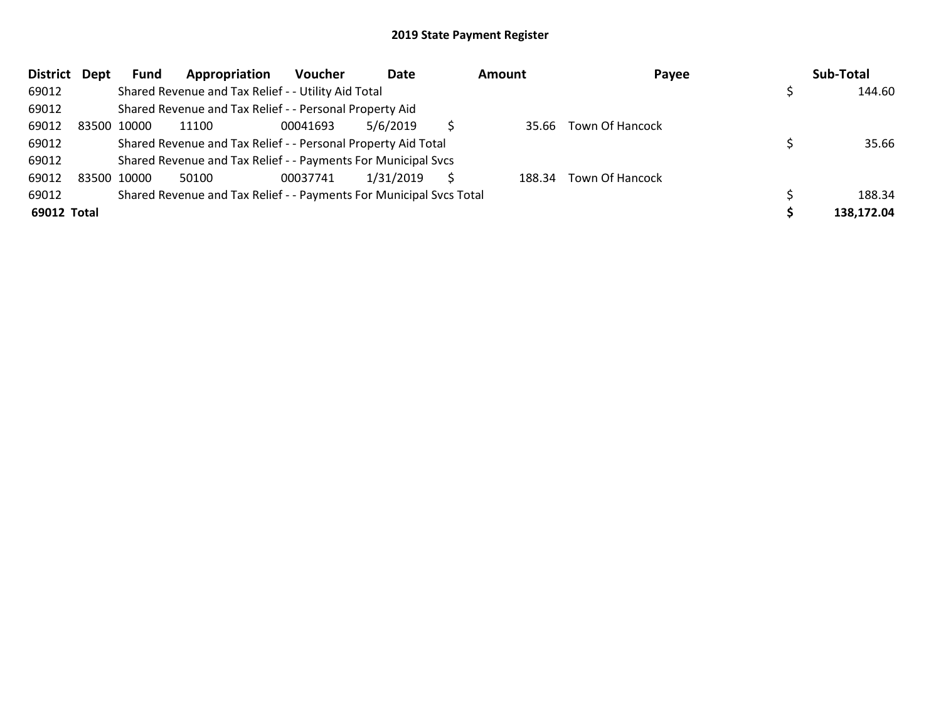| District Dept | <b>Fund</b> | Appropriation                                                       | Voucher  | Date      | <b>Amount</b> | Payee                  | Sub-Total  |
|---------------|-------------|---------------------------------------------------------------------|----------|-----------|---------------|------------------------|------------|
| 69012         |             | Shared Revenue and Tax Relief - - Utility Aid Total                 |          |           |               |                        | 144.60     |
| 69012         |             | Shared Revenue and Tax Relief - - Personal Property Aid             |          |           |               |                        |            |
| 69012         | 83500 10000 | 11100                                                               | 00041693 | 5/6/2019  |               | 35.66 Town Of Hancock  |            |
| 69012         |             | Shared Revenue and Tax Relief - - Personal Property Aid Total       |          |           |               |                        | 35.66      |
| 69012         |             | Shared Revenue and Tax Relief - - Payments For Municipal Svcs       |          |           |               |                        |            |
| 69012         | 83500 10000 | 50100                                                               | 00037741 | 1/31/2019 |               | 188.34 Town Of Hancock |            |
| 69012         |             | Shared Revenue and Tax Relief - - Payments For Municipal Svcs Total |          |           |               |                        | 188.34     |
| 69012 Total   |             |                                                                     |          |           |               |                        | 138.172.04 |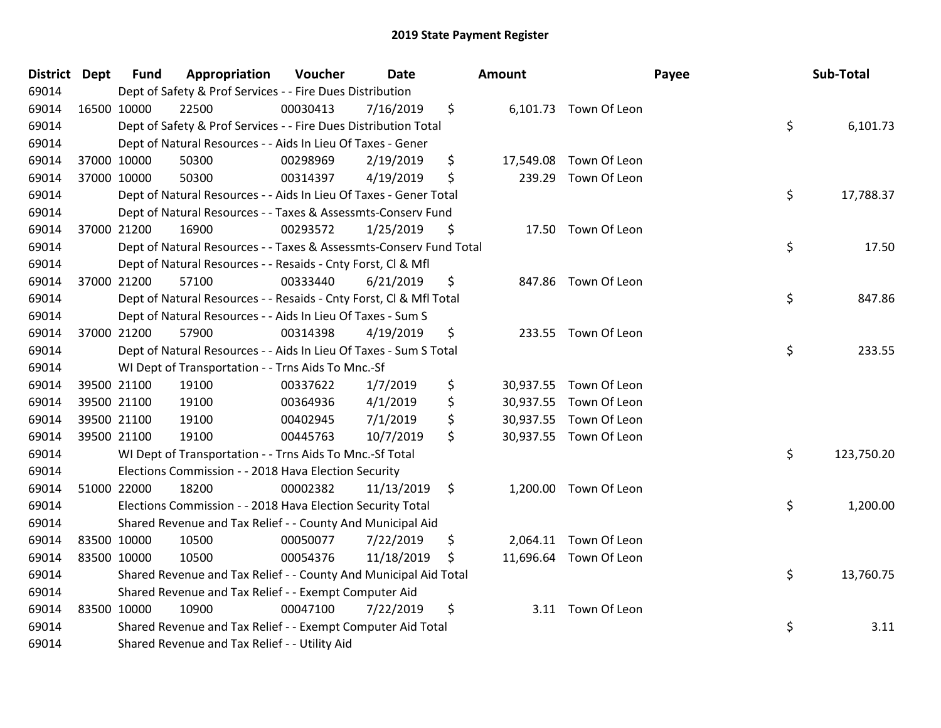| District Dept |             | <b>Fund</b> | Appropriation                                                      | Voucher  | <b>Date</b> | Amount       |                        | Payee | Sub-Total  |
|---------------|-------------|-------------|--------------------------------------------------------------------|----------|-------------|--------------|------------------------|-------|------------|
| 69014         |             |             | Dept of Safety & Prof Services - - Fire Dues Distribution          |          |             |              |                        |       |            |
| 69014         | 16500 10000 |             | 22500                                                              | 00030413 | 7/16/2019   | \$           | 6,101.73 Town Of Leon  |       |            |
| 69014         |             |             | Dept of Safety & Prof Services - - Fire Dues Distribution Total    |          |             |              |                        | \$    | 6,101.73   |
| 69014         |             |             | Dept of Natural Resources - - Aids In Lieu Of Taxes - Gener        |          |             |              |                        |       |            |
| 69014         |             | 37000 10000 | 50300                                                              | 00298969 | 2/19/2019   | \$           | 17,549.08 Town Of Leon |       |            |
| 69014         |             | 37000 10000 | 50300                                                              | 00314397 | 4/19/2019   | \$<br>239.29 | Town Of Leon           |       |            |
| 69014         |             |             | Dept of Natural Resources - - Aids In Lieu Of Taxes - Gener Total  |          |             |              |                        | \$    | 17,788.37  |
| 69014         |             |             | Dept of Natural Resources - - Taxes & Assessmts-Conserv Fund       |          |             |              |                        |       |            |
| 69014         |             | 37000 21200 | 16900                                                              | 00293572 | 1/25/2019   | \$           | 17.50 Town Of Leon     |       |            |
| 69014         |             |             | Dept of Natural Resources - - Taxes & Assessmts-Conserv Fund Total |          |             |              |                        | \$    | 17.50      |
| 69014         |             |             | Dept of Natural Resources - - Resaids - Cnty Forst, Cl & Mfl       |          |             |              |                        |       |            |
| 69014         |             | 37000 21200 | 57100                                                              | 00333440 | 6/21/2019   | \$           | 847.86 Town Of Leon    |       |            |
| 69014         |             |             | Dept of Natural Resources - - Resaids - Cnty Forst, Cl & Mfl Total |          |             |              |                        | \$    | 847.86     |
| 69014         |             |             | Dept of Natural Resources - - Aids In Lieu Of Taxes - Sum S        |          |             |              |                        |       |            |
| 69014         | 37000 21200 |             | 57900                                                              | 00314398 | 4/19/2019   | \$           | 233.55 Town Of Leon    |       |            |
| 69014         |             |             | Dept of Natural Resources - - Aids In Lieu Of Taxes - Sum S Total  |          |             |              |                        | \$    | 233.55     |
| 69014         |             |             | WI Dept of Transportation - - Trns Aids To Mnc.-Sf                 |          |             |              |                        |       |            |
| 69014         |             | 39500 21100 | 19100                                                              | 00337622 | 1/7/2019    | \$           | 30,937.55 Town Of Leon |       |            |
| 69014         | 39500 21100 |             | 19100                                                              | 00364936 | 4/1/2019    | \$           | 30,937.55 Town Of Leon |       |            |
| 69014         |             | 39500 21100 | 19100                                                              | 00402945 | 7/1/2019    | \$           | 30,937.55 Town Of Leon |       |            |
| 69014         |             | 39500 21100 | 19100                                                              | 00445763 | 10/7/2019   | \$           | 30,937.55 Town Of Leon |       |            |
| 69014         |             |             | WI Dept of Transportation - - Trns Aids To Mnc.-Sf Total           |          |             |              |                        | \$    | 123,750.20 |
| 69014         |             |             | Elections Commission - - 2018 Hava Election Security               |          |             |              |                        |       |            |
| 69014         | 51000 22000 |             | 18200                                                              | 00002382 | 11/13/2019  | \$           | 1,200.00 Town Of Leon  |       |            |
| 69014         |             |             | Elections Commission - - 2018 Hava Election Security Total         |          |             |              |                        | \$    | 1,200.00   |
| 69014         |             |             | Shared Revenue and Tax Relief - - County And Municipal Aid         |          |             |              |                        |       |            |
| 69014         | 83500 10000 |             | 10500                                                              | 00050077 | 7/22/2019   | \$           | 2,064.11 Town Of Leon  |       |            |
| 69014         | 83500 10000 |             | 10500                                                              | 00054376 | 11/18/2019  | \$           | 11,696.64 Town Of Leon |       |            |
| 69014         |             |             | Shared Revenue and Tax Relief - - County And Municipal Aid Total   |          |             |              |                        | \$    | 13,760.75  |
| 69014         |             |             | Shared Revenue and Tax Relief - - Exempt Computer Aid              |          |             |              |                        |       |            |
| 69014         | 83500 10000 |             | 10900                                                              | 00047100 | 7/22/2019   | \$           | 3.11 Town Of Leon      |       |            |
| 69014         |             |             | Shared Revenue and Tax Relief - - Exempt Computer Aid Total        |          |             |              |                        | \$    | 3.11       |
| 69014         |             |             | Shared Revenue and Tax Relief - - Utility Aid                      |          |             |              |                        |       |            |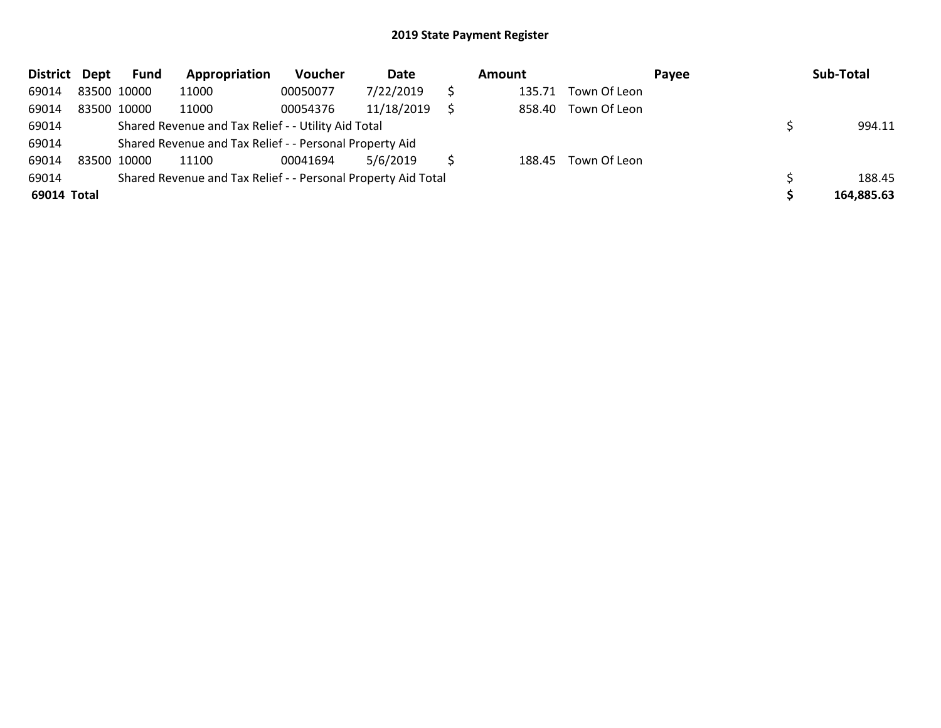| District Dept |             | <b>Fund</b> | Appropriation                                                 | Voucher  | Date       | Amount |              | Payee | Sub-Total  |
|---------------|-------------|-------------|---------------------------------------------------------------|----------|------------|--------|--------------|-------|------------|
| 69014         | 83500 10000 |             | 11000                                                         | 00050077 | 7/22/2019  | 135.71 | Town Of Leon |       |            |
| 69014         | 83500 10000 |             | 11000                                                         | 00054376 | 11/18/2019 | 858.40 | Town Of Leon |       |            |
| 69014         |             |             | Shared Revenue and Tax Relief - - Utility Aid Total           |          |            |        |              |       | 994.11     |
| 69014         |             |             | Shared Revenue and Tax Relief - - Personal Property Aid       |          |            |        |              |       |            |
| 69014         | 83500 10000 |             | 11100                                                         | 00041694 | 5/6/2019   | 188.45 | Town Of Leon |       |            |
| 69014         |             |             | Shared Revenue and Tax Relief - - Personal Property Aid Total |          |            |        |              |       | 188.45     |
| 69014 Total   |             |             |                                                               |          |            |        |              |       | 164,885.63 |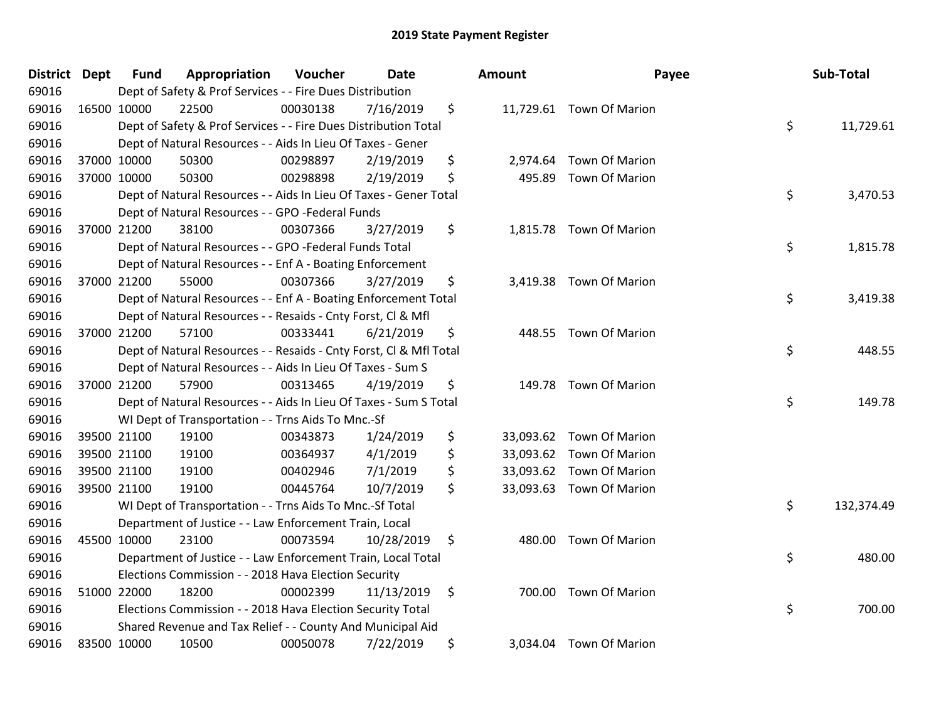| District Dept | <b>Fund</b> | Appropriation                                                      | Voucher  | <b>Date</b> |     | <b>Amount</b> | Payee                    | Sub-Total        |
|---------------|-------------|--------------------------------------------------------------------|----------|-------------|-----|---------------|--------------------------|------------------|
| 69016         |             | Dept of Safety & Prof Services - - Fire Dues Distribution          |          |             |     |               |                          |                  |
| 69016         | 16500 10000 | 22500                                                              | 00030138 | 7/16/2019   | \$  |               | 11,729.61 Town Of Marion |                  |
| 69016         |             | Dept of Safety & Prof Services - - Fire Dues Distribution Total    |          |             |     |               |                          | \$<br>11,729.61  |
| 69016         |             | Dept of Natural Resources - - Aids In Lieu Of Taxes - Gener        |          |             |     |               |                          |                  |
| 69016         | 37000 10000 | 50300                                                              | 00298897 | 2/19/2019   | \$  |               | 2,974.64 Town Of Marion  |                  |
| 69016         | 37000 10000 | 50300                                                              | 00298898 | 2/19/2019   | \$  | 495.89        | <b>Town Of Marion</b>    |                  |
| 69016         |             | Dept of Natural Resources - - Aids In Lieu Of Taxes - Gener Total  |          |             |     |               |                          | \$<br>3,470.53   |
| 69016         |             | Dept of Natural Resources - - GPO -Federal Funds                   |          |             |     |               |                          |                  |
| 69016         | 37000 21200 | 38100                                                              | 00307366 | 3/27/2019   | \$  |               | 1,815.78 Town Of Marion  |                  |
| 69016         |             | Dept of Natural Resources - - GPO -Federal Funds Total             |          |             |     |               |                          | \$<br>1,815.78   |
| 69016         |             | Dept of Natural Resources - - Enf A - Boating Enforcement          |          |             |     |               |                          |                  |
| 69016         | 37000 21200 | 55000                                                              | 00307366 | 3/27/2019   | \$  |               | 3,419.38 Town Of Marion  |                  |
| 69016         |             | Dept of Natural Resources - - Enf A - Boating Enforcement Total    |          |             |     |               |                          | \$<br>3,419.38   |
| 69016         |             | Dept of Natural Resources - - Resaids - Cnty Forst, Cl & Mfl       |          |             |     |               |                          |                  |
| 69016         | 37000 21200 | 57100                                                              | 00333441 | 6/21/2019   | \$  | 448.55        | <b>Town Of Marion</b>    |                  |
| 69016         |             | Dept of Natural Resources - - Resaids - Cnty Forst, CI & Mfl Total |          |             |     |               |                          | \$<br>448.55     |
| 69016         |             | Dept of Natural Resources - - Aids In Lieu Of Taxes - Sum S        |          |             |     |               |                          |                  |
| 69016         | 37000 21200 | 57900                                                              | 00313465 | 4/19/2019   | \$  | 149.78        | Town Of Marion           |                  |
| 69016         |             | Dept of Natural Resources - - Aids In Lieu Of Taxes - Sum S Total  |          |             |     |               |                          | \$<br>149.78     |
| 69016         |             | WI Dept of Transportation - - Trns Aids To Mnc.-Sf                 |          |             |     |               |                          |                  |
| 69016         | 39500 21100 | 19100                                                              | 00343873 | 1/24/2019   | \$  |               | 33,093.62 Town Of Marion |                  |
| 69016         | 39500 21100 | 19100                                                              | 00364937 | 4/1/2019    | \$  |               | 33,093.62 Town Of Marion |                  |
| 69016         | 39500 21100 | 19100                                                              | 00402946 | 7/1/2019    | \$  |               | 33,093.62 Town Of Marion |                  |
| 69016         | 39500 21100 | 19100                                                              | 00445764 | 10/7/2019   | \$  |               | 33,093.63 Town Of Marion |                  |
| 69016         |             | WI Dept of Transportation - - Trns Aids To Mnc.-Sf Total           |          |             |     |               |                          | \$<br>132,374.49 |
| 69016         |             | Department of Justice - - Law Enforcement Train, Local             |          |             |     |               |                          |                  |
| 69016         | 45500 10000 | 23100                                                              | 00073594 | 10/28/2019  | \$  | 480.00        | <b>Town Of Marion</b>    |                  |
| 69016         |             | Department of Justice - - Law Enforcement Train, Local Total       |          |             |     |               |                          | \$<br>480.00     |
| 69016         |             | Elections Commission - - 2018 Hava Election Security               |          |             |     |               |                          |                  |
| 69016         | 51000 22000 | 18200                                                              | 00002399 | 11/13/2019  | -\$ |               | 700.00 Town Of Marion    |                  |
| 69016         |             | Elections Commission - - 2018 Hava Election Security Total         |          |             |     |               |                          | \$<br>700.00     |
| 69016         |             | Shared Revenue and Tax Relief - - County And Municipal Aid         |          |             |     |               |                          |                  |
| 69016         | 83500 10000 | 10500                                                              | 00050078 | 7/22/2019   | \$  |               | 3,034.04 Town Of Marion  |                  |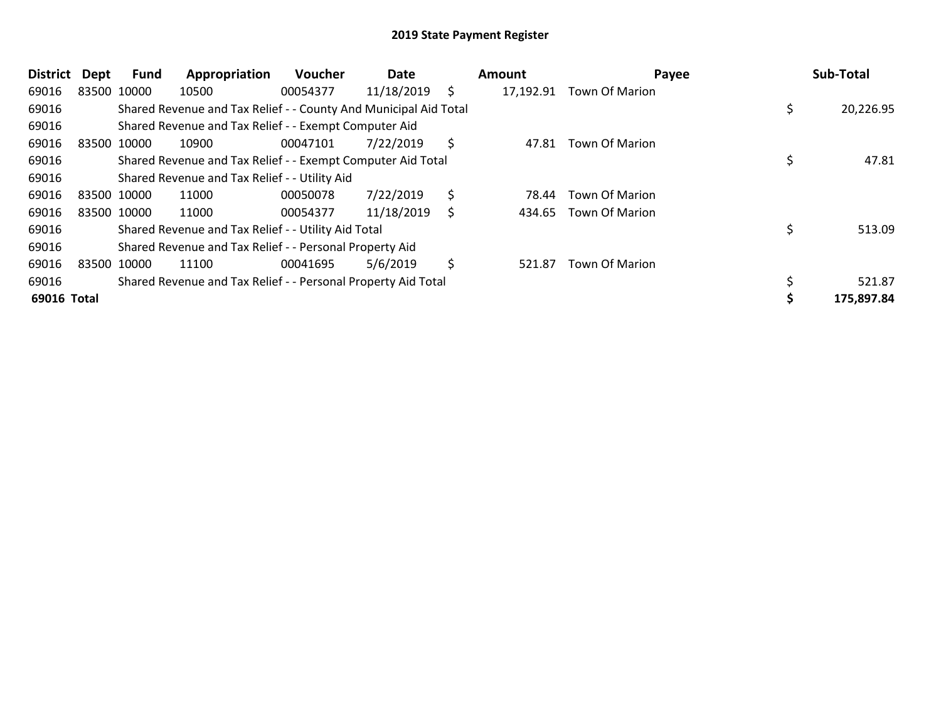| <b>District</b> | <b>Dept</b> | Fund | Appropriation                                                    | <b>Voucher</b> | Date       |    | Amount    | Payee                 | Sub-Total  |
|-----------------|-------------|------|------------------------------------------------------------------|----------------|------------|----|-----------|-----------------------|------------|
| 69016           | 83500 10000 |      | 10500                                                            | 00054377       | 11/18/2019 | \$ | 17,192.91 | Town Of Marion        |            |
| 69016           |             |      | Shared Revenue and Tax Relief - - County And Municipal Aid Total |                |            |    |           |                       | 20,226.95  |
| 69016           |             |      | Shared Revenue and Tax Relief - - Exempt Computer Aid            |                |            |    |           |                       |            |
| 69016           | 83500 10000 |      | 10900                                                            | 00047101       | 7/22/2019  | Ŝ. | 47.81     | <b>Town Of Marion</b> |            |
| 69016           |             |      | Shared Revenue and Tax Relief - - Exempt Computer Aid Total      |                |            |    |           |                       | 47.81      |
| 69016           |             |      | Shared Revenue and Tax Relief - - Utility Aid                    |                |            |    |           |                       |            |
| 69016           | 83500 10000 |      | 11000                                                            | 00050078       | 7/22/2019  | \$ | 78.44     | <b>Town Of Marion</b> |            |
| 69016           | 83500 10000 |      | 11000                                                            | 00054377       | 11/18/2019 | S  | 434.65    | <b>Town Of Marion</b> |            |
| 69016           |             |      | Shared Revenue and Tax Relief - - Utility Aid Total              |                |            |    |           |                       | 513.09     |
| 69016           |             |      | Shared Revenue and Tax Relief - - Personal Property Aid          |                |            |    |           |                       |            |
| 69016           | 83500 10000 |      | 11100                                                            | 00041695       | 5/6/2019   | \$ | 521.87    | <b>Town Of Marion</b> |            |
| 69016           |             |      | Shared Revenue and Tax Relief - - Personal Property Aid Total    |                |            |    |           |                       | 521.87     |
| 69016 Total     |             |      |                                                                  |                |            |    |           |                       | 175,897.84 |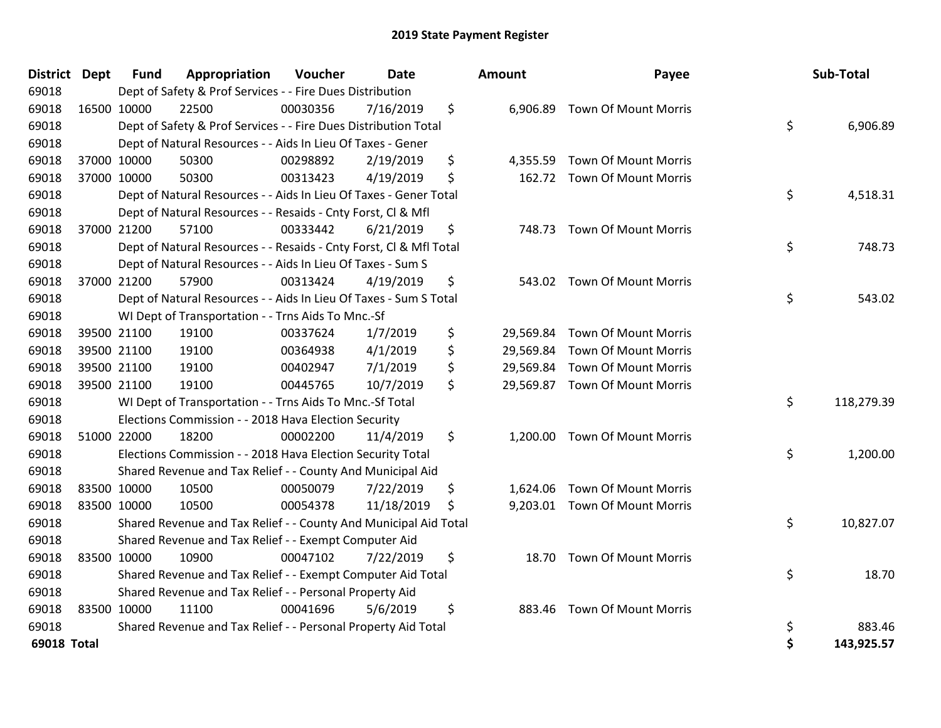| District Dept |             | <b>Fund</b> | Appropriation                                                      | <b>Voucher</b> | Date       | Amount          | Payee                          |    | Sub-Total  |
|---------------|-------------|-------------|--------------------------------------------------------------------|----------------|------------|-----------------|--------------------------------|----|------------|
| 69018         |             |             | Dept of Safety & Prof Services - - Fire Dues Distribution          |                |            |                 |                                |    |            |
| 69018         |             | 16500 10000 | 22500                                                              | 00030356       | 7/16/2019  | \$              | 6,906.89 Town Of Mount Morris  |    |            |
| 69018         |             |             | Dept of Safety & Prof Services - - Fire Dues Distribution Total    |                |            |                 |                                | \$ | 6,906.89   |
| 69018         |             |             | Dept of Natural Resources - - Aids In Lieu Of Taxes - Gener        |                |            |                 |                                |    |            |
| 69018         |             | 37000 10000 | 50300                                                              | 00298892       | 2/19/2019  | \$<br>4,355.59  | Town Of Mount Morris           |    |            |
| 69018         |             | 37000 10000 | 50300                                                              | 00313423       | 4/19/2019  | \$<br>162.72    | <b>Town Of Mount Morris</b>    |    |            |
| 69018         |             |             | Dept of Natural Resources - - Aids In Lieu Of Taxes - Gener Total  |                |            |                 |                                | \$ | 4,518.31   |
| 69018         |             |             | Dept of Natural Resources - - Resaids - Cnty Forst, Cl & Mfl       |                |            |                 |                                |    |            |
| 69018         |             | 37000 21200 | 57100                                                              | 00333442       | 6/21/2019  | \$<br>748.73    | <b>Town Of Mount Morris</b>    |    |            |
| 69018         |             |             | Dept of Natural Resources - - Resaids - Cnty Forst, Cl & Mfl Total |                |            |                 |                                | \$ | 748.73     |
| 69018         |             |             | Dept of Natural Resources - - Aids In Lieu Of Taxes - Sum S        |                |            |                 |                                |    |            |
| 69018         |             | 37000 21200 | 57900                                                              | 00313424       | 4/19/2019  | \$<br>543.02    | <b>Town Of Mount Morris</b>    |    |            |
| 69018         |             |             | Dept of Natural Resources - - Aids In Lieu Of Taxes - Sum S Total  |                |            |                 |                                | \$ | 543.02     |
| 69018         |             |             | WI Dept of Transportation - - Trns Aids To Mnc.-Sf                 |                |            |                 |                                |    |            |
| 69018         |             | 39500 21100 | 19100                                                              | 00337624       | 1/7/2019   | \$<br>29,569.84 | <b>Town Of Mount Morris</b>    |    |            |
| 69018         |             | 39500 21100 | 19100                                                              | 00364938       | 4/1/2019   | \$<br>29,569.84 | <b>Town Of Mount Morris</b>    |    |            |
| 69018         |             | 39500 21100 | 19100                                                              | 00402947       | 7/1/2019   | \$              | 29,569.84 Town Of Mount Morris |    |            |
| 69018         |             | 39500 21100 | 19100                                                              | 00445765       | 10/7/2019  | \$              | 29,569.87 Town Of Mount Morris |    |            |
| 69018         |             |             | WI Dept of Transportation - - Trns Aids To Mnc.-Sf Total           |                |            |                 |                                | \$ | 118,279.39 |
| 69018         |             |             | Elections Commission - - 2018 Hava Election Security               |                |            |                 |                                |    |            |
| 69018         |             | 51000 22000 | 18200                                                              | 00002200       | 11/4/2019  | \$              | 1,200.00 Town Of Mount Morris  |    |            |
| 69018         |             |             | Elections Commission - - 2018 Hava Election Security Total         |                |            |                 |                                | \$ | 1,200.00   |
| 69018         |             |             | Shared Revenue and Tax Relief - - County And Municipal Aid         |                |            |                 |                                |    |            |
| 69018         | 83500 10000 |             | 10500                                                              | 00050079       | 7/22/2019  | \$<br>1,624.06  | <b>Town Of Mount Morris</b>    |    |            |
| 69018         |             | 83500 10000 | 10500                                                              | 00054378       | 11/18/2019 | \$              | 9,203.01 Town Of Mount Morris  |    |            |
| 69018         |             |             | Shared Revenue and Tax Relief - - County And Municipal Aid Total   |                |            |                 |                                | \$ | 10,827.07  |
| 69018         |             |             | Shared Revenue and Tax Relief - - Exempt Computer Aid              |                |            |                 |                                |    |            |
| 69018         | 83500 10000 |             | 10900                                                              | 00047102       | 7/22/2019  | \$<br>18.70     | <b>Town Of Mount Morris</b>    |    |            |
| 69018         |             |             | Shared Revenue and Tax Relief - - Exempt Computer Aid Total        |                |            |                 |                                | \$ | 18.70      |
| 69018         |             |             | Shared Revenue and Tax Relief - - Personal Property Aid            |                |            |                 |                                |    |            |
| 69018         | 83500 10000 |             | 11100                                                              | 00041696       | 5/6/2019   | \$<br>883.46    | <b>Town Of Mount Morris</b>    |    |            |
| 69018         |             |             | Shared Revenue and Tax Relief - - Personal Property Aid Total      |                |            |                 |                                | \$ | 883.46     |
| 69018 Total   |             |             |                                                                    |                |            |                 |                                | Ś  | 143.925.57 |

| District    | <b>Dept</b> | Fund        | Appropriation                                                      | <b>Voucher</b> | Date       | Amount         | Payee                          | Sub-Total        |
|-------------|-------------|-------------|--------------------------------------------------------------------|----------------|------------|----------------|--------------------------------|------------------|
| 69018       |             |             | Dept of Safety & Prof Services - - Fire Dues Distribution          |                |            |                |                                |                  |
| 69018       |             | 16500 10000 | 22500                                                              | 00030356       | 7/16/2019  | \$             | 6,906.89 Town Of Mount Morris  |                  |
| 69018       |             |             | Dept of Safety & Prof Services - - Fire Dues Distribution Total    |                |            |                |                                | \$<br>6,906.89   |
| 69018       |             |             | Dept of Natural Resources - - Aids In Lieu Of Taxes - Gener        |                |            |                |                                |                  |
| 69018       |             | 37000 10000 | 50300                                                              | 00298892       | 2/19/2019  | \$<br>4,355.59 | <b>Town Of Mount Morris</b>    |                  |
| 69018       |             | 37000 10000 | 50300                                                              | 00313423       | 4/19/2019  | \$             | 162.72 Town Of Mount Morris    |                  |
| 69018       |             |             | Dept of Natural Resources - - Aids In Lieu Of Taxes - Gener Total  |                |            |                |                                | \$<br>4,518.31   |
| 69018       |             |             | Dept of Natural Resources - - Resaids - Cnty Forst, Cl & Mfl       |                |            |                |                                |                  |
| 69018       |             | 37000 21200 | 57100                                                              | 00333442       | 6/21/2019  | \$             | 748.73 Town Of Mount Morris    |                  |
| 69018       |             |             | Dept of Natural Resources - - Resaids - Cnty Forst, Cl & Mfl Total |                |            |                |                                | \$<br>748.73     |
| 69018       |             |             | Dept of Natural Resources - - Aids In Lieu Of Taxes - Sum S        |                |            |                |                                |                  |
| 69018       |             | 37000 21200 | 57900                                                              | 00313424       | 4/19/2019  | \$<br>543.02   | <b>Town Of Mount Morris</b>    |                  |
| 69018       |             |             | Dept of Natural Resources - - Aids In Lieu Of Taxes - Sum S Total  |                |            |                |                                | \$<br>543.02     |
| 69018       |             |             | WI Dept of Transportation - - Trns Aids To Mnc.-Sf                 |                |            |                |                                |                  |
| 69018       |             | 39500 21100 | 19100                                                              | 00337624       | 1/7/2019   | \$             | 29,569.84 Town Of Mount Morris |                  |
| 69018       |             | 39500 21100 | 19100                                                              | 00364938       | 4/1/2019   | \$             | 29,569.84 Town Of Mount Morris |                  |
| 69018       |             | 39500 21100 | 19100                                                              | 00402947       | 7/1/2019   | \$             | 29,569.84 Town Of Mount Morris |                  |
| 69018       |             | 39500 21100 | 19100                                                              | 00445765       | 10/7/2019  | \$             | 29,569.87 Town Of Mount Morris |                  |
| 69018       |             |             | WI Dept of Transportation - - Trns Aids To Mnc.-Sf Total           |                |            |                |                                | \$<br>118,279.39 |
| 69018       |             |             | Elections Commission - - 2018 Hava Election Security               |                |            |                |                                |                  |
| 69018       |             | 51000 22000 | 18200                                                              | 00002200       | 11/4/2019  | \$             | 1,200.00 Town Of Mount Morris  |                  |
| 69018       |             |             | Elections Commission - - 2018 Hava Election Security Total         |                |            |                |                                | \$<br>1,200.00   |
| 69018       |             |             | Shared Revenue and Tax Relief - - County And Municipal Aid         |                |            |                |                                |                  |
| 69018       |             | 83500 10000 | 10500                                                              | 00050079       | 7/22/2019  | \$             | 1,624.06 Town Of Mount Morris  |                  |
| 69018       |             | 83500 10000 | 10500                                                              | 00054378       | 11/18/2019 | \$             | 9,203.01 Town Of Mount Morris  |                  |
| 69018       |             |             | Shared Revenue and Tax Relief - - County And Municipal Aid Total   |                |            |                |                                | \$<br>10,827.07  |
| 69018       |             |             | Shared Revenue and Tax Relief - - Exempt Computer Aid              |                |            |                |                                |                  |
| 69018       |             | 83500 10000 | 10900                                                              | 00047102       | 7/22/2019  | \$<br>18.70    | <b>Town Of Mount Morris</b>    |                  |
| 69018       |             |             | Shared Revenue and Tax Relief - - Exempt Computer Aid Total        |                |            |                |                                | \$<br>18.70      |
| 69018       |             |             | Shared Revenue and Tax Relief - - Personal Property Aid            |                |            |                |                                |                  |
| 69018       |             | 83500 10000 | 11100                                                              | 00041696       | 5/6/2019   | \$             | 883.46 Town Of Mount Morris    |                  |
| 69018       |             |             | Shared Revenue and Tax Relief - - Personal Property Aid Total      |                |            |                |                                | \$<br>883.46     |
| 69018 Total |             |             |                                                                    |                |            |                |                                | \$<br>143,925.57 |
|             |             |             |                                                                    |                |            |                |                                |                  |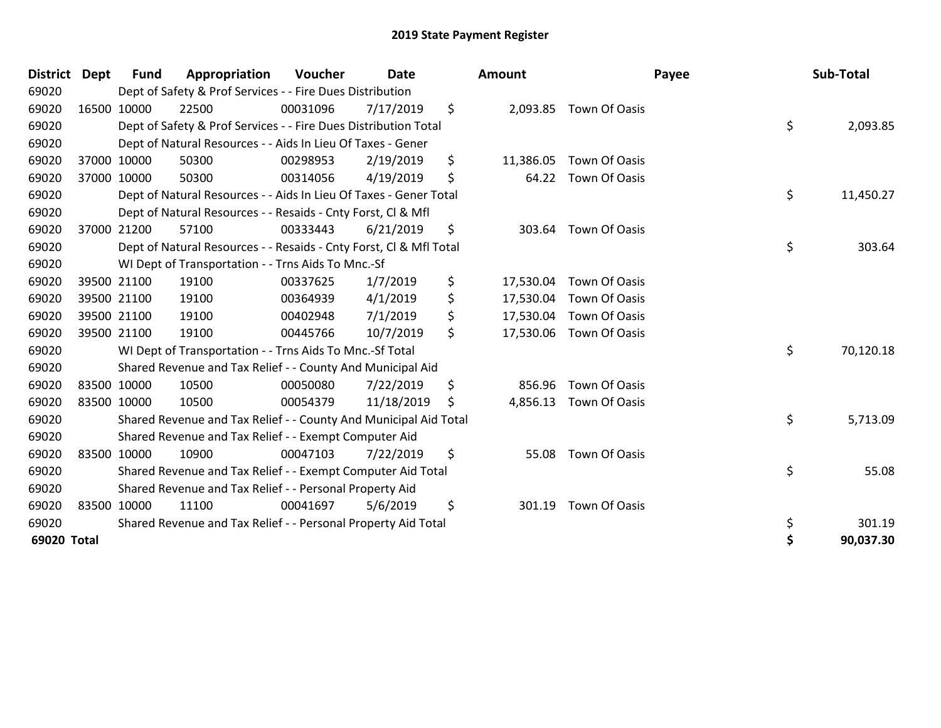| <b>District</b> | <b>Dept</b> | <b>Fund</b> | Appropriation                                                      | Voucher  | <b>Date</b> | <b>Amount</b>   |                         | Payee | Sub-Total |
|-----------------|-------------|-------------|--------------------------------------------------------------------|----------|-------------|-----------------|-------------------------|-------|-----------|
| 69020           |             |             | Dept of Safety & Prof Services - - Fire Dues Distribution          |          |             |                 |                         |       |           |
| 69020           | 16500 10000 |             | 22500                                                              | 00031096 | 7/17/2019   | \$<br>2,093.85  | Town Of Oasis           |       |           |
| 69020           |             |             | Dept of Safety & Prof Services - - Fire Dues Distribution Total    |          |             |                 |                         | \$    | 2,093.85  |
| 69020           |             |             | Dept of Natural Resources - - Aids In Lieu Of Taxes - Gener        |          |             |                 |                         |       |           |
| 69020           |             | 37000 10000 | 50300                                                              | 00298953 | 2/19/2019   | \$<br>11,386.05 | Town Of Oasis           |       |           |
| 69020           | 37000 10000 |             | 50300                                                              | 00314056 | 4/19/2019   | \$              | 64.22 Town Of Oasis     |       |           |
| 69020           |             |             | Dept of Natural Resources - - Aids In Lieu Of Taxes - Gener Total  |          |             |                 |                         | \$    | 11,450.27 |
| 69020           |             |             | Dept of Natural Resources - - Resaids - Cnty Forst, CI & Mfl       |          |             |                 |                         |       |           |
| 69020           |             | 37000 21200 | 57100                                                              | 00333443 | 6/21/2019   | \$<br>303.64    | Town Of Oasis           |       |           |
| 69020           |             |             | Dept of Natural Resources - - Resaids - Cnty Forst, CI & Mfl Total |          |             |                 |                         | \$    | 303.64    |
| 69020           |             |             | WI Dept of Transportation - - Trns Aids To Mnc.-Sf                 |          |             |                 |                         |       |           |
| 69020           |             | 39500 21100 | 19100                                                              | 00337625 | 1/7/2019    | \$<br>17,530.04 | Town Of Oasis           |       |           |
| 69020           |             | 39500 21100 | 19100                                                              | 00364939 | 4/1/2019    | \$<br>17,530.04 | Town Of Oasis           |       |           |
| 69020           |             | 39500 21100 | 19100                                                              | 00402948 | 7/1/2019    | \$<br>17,530.04 | Town Of Oasis           |       |           |
| 69020           |             | 39500 21100 | 19100                                                              | 00445766 | 10/7/2019   | \$              | 17,530.06 Town Of Oasis |       |           |
| 69020           |             |             | WI Dept of Transportation - - Trns Aids To Mnc.-Sf Total           |          |             |                 |                         | \$    | 70,120.18 |
| 69020           |             |             | Shared Revenue and Tax Relief - - County And Municipal Aid         |          |             |                 |                         |       |           |
| 69020           | 83500 10000 |             | 10500                                                              | 00050080 | 7/22/2019   | \$<br>856.96    | <b>Town Of Oasis</b>    |       |           |
| 69020           | 83500 10000 |             | 10500                                                              | 00054379 | 11/18/2019  | \$<br>4,856.13  | Town Of Oasis           |       |           |
| 69020           |             |             | Shared Revenue and Tax Relief - - County And Municipal Aid Total   |          |             |                 |                         | \$    | 5,713.09  |
| 69020           |             |             | Shared Revenue and Tax Relief - - Exempt Computer Aid              |          |             |                 |                         |       |           |
| 69020           | 83500 10000 |             | 10900                                                              | 00047103 | 7/22/2019   | \$<br>55.08     | Town Of Oasis           |       |           |
| 69020           |             |             | Shared Revenue and Tax Relief - - Exempt Computer Aid Total        |          |             |                 |                         | \$    | 55.08     |
| 69020           |             |             | Shared Revenue and Tax Relief - - Personal Property Aid            |          |             |                 |                         |       |           |
| 69020           | 83500 10000 |             | 11100                                                              | 00041697 | 5/6/2019    | \$<br>301.19    | Town Of Oasis           |       |           |
| 69020           |             |             | Shared Revenue and Tax Relief - - Personal Property Aid Total      |          |             |                 |                         | \$    | 301.19    |
| 69020 Total     |             |             |                                                                    |          |             |                 |                         |       | 90,037.30 |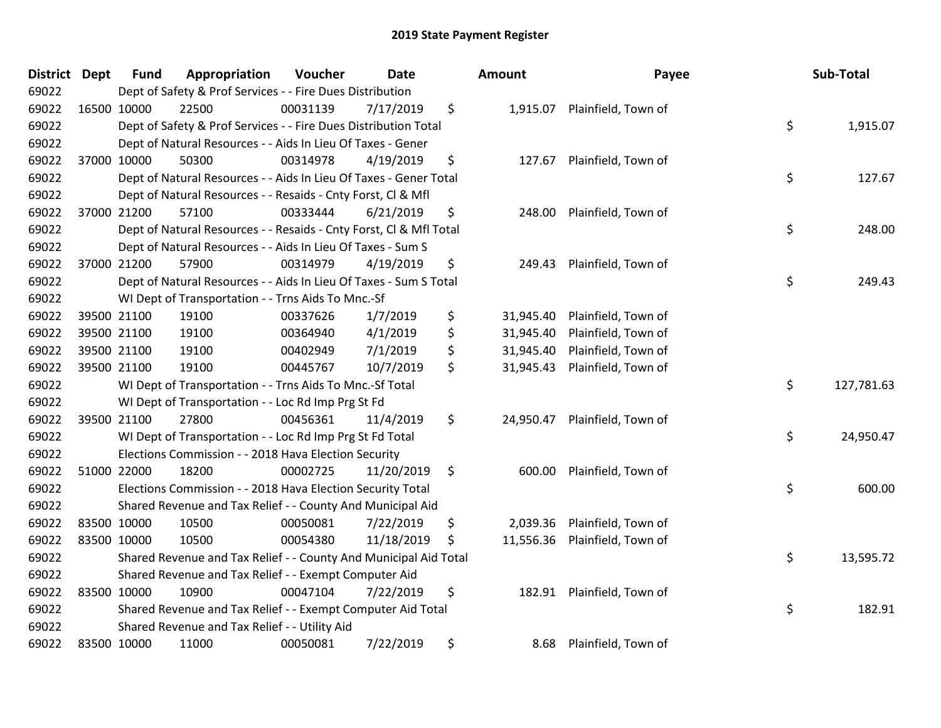| District | <b>Dept</b> | <b>Fund</b> | Appropriation                                                      | Voucher  | Date       | Amount          | Payee                        | Sub-Total        |
|----------|-------------|-------------|--------------------------------------------------------------------|----------|------------|-----------------|------------------------------|------------------|
| 69022    |             |             | Dept of Safety & Prof Services - - Fire Dues Distribution          |          |            |                 |                              |                  |
| 69022    |             | 16500 10000 | 22500                                                              | 00031139 | 7/17/2019  | \$              | 1,915.07 Plainfield, Town of |                  |
| 69022    |             |             | Dept of Safety & Prof Services - - Fire Dues Distribution Total    |          |            |                 |                              | \$<br>1,915.07   |
| 69022    |             |             | Dept of Natural Resources - - Aids In Lieu Of Taxes - Gener        |          |            |                 |                              |                  |
| 69022    |             | 37000 10000 | 50300                                                              | 00314978 | 4/19/2019  | \$<br>127.67    | Plainfield, Town of          |                  |
| 69022    |             |             | Dept of Natural Resources - - Aids In Lieu Of Taxes - Gener Total  |          |            |                 |                              | \$<br>127.67     |
| 69022    |             |             | Dept of Natural Resources - - Resaids - Cnty Forst, Cl & Mfl       |          |            |                 |                              |                  |
| 69022    |             | 37000 21200 | 57100                                                              | 00333444 | 6/21/2019  | \$<br>248.00    | Plainfield, Town of          |                  |
| 69022    |             |             | Dept of Natural Resources - - Resaids - Cnty Forst, Cl & Mfl Total |          |            |                 |                              | \$<br>248.00     |
| 69022    |             |             | Dept of Natural Resources - - Aids In Lieu Of Taxes - Sum S        |          |            |                 |                              |                  |
| 69022    |             | 37000 21200 | 57900                                                              | 00314979 | 4/19/2019  | \$<br>249.43    | Plainfield, Town of          |                  |
| 69022    |             |             | Dept of Natural Resources - - Aids In Lieu Of Taxes - Sum S Total  |          |            |                 |                              | \$<br>249.43     |
| 69022    |             |             | WI Dept of Transportation - - Trns Aids To Mnc.-Sf                 |          |            |                 |                              |                  |
| 69022    |             | 39500 21100 | 19100                                                              | 00337626 | 1/7/2019   | \$<br>31,945.40 | Plainfield, Town of          |                  |
| 69022    |             | 39500 21100 | 19100                                                              | 00364940 | 4/1/2019   | \$<br>31,945.40 | Plainfield, Town of          |                  |
| 69022    |             | 39500 21100 | 19100                                                              | 00402949 | 7/1/2019   | \$<br>31,945.40 | Plainfield, Town of          |                  |
| 69022    |             | 39500 21100 | 19100                                                              | 00445767 | 10/7/2019  | \$<br>31,945.43 | Plainfield, Town of          |                  |
| 69022    |             |             | WI Dept of Transportation - - Trns Aids To Mnc.-Sf Total           |          |            |                 |                              | \$<br>127,781.63 |
| 69022    |             |             | WI Dept of Transportation - - Loc Rd Imp Prg St Fd                 |          |            |                 |                              |                  |
| 69022    |             | 39500 21100 | 27800                                                              | 00456361 | 11/4/2019  | \$<br>24,950.47 | Plainfield, Town of          |                  |
| 69022    |             |             | WI Dept of Transportation - - Loc Rd Imp Prg St Fd Total           |          |            |                 |                              | \$<br>24,950.47  |
| 69022    |             |             | Elections Commission - - 2018 Hava Election Security               |          |            |                 |                              |                  |
| 69022    |             | 51000 22000 | 18200                                                              | 00002725 | 11/20/2019 | \$<br>600.00    | Plainfield, Town of          |                  |
| 69022    |             |             | Elections Commission - - 2018 Hava Election Security Total         |          |            |                 |                              | \$<br>600.00     |
| 69022    |             |             | Shared Revenue and Tax Relief - - County And Municipal Aid         |          |            |                 |                              |                  |
| 69022    |             | 83500 10000 | 10500                                                              | 00050081 | 7/22/2019  | \$<br>2,039.36  | Plainfield, Town of          |                  |
| 69022    |             | 83500 10000 | 10500                                                              | 00054380 | 11/18/2019 | \$<br>11,556.36 | Plainfield, Town of          |                  |
| 69022    |             |             | Shared Revenue and Tax Relief - - County And Municipal Aid Total   |          |            |                 |                              | \$<br>13,595.72  |
| 69022    |             |             | Shared Revenue and Tax Relief - - Exempt Computer Aid              |          |            |                 |                              |                  |
| 69022    |             | 83500 10000 | 10900                                                              | 00047104 | 7/22/2019  | \$<br>182.91    | Plainfield, Town of          |                  |
| 69022    |             |             | Shared Revenue and Tax Relief - - Exempt Computer Aid Total        |          |            |                 |                              | \$<br>182.91     |
| 69022    |             |             | Shared Revenue and Tax Relief - - Utility Aid                      |          |            |                 |                              |                  |
| 69022    |             | 83500 10000 | 11000                                                              | 00050081 | 7/22/2019  | \$<br>8.68      | Plainfield, Town of          |                  |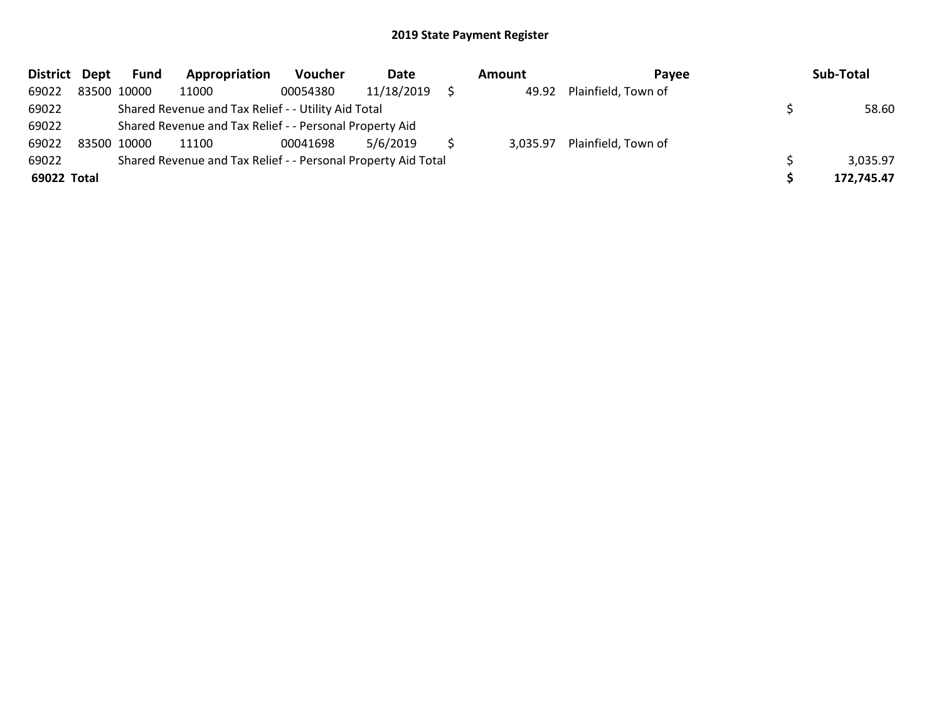| District Dept | <b>Fund</b> | Appropriation                                                 | <b>Voucher</b> | Date       | Amount   | Pavee               | Sub-Total  |
|---------------|-------------|---------------------------------------------------------------|----------------|------------|----------|---------------------|------------|
| 69022         | 83500 10000 | 11000                                                         | 00054380       | 11/18/2019 | 49.92    | Plainfield, Town of |            |
| 69022         |             | Shared Revenue and Tax Relief - - Utility Aid Total           |                |            |          |                     | 58.60      |
| 69022         |             | Shared Revenue and Tax Relief - - Personal Property Aid       |                |            |          |                     |            |
| 69022         | 83500 10000 | 11100                                                         | 00041698       | 5/6/2019   | 3,035.97 | Plainfield, Town of |            |
| 69022         |             | Shared Revenue and Tax Relief - - Personal Property Aid Total |                |            |          |                     | 3,035.97   |
| 69022 Total   |             |                                                               |                |            |          |                     | 172,745.47 |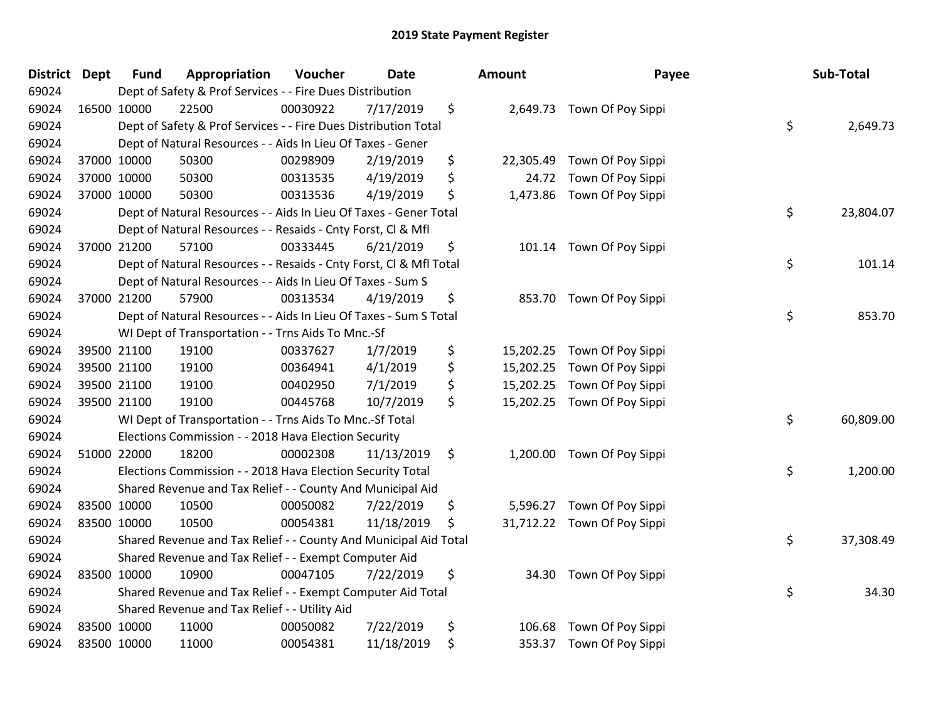| <b>District</b> | <b>Dept</b> | <b>Fund</b> | Appropriation                                                      | Voucher  | Date       | <b>Amount</b> | Payee                       | Sub-Total       |
|-----------------|-------------|-------------|--------------------------------------------------------------------|----------|------------|---------------|-----------------------------|-----------------|
| 69024           |             |             | Dept of Safety & Prof Services - - Fire Dues Distribution          |          |            |               |                             |                 |
| 69024           | 16500 10000 |             | 22500                                                              | 00030922 | 7/17/2019  | \$            | 2,649.73 Town Of Poy Sippi  |                 |
| 69024           |             |             | Dept of Safety & Prof Services - - Fire Dues Distribution Total    |          |            |               |                             | \$<br>2,649.73  |
| 69024           |             |             | Dept of Natural Resources - - Aids In Lieu Of Taxes - Gener        |          |            |               |                             |                 |
| 69024           |             | 37000 10000 | 50300                                                              | 00298909 | 2/19/2019  | \$            | 22,305.49 Town Of Poy Sippi |                 |
| 69024           |             | 37000 10000 | 50300                                                              | 00313535 | 4/19/2019  | \$            | 24.72 Town Of Poy Sippi     |                 |
| 69024           |             | 37000 10000 | 50300                                                              | 00313536 | 4/19/2019  | \$            | 1,473.86 Town Of Poy Sippi  |                 |
| 69024           |             |             | Dept of Natural Resources - - Aids In Lieu Of Taxes - Gener Total  |          |            |               |                             | \$<br>23,804.07 |
| 69024           |             |             | Dept of Natural Resources - - Resaids - Cnty Forst, CI & Mfl       |          |            |               |                             |                 |
| 69024           |             | 37000 21200 | 57100                                                              | 00333445 | 6/21/2019  | \$            | 101.14 Town Of Poy Sippi    |                 |
| 69024           |             |             | Dept of Natural Resources - - Resaids - Cnty Forst, CI & Mfl Total |          |            |               |                             | \$<br>101.14    |
| 69024           |             |             | Dept of Natural Resources - - Aids In Lieu Of Taxes - Sum S        |          |            |               |                             |                 |
| 69024           |             | 37000 21200 | 57900                                                              | 00313534 | 4/19/2019  | \$            | 853.70 Town Of Poy Sippi    |                 |
| 69024           |             |             | Dept of Natural Resources - - Aids In Lieu Of Taxes - Sum S Total  |          |            |               |                             | \$<br>853.70    |
| 69024           |             |             | WI Dept of Transportation - - Trns Aids To Mnc.-Sf                 |          |            |               |                             |                 |
| 69024           |             | 39500 21100 | 19100                                                              | 00337627 | 1/7/2019   | \$            | 15,202.25 Town Of Poy Sippi |                 |
| 69024           |             | 39500 21100 | 19100                                                              | 00364941 | 4/1/2019   | \$            | 15,202.25 Town Of Poy Sippi |                 |
| 69024           |             | 39500 21100 | 19100                                                              | 00402950 | 7/1/2019   | \$            | 15,202.25 Town Of Poy Sippi |                 |
| 69024           |             | 39500 21100 | 19100                                                              | 00445768 | 10/7/2019  | \$            | 15,202.25 Town Of Poy Sippi |                 |
| 69024           |             |             | WI Dept of Transportation - - Trns Aids To Mnc.-Sf Total           |          |            |               |                             | \$<br>60,809.00 |
| 69024           |             |             | Elections Commission - - 2018 Hava Election Security               |          |            |               |                             |                 |
| 69024           |             | 51000 22000 | 18200                                                              | 00002308 | 11/13/2019 | \$            | 1,200.00 Town Of Poy Sippi  |                 |
| 69024           |             |             | Elections Commission - - 2018 Hava Election Security Total         |          |            |               |                             | \$<br>1,200.00  |
| 69024           |             |             | Shared Revenue and Tax Relief - - County And Municipal Aid         |          |            |               |                             |                 |
| 69024           |             | 83500 10000 | 10500                                                              | 00050082 | 7/22/2019  | \$            | 5,596.27 Town Of Poy Sippi  |                 |
| 69024           | 83500 10000 |             | 10500                                                              | 00054381 | 11/18/2019 | \$            | 31,712.22 Town Of Poy Sippi |                 |
| 69024           |             |             | Shared Revenue and Tax Relief - - County And Municipal Aid Total   |          |            |               |                             | \$<br>37,308.49 |
| 69024           |             |             | Shared Revenue and Tax Relief - - Exempt Computer Aid              |          |            |               |                             |                 |
| 69024           |             | 83500 10000 | 10900                                                              | 00047105 | 7/22/2019  | \$            | 34.30 Town Of Poy Sippi     |                 |
| 69024           |             |             | Shared Revenue and Tax Relief - - Exempt Computer Aid Total        |          |            |               |                             | \$<br>34.30     |
| 69024           |             |             | Shared Revenue and Tax Relief - - Utility Aid                      |          |            |               |                             |                 |
| 69024           | 83500 10000 |             | 11000                                                              | 00050082 | 7/22/2019  | \$<br>106.68  | Town Of Poy Sippi           |                 |
| 69024           | 83500 10000 |             | 11000                                                              | 00054381 | 11/18/2019 | \$            | 353.37 Town Of Poy Sippi    |                 |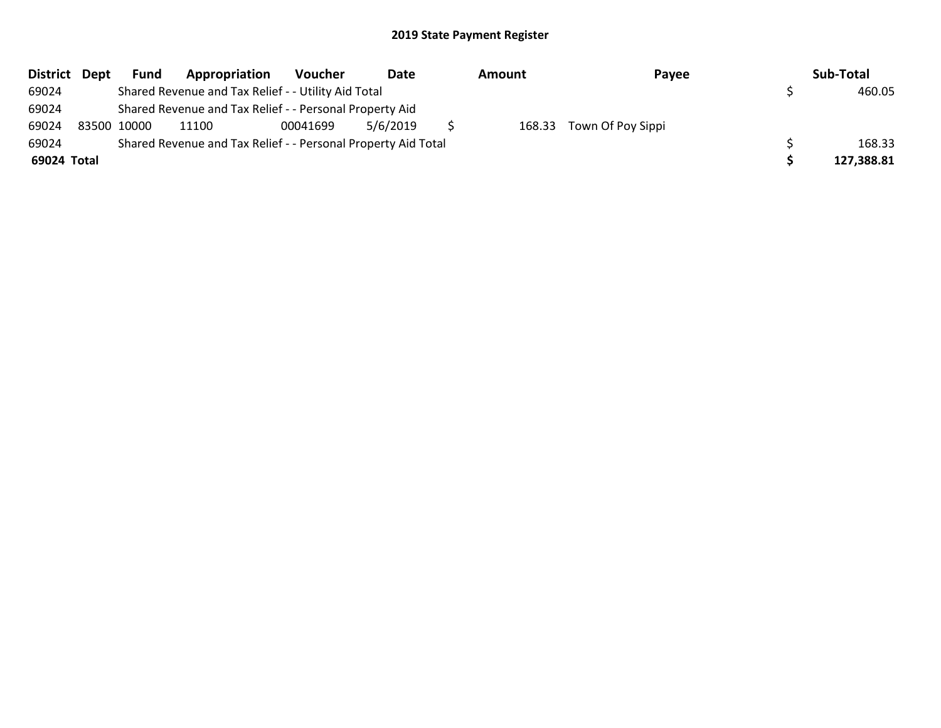| District Dept | <b>Fund</b> | Appropriation                                                 | Voucher  | Date     | Amount | Payee                    | Sub-Total  |
|---------------|-------------|---------------------------------------------------------------|----------|----------|--------|--------------------------|------------|
| 69024         |             | Shared Revenue and Tax Relief - - Utility Aid Total           |          |          |        |                          | 460.05     |
| 69024         |             | Shared Revenue and Tax Relief - - Personal Property Aid       |          |          |        |                          |            |
| 69024         | 83500 10000 | 11100                                                         | 00041699 | 5/6/2019 |        | 168.33 Town Of Poy Sippi |            |
| 69024         |             | Shared Revenue and Tax Relief - - Personal Property Aid Total |          |          |        |                          | 168.33     |
| 69024 Total   |             |                                                               |          |          |        |                          | 127,388.81 |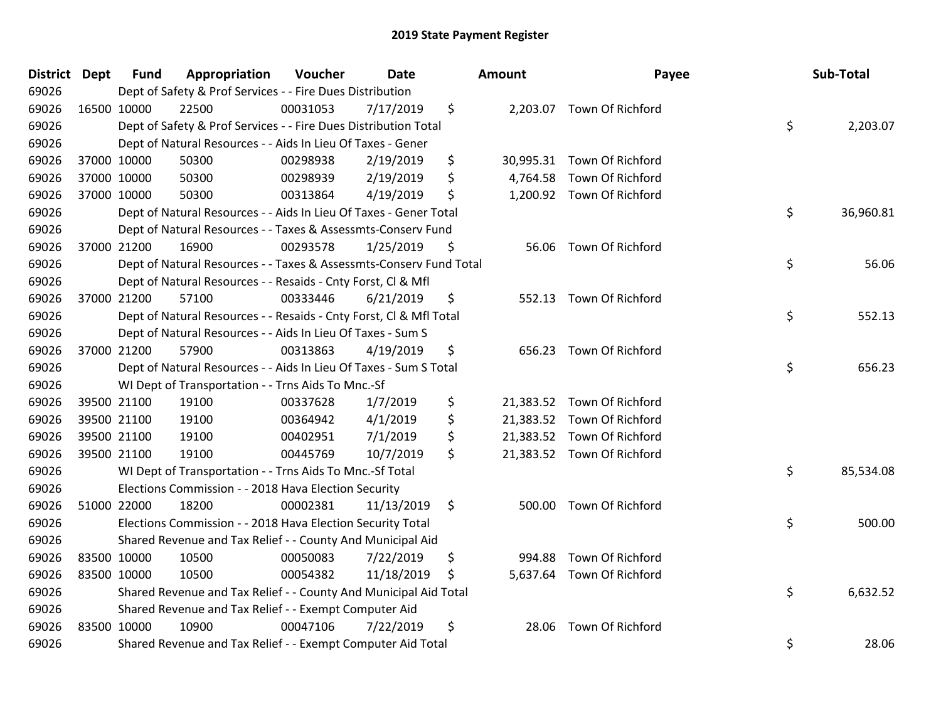| District Dept |             | Fund        | Appropriation                                                      | Voucher  | Date       | Amount          | Payee                      | Sub-Total       |
|---------------|-------------|-------------|--------------------------------------------------------------------|----------|------------|-----------------|----------------------------|-----------------|
| 69026         |             |             | Dept of Safety & Prof Services - - Fire Dues Distribution          |          |            |                 |                            |                 |
| 69026         | 16500 10000 |             | 22500                                                              | 00031053 | 7/17/2019  | \$              | 2,203.07 Town Of Richford  |                 |
| 69026         |             |             | Dept of Safety & Prof Services - - Fire Dues Distribution Total    |          |            |                 |                            | \$<br>2,203.07  |
| 69026         |             |             | Dept of Natural Resources - - Aids In Lieu Of Taxes - Gener        |          |            |                 |                            |                 |
| 69026         | 37000 10000 |             | 50300                                                              | 00298938 | 2/19/2019  | \$<br>30,995.31 | Town Of Richford           |                 |
| 69026         |             | 37000 10000 | 50300                                                              | 00298939 | 2/19/2019  | \$<br>4,764.58  | Town Of Richford           |                 |
| 69026         |             | 37000 10000 | 50300                                                              | 00313864 | 4/19/2019  | \$              | 1,200.92 Town Of Richford  |                 |
| 69026         |             |             | Dept of Natural Resources - - Aids In Lieu Of Taxes - Gener Total  |          |            |                 |                            | \$<br>36,960.81 |
| 69026         |             |             | Dept of Natural Resources - - Taxes & Assessmts-Conserv Fund       |          |            |                 |                            |                 |
| 69026         |             | 37000 21200 | 16900                                                              | 00293578 | 1/25/2019  | \$<br>56.06     | Town Of Richford           |                 |
| 69026         |             |             | Dept of Natural Resources - - Taxes & Assessmts-Conserv Fund Total |          |            |                 |                            | \$<br>56.06     |
| 69026         |             |             | Dept of Natural Resources - - Resaids - Cnty Forst, Cl & Mfl       |          |            |                 |                            |                 |
| 69026         |             | 37000 21200 | 57100                                                              | 00333446 | 6/21/2019  | \$<br>552.13    | <b>Town Of Richford</b>    |                 |
| 69026         |             |             | Dept of Natural Resources - - Resaids - Cnty Forst, CI & Mfl Total |          |            |                 |                            | \$<br>552.13    |
| 69026         |             |             | Dept of Natural Resources - - Aids In Lieu Of Taxes - Sum S        |          |            |                 |                            |                 |
| 69026         |             | 37000 21200 | 57900                                                              | 00313863 | 4/19/2019  | \$<br>656.23    | Town Of Richford           |                 |
| 69026         |             |             | Dept of Natural Resources - - Aids In Lieu Of Taxes - Sum S Total  |          |            |                 |                            | \$<br>656.23    |
| 69026         |             |             | WI Dept of Transportation - - Trns Aids To Mnc.-Sf                 |          |            |                 |                            |                 |
| 69026         | 39500 21100 |             | 19100                                                              | 00337628 | 1/7/2019   | \$              | 21,383.52 Town Of Richford |                 |
| 69026         | 39500 21100 |             | 19100                                                              | 00364942 | 4/1/2019   | \$<br>21,383.52 | Town Of Richford           |                 |
| 69026         |             | 39500 21100 | 19100                                                              | 00402951 | 7/1/2019   | \$              | 21,383.52 Town Of Richford |                 |
| 69026         |             | 39500 21100 | 19100                                                              | 00445769 | 10/7/2019  | \$              | 21,383.52 Town Of Richford |                 |
| 69026         |             |             | WI Dept of Transportation - - Trns Aids To Mnc.-Sf Total           |          |            |                 |                            | \$<br>85,534.08 |
| 69026         |             |             | Elections Commission - - 2018 Hava Election Security               |          |            |                 |                            |                 |
| 69026         | 51000 22000 |             | 18200                                                              | 00002381 | 11/13/2019 | \$<br>500.00    | Town Of Richford           |                 |
| 69026         |             |             | Elections Commission - - 2018 Hava Election Security Total         |          |            |                 |                            | \$<br>500.00    |
| 69026         |             |             | Shared Revenue and Tax Relief - - County And Municipal Aid         |          |            |                 |                            |                 |
| 69026         | 83500 10000 |             | 10500                                                              | 00050083 | 7/22/2019  | \$<br>994.88    | Town Of Richford           |                 |
| 69026         | 83500 10000 |             | 10500                                                              | 00054382 | 11/18/2019 | \$              | 5,637.64 Town Of Richford  |                 |
| 69026         |             |             | Shared Revenue and Tax Relief - - County And Municipal Aid Total   |          |            |                 |                            | \$<br>6,632.52  |
| 69026         |             |             | Shared Revenue and Tax Relief - - Exempt Computer Aid              |          |            |                 |                            |                 |
| 69026         | 83500 10000 |             | 10900                                                              | 00047106 | 7/22/2019  | \$<br>28.06     | Town Of Richford           |                 |
| 69026         |             |             | Shared Revenue and Tax Relief - - Exempt Computer Aid Total        |          |            |                 |                            | \$<br>28.06     |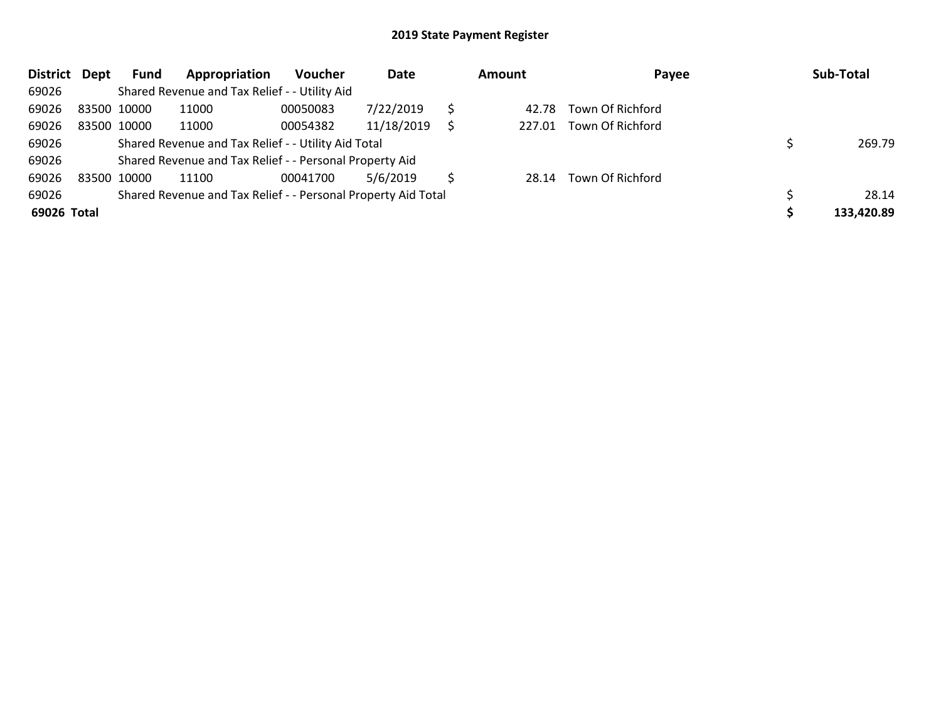| <b>District</b> | Dept | Fund        | Appropriation                                                 | <b>Voucher</b> | Date       |   | <b>Amount</b> | Payee            | Sub-Total  |
|-----------------|------|-------------|---------------------------------------------------------------|----------------|------------|---|---------------|------------------|------------|
| 69026           |      |             | Shared Revenue and Tax Relief - - Utility Aid                 |                |            |   |               |                  |            |
| 69026           |      | 83500 10000 | 11000                                                         | 00050083       | 7/22/2019  |   | 42.78         | Town Of Richford |            |
| 69026           |      | 83500 10000 | 11000                                                         | 00054382       | 11/18/2019 | S | 227.01        | Town Of Richford |            |
| 69026           |      |             | Shared Revenue and Tax Relief - - Utility Aid Total           |                |            |   |               |                  | 269.79     |
| 69026           |      |             | Shared Revenue and Tax Relief - - Personal Property Aid       |                |            |   |               |                  |            |
| 69026           |      | 83500 10000 | 11100                                                         | 00041700       | 5/6/2019   |   | 28.14         | Town Of Richford |            |
| 69026           |      |             | Shared Revenue and Tax Relief - - Personal Property Aid Total |                |            |   |               |                  | 28.14      |
| 69026 Total     |      |             |                                                               |                |            |   |               |                  | 133,420.89 |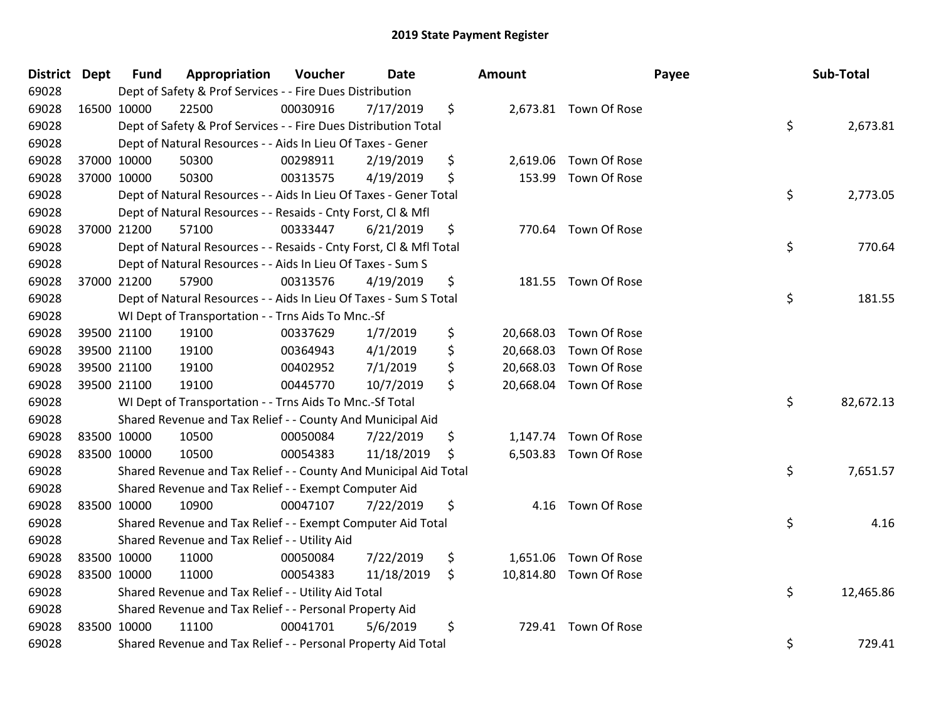| District Dept |             | <b>Fund</b> | Appropriation                                                      | Voucher  | Date       | Amount          |                        | Payee | Sub-Total |
|---------------|-------------|-------------|--------------------------------------------------------------------|----------|------------|-----------------|------------------------|-------|-----------|
| 69028         |             |             | Dept of Safety & Prof Services - - Fire Dues Distribution          |          |            |                 |                        |       |           |
| 69028         |             | 16500 10000 | 22500                                                              | 00030916 | 7/17/2019  | \$              | 2,673.81 Town Of Rose  |       |           |
| 69028         |             |             | Dept of Safety & Prof Services - - Fire Dues Distribution Total    |          |            |                 |                        | \$    | 2,673.81  |
| 69028         |             |             | Dept of Natural Resources - - Aids In Lieu Of Taxes - Gener        |          |            |                 |                        |       |           |
| 69028         |             | 37000 10000 | 50300                                                              | 00298911 | 2/19/2019  | \$              | 2,619.06 Town Of Rose  |       |           |
| 69028         |             | 37000 10000 | 50300                                                              | 00313575 | 4/19/2019  | \$<br>153.99    | Town Of Rose           |       |           |
| 69028         |             |             | Dept of Natural Resources - - Aids In Lieu Of Taxes - Gener Total  |          |            |                 |                        | \$    | 2,773.05  |
| 69028         |             |             | Dept of Natural Resources - - Resaids - Cnty Forst, Cl & Mfl       |          |            |                 |                        |       |           |
| 69028         |             | 37000 21200 | 57100                                                              | 00333447 | 6/21/2019  | \$              | 770.64 Town Of Rose    |       |           |
| 69028         |             |             | Dept of Natural Resources - - Resaids - Cnty Forst, Cl & Mfl Total |          |            |                 |                        | \$    | 770.64    |
| 69028         |             |             | Dept of Natural Resources - - Aids In Lieu Of Taxes - Sum S        |          |            |                 |                        |       |           |
| 69028         |             | 37000 21200 | 57900                                                              | 00313576 | 4/19/2019  | \$              | 181.55 Town Of Rose    |       |           |
| 69028         |             |             | Dept of Natural Resources - - Aids In Lieu Of Taxes - Sum S Total  |          |            |                 |                        | \$    | 181.55    |
| 69028         |             |             | WI Dept of Transportation - - Trns Aids To Mnc.-Sf                 |          |            |                 |                        |       |           |
| 69028         |             | 39500 21100 | 19100                                                              | 00337629 | 1/7/2019   | \$<br>20,668.03 | Town Of Rose           |       |           |
| 69028         |             | 39500 21100 | 19100                                                              | 00364943 | 4/1/2019   | \$<br>20,668.03 | Town Of Rose           |       |           |
| 69028         |             | 39500 21100 | 19100                                                              | 00402952 | 7/1/2019   | \$<br>20,668.03 | Town Of Rose           |       |           |
| 69028         |             | 39500 21100 | 19100                                                              | 00445770 | 10/7/2019  | \$              | 20,668.04 Town Of Rose |       |           |
| 69028         |             |             | WI Dept of Transportation - - Trns Aids To Mnc.-Sf Total           |          |            |                 |                        | \$    | 82,672.13 |
| 69028         |             |             | Shared Revenue and Tax Relief - - County And Municipal Aid         |          |            |                 |                        |       |           |
| 69028         | 83500 10000 |             | 10500                                                              | 00050084 | 7/22/2019  | \$              | 1,147.74 Town Of Rose  |       |           |
| 69028         |             | 83500 10000 | 10500                                                              | 00054383 | 11/18/2019 | \$              | 6,503.83 Town Of Rose  |       |           |
| 69028         |             |             | Shared Revenue and Tax Relief - - County And Municipal Aid Total   |          |            |                 |                        | \$    | 7,651.57  |
| 69028         |             |             | Shared Revenue and Tax Relief - - Exempt Computer Aid              |          |            |                 |                        |       |           |
| 69028         |             | 83500 10000 | 10900                                                              | 00047107 | 7/22/2019  | \$<br>4.16      | Town Of Rose           |       |           |
| 69028         |             |             | Shared Revenue and Tax Relief - - Exempt Computer Aid Total        |          |            |                 |                        | \$    | 4.16      |
| 69028         |             |             | Shared Revenue and Tax Relief - - Utility Aid                      |          |            |                 |                        |       |           |
| 69028         |             | 83500 10000 | 11000                                                              | 00050084 | 7/22/2019  | \$              | 1,651.06 Town Of Rose  |       |           |
| 69028         | 83500 10000 |             | 11000                                                              | 00054383 | 11/18/2019 | \$              | 10,814.80 Town Of Rose |       |           |
| 69028         |             |             | Shared Revenue and Tax Relief - - Utility Aid Total                |          |            |                 |                        | \$    | 12,465.86 |
| 69028         |             |             | Shared Revenue and Tax Relief - - Personal Property Aid            |          |            |                 |                        |       |           |
| 69028         | 83500 10000 |             | 11100                                                              | 00041701 | 5/6/2019   | \$              | 729.41 Town Of Rose    |       |           |
| 69028         |             |             | Shared Revenue and Tax Relief - - Personal Property Aid Total      |          |            |                 |                        | \$    | 729.41    |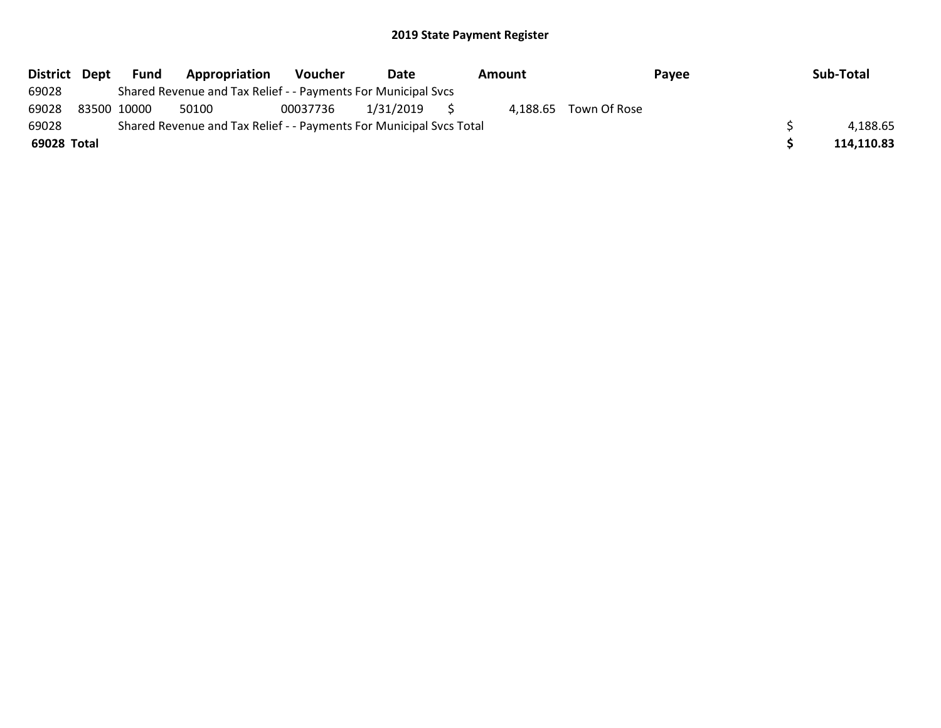| District Dept | Fund        | Appropriation                                                       | Voucher  | Date         | Amount |  | Payee                 |  | Sub-Total  |
|---------------|-------------|---------------------------------------------------------------------|----------|--------------|--------|--|-----------------------|--|------------|
| 69028         |             | Shared Revenue and Tax Relief - - Payments For Municipal Svcs       |          |              |        |  |                       |  |            |
| 69028         | 83500 10000 | 50100                                                               | 00037736 | 1/31/2019 \$ |        |  | 4.188.65 Town Of Rose |  |            |
| 69028         |             | Shared Revenue and Tax Relief - - Payments For Municipal Svcs Total |          |              |        |  |                       |  | 4,188.65   |
| 69028 Total   |             |                                                                     |          |              |        |  |                       |  | 114,110.83 |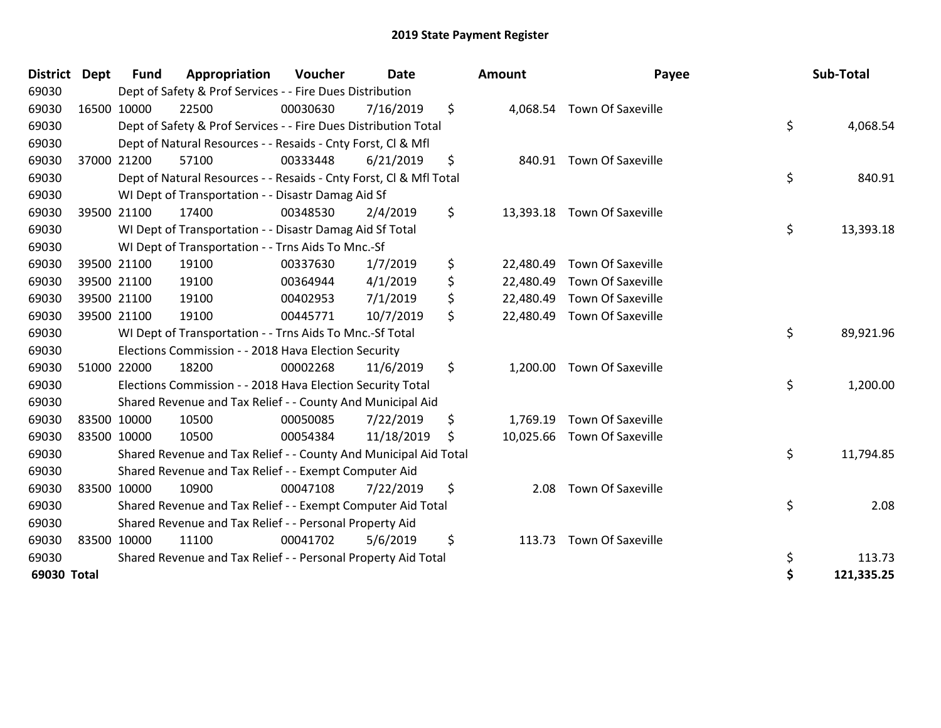| <b>District</b> | Dept        | <b>Fund</b> | Appropriation                                                      | Voucher  | <b>Date</b> | Amount          | Payee                       | Sub-Total        |
|-----------------|-------------|-------------|--------------------------------------------------------------------|----------|-------------|-----------------|-----------------------------|------------------|
| 69030           |             |             | Dept of Safety & Prof Services - - Fire Dues Distribution          |          |             |                 |                             |                  |
| 69030           |             | 16500 10000 | 22500                                                              | 00030630 | 7/16/2019   | \$              | 4,068.54 Town Of Saxeville  |                  |
| 69030           |             |             | Dept of Safety & Prof Services - - Fire Dues Distribution Total    |          |             |                 |                             | \$<br>4,068.54   |
| 69030           |             |             | Dept of Natural Resources - - Resaids - Cnty Forst, CI & Mfl       |          |             |                 |                             |                  |
| 69030           |             | 37000 21200 | 57100                                                              | 00333448 | 6/21/2019   | \$              | 840.91 Town Of Saxeville    |                  |
| 69030           |             |             | Dept of Natural Resources - - Resaids - Cnty Forst, CI & Mfl Total |          |             |                 |                             | \$<br>840.91     |
| 69030           |             |             | WI Dept of Transportation - - Disastr Damag Aid Sf                 |          |             |                 |                             |                  |
| 69030           | 39500 21100 |             | 17400                                                              | 00348530 | 2/4/2019    | \$              | 13,393.18 Town Of Saxeville |                  |
| 69030           |             |             | WI Dept of Transportation - - Disastr Damag Aid Sf Total           |          |             |                 |                             | \$<br>13,393.18  |
| 69030           |             |             | WI Dept of Transportation - - Trns Aids To Mnc.-Sf                 |          |             |                 |                             |                  |
| 69030           |             | 39500 21100 | 19100                                                              | 00337630 | 1/7/2019    | \$<br>22,480.49 | <b>Town Of Saxeville</b>    |                  |
| 69030           |             | 39500 21100 | 19100                                                              | 00364944 | 4/1/2019    | \$<br>22,480.49 | <b>Town Of Saxeville</b>    |                  |
| 69030           |             | 39500 21100 | 19100                                                              | 00402953 | 7/1/2019    | \$              | 22,480.49 Town Of Saxeville |                  |
| 69030           | 39500 21100 |             | 19100                                                              | 00445771 | 10/7/2019   | \$<br>22,480.49 | <b>Town Of Saxeville</b>    |                  |
| 69030           |             |             | WI Dept of Transportation - - Trns Aids To Mnc.-Sf Total           |          |             |                 |                             | \$<br>89,921.96  |
| 69030           |             |             | Elections Commission - - 2018 Hava Election Security               |          |             |                 |                             |                  |
| 69030           | 51000 22000 |             | 18200                                                              | 00002268 | 11/6/2019   | \$              | 1,200.00 Town Of Saxeville  |                  |
| 69030           |             |             | Elections Commission - - 2018 Hava Election Security Total         |          |             |                 |                             | \$<br>1,200.00   |
| 69030           |             |             | Shared Revenue and Tax Relief - - County And Municipal Aid         |          |             |                 |                             |                  |
| 69030           | 83500 10000 |             | 10500                                                              | 00050085 | 7/22/2019   | \$<br>1,769.19  | <b>Town Of Saxeville</b>    |                  |
| 69030           | 83500 10000 |             | 10500                                                              | 00054384 | 11/18/2019  | \$              | 10,025.66 Town Of Saxeville |                  |
| 69030           |             |             | Shared Revenue and Tax Relief - - County And Municipal Aid Total   |          |             |                 |                             | \$<br>11,794.85  |
| 69030           |             |             | Shared Revenue and Tax Relief - - Exempt Computer Aid              |          |             |                 |                             |                  |
| 69030           | 83500 10000 |             | 10900                                                              | 00047108 | 7/22/2019   | \$<br>2.08      | <b>Town Of Saxeville</b>    |                  |
| 69030           |             |             | Shared Revenue and Tax Relief - - Exempt Computer Aid Total        |          |             |                 |                             | \$<br>2.08       |
| 69030           |             |             | Shared Revenue and Tax Relief - - Personal Property Aid            |          |             |                 |                             |                  |
| 69030           | 83500 10000 |             | 11100                                                              | 00041702 | 5/6/2019    | \$<br>113.73    | <b>Town Of Saxeville</b>    |                  |
| 69030           |             |             | Shared Revenue and Tax Relief - - Personal Property Aid Total      |          |             |                 |                             | \$<br>113.73     |
| 69030 Total     |             |             |                                                                    |          |             |                 |                             | \$<br>121,335.25 |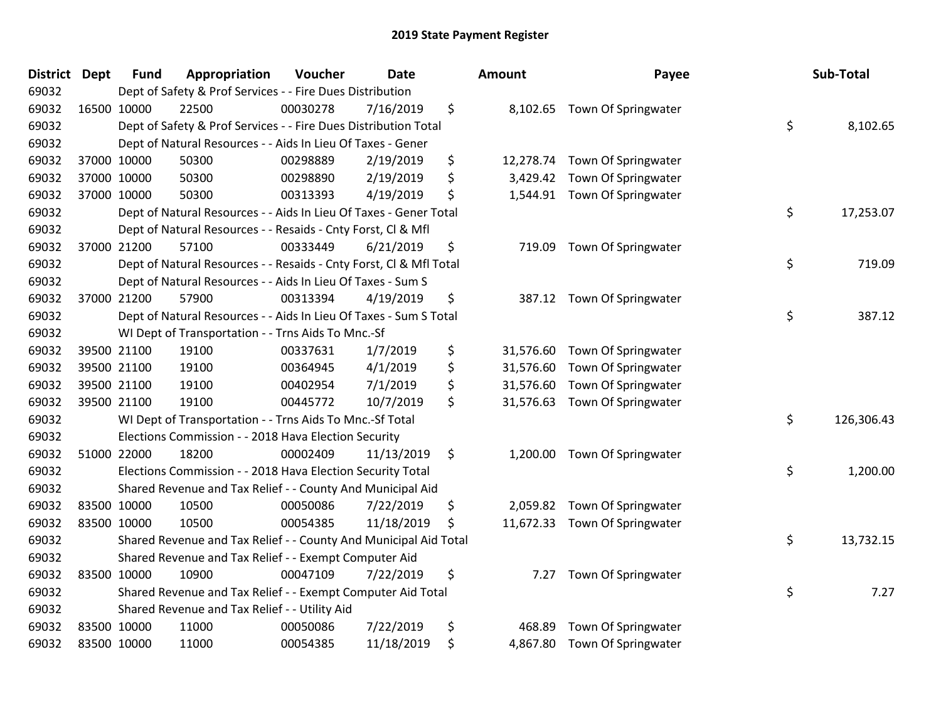| <b>District Dept</b> | <b>Fund</b> | Appropriation                                                      | Voucher  | <b>Date</b> |    | <b>Amount</b> | Payee                        |    | Sub-Total  |
|----------------------|-------------|--------------------------------------------------------------------|----------|-------------|----|---------------|------------------------------|----|------------|
| 69032                |             | Dept of Safety & Prof Services - - Fire Dues Distribution          |          |             |    |               |                              |    |            |
| 69032                | 16500 10000 | 22500                                                              | 00030278 | 7/16/2019   | \$ |               | 8,102.65 Town Of Springwater |    |            |
| 69032                |             | Dept of Safety & Prof Services - - Fire Dues Distribution Total    |          |             |    |               |                              | \$ | 8,102.65   |
| 69032                |             | Dept of Natural Resources - - Aids In Lieu Of Taxes - Gener        |          |             |    |               |                              |    |            |
| 69032                | 37000 10000 | 50300                                                              | 00298889 | 2/19/2019   | \$ | 12,278.74     | Town Of Springwater          |    |            |
| 69032                | 37000 10000 | 50300                                                              | 00298890 | 2/19/2019   | \$ | 3,429.42      | Town Of Springwater          |    |            |
| 69032                | 37000 10000 | 50300                                                              | 00313393 | 4/19/2019   | \$ | 1,544.91      | Town Of Springwater          |    |            |
| 69032                |             | Dept of Natural Resources - - Aids In Lieu Of Taxes - Gener Total  |          |             |    |               |                              | \$ | 17,253.07  |
| 69032                |             | Dept of Natural Resources - - Resaids - Cnty Forst, Cl & Mfl       |          |             |    |               |                              |    |            |
| 69032                | 37000 21200 | 57100                                                              | 00333449 | 6/21/2019   | \$ | 719.09        | Town Of Springwater          |    |            |
| 69032                |             | Dept of Natural Resources - - Resaids - Cnty Forst, Cl & Mfl Total |          |             |    |               |                              | \$ | 719.09     |
| 69032                |             | Dept of Natural Resources - - Aids In Lieu Of Taxes - Sum S        |          |             |    |               |                              |    |            |
| 69032                | 37000 21200 | 57900                                                              | 00313394 | 4/19/2019   | \$ |               | 387.12 Town Of Springwater   |    |            |
| 69032                |             | Dept of Natural Resources - - Aids In Lieu Of Taxes - Sum S Total  |          |             |    |               |                              | \$ | 387.12     |
| 69032                |             | WI Dept of Transportation - - Trns Aids To Mnc.-Sf                 |          |             |    |               |                              |    |            |
| 69032                | 39500 21100 | 19100                                                              | 00337631 | 1/7/2019    | \$ | 31,576.60     | Town Of Springwater          |    |            |
| 69032                | 39500 21100 | 19100                                                              | 00364945 | 4/1/2019    | \$ | 31,576.60     | Town Of Springwater          |    |            |
| 69032                | 39500 21100 | 19100                                                              | 00402954 | 7/1/2019    | \$ | 31,576.60     | Town Of Springwater          |    |            |
| 69032                | 39500 21100 | 19100                                                              | 00445772 | 10/7/2019   | \$ | 31,576.63     | Town Of Springwater          |    |            |
| 69032                |             | WI Dept of Transportation - - Trns Aids To Mnc.-Sf Total           |          |             |    |               |                              | \$ | 126,306.43 |
| 69032                |             | Elections Commission - - 2018 Hava Election Security               |          |             |    |               |                              |    |            |
| 69032                | 51000 22000 | 18200                                                              | 00002409 | 11/13/2019  | \$ | 1,200.00      | Town Of Springwater          |    |            |
| 69032                |             | Elections Commission - - 2018 Hava Election Security Total         |          |             |    |               |                              | \$ | 1,200.00   |
| 69032                |             | Shared Revenue and Tax Relief - - County And Municipal Aid         |          |             |    |               |                              |    |            |
| 69032                | 83500 10000 | 10500                                                              | 00050086 | 7/22/2019   | \$ | 2,059.82      | Town Of Springwater          |    |            |
| 69032                | 83500 10000 | 10500                                                              | 00054385 | 11/18/2019  | \$ | 11,672.33     | Town Of Springwater          |    |            |
| 69032                |             | Shared Revenue and Tax Relief - - County And Municipal Aid Total   |          |             |    |               |                              | \$ | 13,732.15  |
| 69032                |             | Shared Revenue and Tax Relief - - Exempt Computer Aid              |          |             |    |               |                              |    |            |
| 69032                | 83500 10000 | 10900                                                              | 00047109 | 7/22/2019   | \$ | 7.27          | Town Of Springwater          |    |            |
| 69032                |             | Shared Revenue and Tax Relief - - Exempt Computer Aid Total        |          |             |    |               |                              | \$ | 7.27       |
| 69032                |             | Shared Revenue and Tax Relief - - Utility Aid                      |          |             |    |               |                              |    |            |
| 69032                | 83500 10000 | 11000                                                              | 00050086 | 7/22/2019   | \$ | 468.89        | Town Of Springwater          |    |            |
| 69032                | 83500 10000 | 11000                                                              | 00054385 | 11/18/2019  | \$ | 4,867.80      | Town Of Springwater          |    |            |

| າount     | Payee               | Sub-Total        |
|-----------|---------------------|------------------|
| 8,102.65  | Town Of Springwater | \$<br>8,102.65   |
| 12,278.74 | Town Of Springwater |                  |
| 3,429.42  | Town Of Springwater |                  |
| 1,544.91  | Town Of Springwater |                  |
|           |                     | \$<br>17,253.07  |
| 719.09    | Town Of Springwater |                  |
|           |                     | \$<br>719.09     |
| 387.12    | Town Of Springwater |                  |
|           |                     | \$<br>387.12     |
| 31,576.60 | Town Of Springwater |                  |
| 31,576.60 | Town Of Springwater |                  |
| 31,576.60 | Town Of Springwater |                  |
| 31,576.63 | Town Of Springwater |                  |
|           |                     | \$<br>126,306.43 |
| 1,200.00  | Town Of Springwater |                  |
|           |                     | \$<br>1,200.00   |
| 2,059.82  | Town Of Springwater |                  |
| 11,672.33 | Town Of Springwater |                  |
|           |                     | \$<br>13,732.15  |
| 7.27      | Town Of Springwater |                  |
|           |                     | \$<br>7.27       |
| 468.89    | Town Of Springwater |                  |
| 4,867.80  | Town Of Springwater |                  |
|           |                     |                  |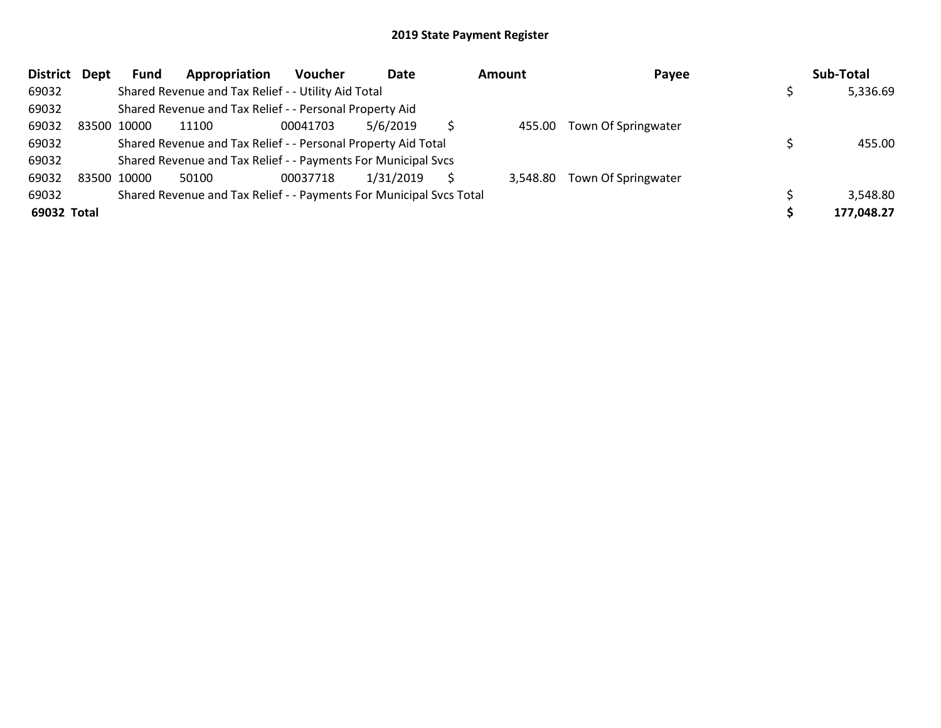| <b>District</b> | Dept | Fund        | Appropriation                                                       | Voucher  | Date      | <b>Amount</b> | Payee                        | Sub-Total  |
|-----------------|------|-------------|---------------------------------------------------------------------|----------|-----------|---------------|------------------------------|------------|
| 69032           |      |             | Shared Revenue and Tax Relief - - Utility Aid Total                 |          |           |               |                              | 5,336.69   |
| 69032           |      |             | Shared Revenue and Tax Relief - - Personal Property Aid             |          |           |               |                              |            |
| 69032           |      | 83500 10000 | 11100                                                               | 00041703 | 5/6/2019  | 455.00        | Town Of Springwater          |            |
| 69032           |      |             | Shared Revenue and Tax Relief - - Personal Property Aid Total       |          |           |               |                              | 455.00     |
| 69032           |      |             | Shared Revenue and Tax Relief - - Payments For Municipal Svcs       |          |           |               |                              |            |
| 69032           |      | 83500 10000 | 50100                                                               | 00037718 | 1/31/2019 |               | 3,548.80 Town Of Springwater |            |
| 69032           |      |             | Shared Revenue and Tax Relief - - Payments For Municipal Svcs Total |          |           |               |                              | 3,548.80   |
| 69032 Total     |      |             |                                                                     |          |           |               |                              | 177,048.27 |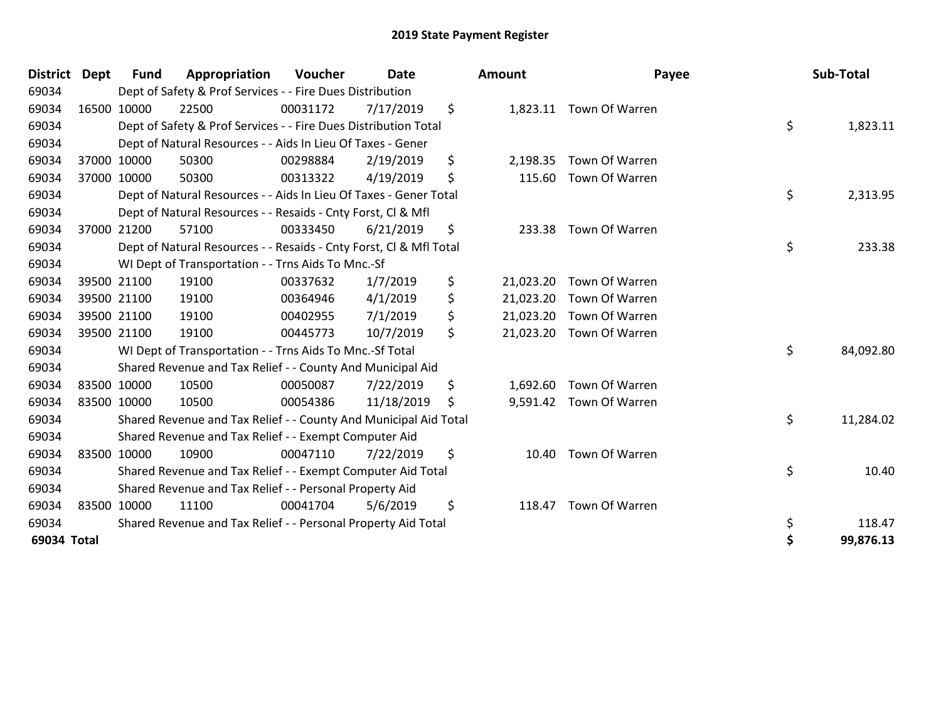| District Dept | <b>Fund</b> | Appropriation                                                      | Voucher  | <b>Date</b> | <b>Amount</b>   | Payee                    | Sub-Total       |
|---------------|-------------|--------------------------------------------------------------------|----------|-------------|-----------------|--------------------------|-----------------|
| 69034         |             | Dept of Safety & Prof Services - - Fire Dues Distribution          |          |             |                 |                          |                 |
| 69034         | 16500 10000 | 22500                                                              | 00031172 | 7/17/2019   | \$              | 1,823.11 Town Of Warren  |                 |
| 69034         |             | Dept of Safety & Prof Services - - Fire Dues Distribution Total    |          |             |                 |                          | \$<br>1,823.11  |
| 69034         |             | Dept of Natural Resources - - Aids In Lieu Of Taxes - Gener        |          |             |                 |                          |                 |
| 69034         | 37000 10000 | 50300                                                              | 00298884 | 2/19/2019   | \$<br>2,198.35  | Town Of Warren           |                 |
| 69034         | 37000 10000 | 50300                                                              | 00313322 | 4/19/2019   | \$<br>115.60    | Town Of Warren           |                 |
| 69034         |             | Dept of Natural Resources - - Aids In Lieu Of Taxes - Gener Total  |          |             |                 |                          | \$<br>2,313.95  |
| 69034         |             | Dept of Natural Resources - - Resaids - Cnty Forst, CI & Mfl       |          |             |                 |                          |                 |
| 69034         | 37000 21200 | 57100                                                              | 00333450 | 6/21/2019   | \$<br>233.38    | Town Of Warren           |                 |
| 69034         |             | Dept of Natural Resources - - Resaids - Cnty Forst, CI & Mfl Total |          |             |                 |                          | \$<br>233.38    |
| 69034         |             | WI Dept of Transportation - - Trns Aids To Mnc.-Sf                 |          |             |                 |                          |                 |
| 69034         | 39500 21100 | 19100                                                              | 00337632 | 1/7/2019    | \$<br>21,023.20 | Town Of Warren           |                 |
| 69034         | 39500 21100 | 19100                                                              | 00364946 | 4/1/2019    | \$<br>21,023.20 | Town Of Warren           |                 |
| 69034         | 39500 21100 | 19100                                                              | 00402955 | 7/1/2019    | \$              | 21,023.20 Town Of Warren |                 |
| 69034         | 39500 21100 | 19100                                                              | 00445773 | 10/7/2019   | \$              | 21,023.20 Town Of Warren |                 |
| 69034         |             | WI Dept of Transportation - - Trns Aids To Mnc.-Sf Total           |          |             |                 |                          | \$<br>84,092.80 |
| 69034         |             | Shared Revenue and Tax Relief - - County And Municipal Aid         |          |             |                 |                          |                 |
| 69034         | 83500 10000 | 10500                                                              | 00050087 | 7/22/2019   | \$<br>1,692.60  | Town Of Warren           |                 |
| 69034         | 83500 10000 | 10500                                                              | 00054386 | 11/18/2019  | \$              | 9,591.42 Town Of Warren  |                 |
| 69034         |             | Shared Revenue and Tax Relief - - County And Municipal Aid Total   |          |             |                 |                          | \$<br>11,284.02 |
| 69034         |             | Shared Revenue and Tax Relief - - Exempt Computer Aid              |          |             |                 |                          |                 |
| 69034         | 83500 10000 | 10900                                                              | 00047110 | 7/22/2019   | \$<br>10.40     | Town Of Warren           |                 |
| 69034         |             | Shared Revenue and Tax Relief - - Exempt Computer Aid Total        |          |             |                 |                          | \$<br>10.40     |
| 69034         |             | Shared Revenue and Tax Relief - - Personal Property Aid            |          |             |                 |                          |                 |
| 69034         | 83500 10000 | 11100                                                              | 00041704 | 5/6/2019    | \$<br>118.47    | Town Of Warren           |                 |
| 69034         |             | Shared Revenue and Tax Relief - - Personal Property Aid Total      |          |             |                 |                          | \$<br>118.47    |
| 69034 Total   |             |                                                                    |          |             |                 |                          | \$<br>99,876.13 |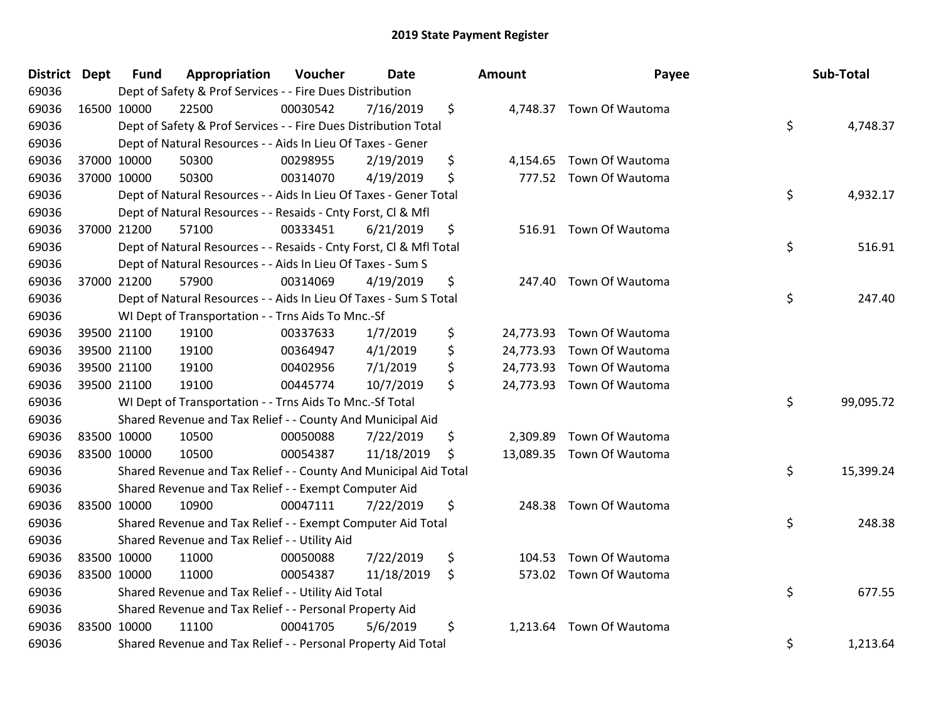| <b>District Dept</b> | <b>Fund</b> | Appropriation                                                      | Voucher  | <b>Date</b> | <b>Amount</b>   | Payee                     | Sub-Total       |
|----------------------|-------------|--------------------------------------------------------------------|----------|-------------|-----------------|---------------------------|-----------------|
| 69036                |             | Dept of Safety & Prof Services - - Fire Dues Distribution          |          |             |                 |                           |                 |
| 69036                | 16500 10000 | 22500                                                              | 00030542 | 7/16/2019   | \$              | 4,748.37 Town Of Wautoma  |                 |
| 69036                |             | Dept of Safety & Prof Services - - Fire Dues Distribution Total    |          |             |                 |                           | \$<br>4,748.37  |
| 69036                |             | Dept of Natural Resources - - Aids In Lieu Of Taxes - Gener        |          |             |                 |                           |                 |
| 69036                | 37000 10000 | 50300                                                              | 00298955 | 2/19/2019   | \$<br>4,154.65  | Town Of Wautoma           |                 |
| 69036                | 37000 10000 | 50300                                                              | 00314070 | 4/19/2019   | \$              | 777.52 Town Of Wautoma    |                 |
| 69036                |             | Dept of Natural Resources - - Aids In Lieu Of Taxes - Gener Total  |          |             |                 |                           | \$<br>4,932.17  |
| 69036                |             | Dept of Natural Resources - - Resaids - Cnty Forst, Cl & Mfl       |          |             |                 |                           |                 |
| 69036                | 37000 21200 | 57100                                                              | 00333451 | 6/21/2019   | \$              | 516.91 Town Of Wautoma    |                 |
| 69036                |             | Dept of Natural Resources - - Resaids - Cnty Forst, Cl & Mfl Total |          |             |                 |                           | \$<br>516.91    |
| 69036                |             | Dept of Natural Resources - - Aids In Lieu Of Taxes - Sum S        |          |             |                 |                           |                 |
| 69036                | 37000 21200 | 57900                                                              | 00314069 | 4/19/2019   | \$              | 247.40 Town Of Wautoma    |                 |
| 69036                |             | Dept of Natural Resources - - Aids In Lieu Of Taxes - Sum S Total  |          |             |                 |                           | \$<br>247.40    |
| 69036                |             | WI Dept of Transportation - - Trns Aids To Mnc.-Sf                 |          |             |                 |                           |                 |
| 69036                | 39500 21100 | 19100                                                              | 00337633 | 1/7/2019    | \$<br>24,773.93 | Town Of Wautoma           |                 |
| 69036                | 39500 21100 | 19100                                                              | 00364947 | 4/1/2019    | \$<br>24,773.93 | Town Of Wautoma           |                 |
| 69036                | 39500 21100 | 19100                                                              | 00402956 | 7/1/2019    | \$<br>24,773.93 | Town Of Wautoma           |                 |
| 69036                | 39500 21100 | 19100                                                              | 00445774 | 10/7/2019   | \$              | 24,773.93 Town Of Wautoma |                 |
| 69036                |             | WI Dept of Transportation - - Trns Aids To Mnc.-Sf Total           |          |             |                 |                           | \$<br>99,095.72 |
| 69036                |             | Shared Revenue and Tax Relief - - County And Municipal Aid         |          |             |                 |                           |                 |
| 69036                | 83500 10000 | 10500                                                              | 00050088 | 7/22/2019   | \$<br>2,309.89  | Town Of Wautoma           |                 |
| 69036                | 83500 10000 | 10500                                                              | 00054387 | 11/18/2019  | \$              | 13,089.35 Town Of Wautoma |                 |
| 69036                |             | Shared Revenue and Tax Relief - - County And Municipal Aid Total   |          |             |                 |                           | \$<br>15,399.24 |
| 69036                |             | Shared Revenue and Tax Relief - - Exempt Computer Aid              |          |             |                 |                           |                 |
| 69036                | 83500 10000 | 10900                                                              | 00047111 | 7/22/2019   | \$<br>248.38    | Town Of Wautoma           |                 |
| 69036                |             | Shared Revenue and Tax Relief - - Exempt Computer Aid Total        |          |             |                 |                           | \$<br>248.38    |
| 69036                |             | Shared Revenue and Tax Relief - - Utility Aid                      |          |             |                 |                           |                 |
| 69036                | 83500 10000 | 11000                                                              | 00050088 | 7/22/2019   | \$<br>104.53    | Town Of Wautoma           |                 |
| 69036                | 83500 10000 | 11000                                                              | 00054387 | 11/18/2019  | \$<br>573.02    | Town Of Wautoma           |                 |
| 69036                |             | Shared Revenue and Tax Relief - - Utility Aid Total                |          |             |                 |                           | \$<br>677.55    |
| 69036                |             | Shared Revenue and Tax Relief - - Personal Property Aid            |          |             |                 |                           |                 |
| 69036                | 83500 10000 | 11100                                                              | 00041705 | 5/6/2019    | \$<br>1,213.64  | Town Of Wautoma           |                 |
| 69036                |             | Shared Revenue and Tax Relief - - Personal Property Aid Total      |          |             |                 |                           | \$<br>1,213.64  |

| ount      | Payee                    | Sub-Total       |
|-----------|--------------------------|-----------------|
| 4,748.37  | Town Of Wautoma          | \$<br>4,748.37  |
| 4,154.65  | Town Of Wautoma          |                 |
| 777.52    | Town Of Wautoma          |                 |
|           |                          | \$<br>4,932.17  |
| 516.91    | Town Of Wautoma          |                 |
|           |                          | \$<br>516.91    |
| 247.40    | Town Of Wautoma          |                 |
|           |                          | \$<br>247.40    |
| 24,773.93 | Town Of Wautoma          |                 |
| 24,773.93 | Town Of Wautoma          |                 |
| 24,773.93 | Town Of Wautoma          |                 |
| 24,773.93 | Town Of Wautoma          |                 |
|           |                          | \$<br>99,095.72 |
|           | 2,309.89 Town Of Wautoma |                 |
| 13,089.35 | Town Of Wautoma          |                 |
|           |                          | \$<br>15,399.24 |
| 248.38    | Town Of Wautoma          |                 |
|           |                          | \$<br>248.38    |
|           | 104.53 Town Of Wautoma   |                 |
| 573.02    | Town Of Wautoma          |                 |
|           |                          | \$<br>677.55    |
| 1,213.64  | Town Of Wautoma          |                 |
|           |                          | \$<br>1,213.64  |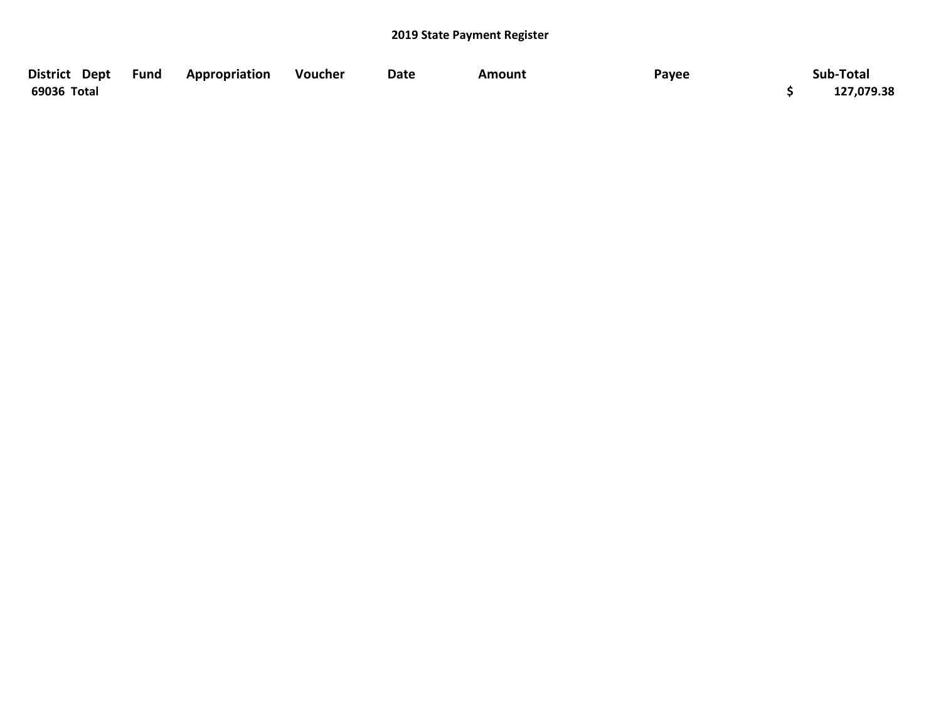| District Dept Fund | Appropriation | Voucher | Date | Amount | Payee | Sub-Total  |
|--------------------|---------------|---------|------|--------|-------|------------|
| 69036 Total        |               |         |      |        |       | 127,079.38 |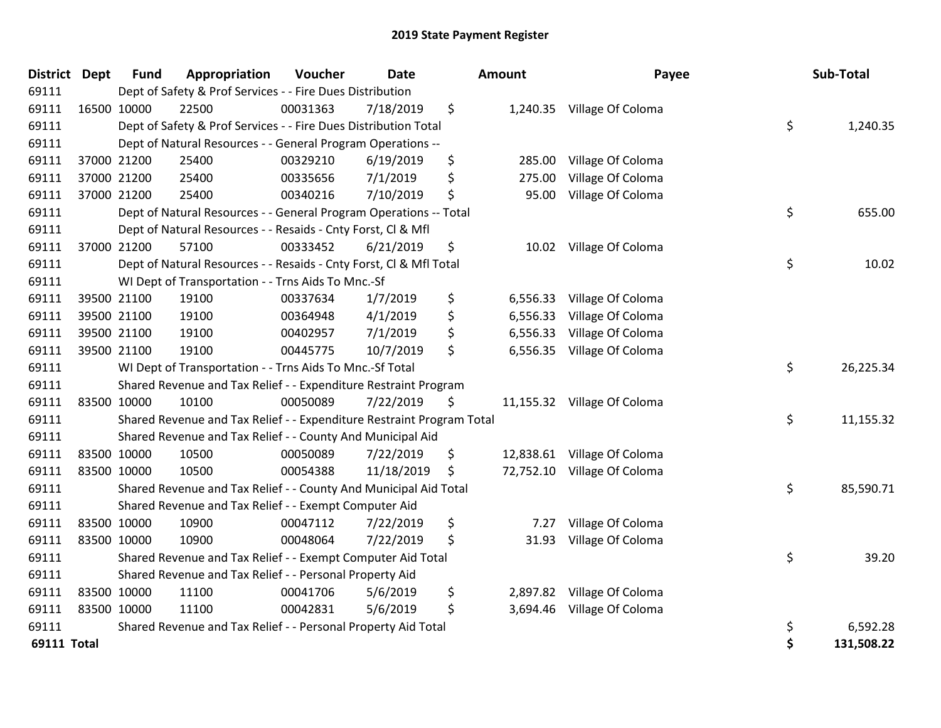| <b>District Dept</b> | <b>Fund</b> | Appropriation                                                         | Voucher  | <b>Date</b> | Amount         | Payee                       | Sub-Total        |
|----------------------|-------------|-----------------------------------------------------------------------|----------|-------------|----------------|-----------------------------|------------------|
| 69111                |             | Dept of Safety & Prof Services - - Fire Dues Distribution             |          |             |                |                             |                  |
| 69111                | 16500 10000 | 22500                                                                 | 00031363 | 7/18/2019   | \$             | 1,240.35 Village Of Coloma  |                  |
| 69111                |             | Dept of Safety & Prof Services - - Fire Dues Distribution Total       |          |             |                |                             | \$<br>1,240.35   |
| 69111                |             | Dept of Natural Resources - - General Program Operations --           |          |             |                |                             |                  |
| 69111                | 37000 21200 | 25400                                                                 | 00329210 | 6/19/2019   | \$<br>285.00   | Village Of Coloma           |                  |
| 69111                | 37000 21200 | 25400                                                                 | 00335656 | 7/1/2019    | \$<br>275.00   | Village Of Coloma           |                  |
| 69111                | 37000 21200 | 25400                                                                 | 00340216 | 7/10/2019   | \$<br>95.00    | Village Of Coloma           |                  |
| 69111                |             | Dept of Natural Resources - - General Program Operations -- Total     |          |             |                |                             | \$<br>655.00     |
| 69111                |             | Dept of Natural Resources - - Resaids - Cnty Forst, Cl & Mfl          |          |             |                |                             |                  |
| 69111                | 37000 21200 | 57100                                                                 | 00333452 | 6/21/2019   | \$<br>10.02    | Village Of Coloma           |                  |
| 69111                |             | Dept of Natural Resources - - Resaids - Cnty Forst, CI & Mfl Total    |          |             |                |                             | \$<br>10.02      |
| 69111                |             | WI Dept of Transportation - - Trns Aids To Mnc.-Sf                    |          |             |                |                             |                  |
| 69111                | 39500 21100 | 19100                                                                 | 00337634 | 1/7/2019    | \$<br>6,556.33 | Village Of Coloma           |                  |
| 69111                | 39500 21100 | 19100                                                                 | 00364948 | 4/1/2019    | \$<br>6,556.33 | Village Of Coloma           |                  |
| 69111                | 39500 21100 | 19100                                                                 | 00402957 | 7/1/2019    | \$<br>6,556.33 | Village Of Coloma           |                  |
| 69111                | 39500 21100 | 19100                                                                 | 00445775 | 10/7/2019   | \$<br>6,556.35 | Village Of Coloma           |                  |
| 69111                |             | WI Dept of Transportation - - Trns Aids To Mnc.-Sf Total              |          |             |                |                             | \$<br>26,225.34  |
| 69111                |             | Shared Revenue and Tax Relief - - Expenditure Restraint Program       |          |             |                |                             |                  |
| 69111                | 83500 10000 | 10100                                                                 | 00050089 | 7/22/2019   | \$             | 11,155.32 Village Of Coloma |                  |
| 69111                |             | Shared Revenue and Tax Relief - - Expenditure Restraint Program Total |          |             |                |                             | \$<br>11,155.32  |
| 69111                |             | Shared Revenue and Tax Relief - - County And Municipal Aid            |          |             |                |                             |                  |
| 69111                | 83500 10000 | 10500                                                                 | 00050089 | 7/22/2019   | \$             | 12,838.61 Village Of Coloma |                  |
| 69111                | 83500 10000 | 10500                                                                 | 00054388 | 11/18/2019  | \$             | 72,752.10 Village Of Coloma |                  |
| 69111                |             | Shared Revenue and Tax Relief - - County And Municipal Aid Total      |          |             |                |                             | \$<br>85,590.71  |
| 69111                |             | Shared Revenue and Tax Relief - - Exempt Computer Aid                 |          |             |                |                             |                  |
| 69111                | 83500 10000 | 10900                                                                 | 00047112 | 7/22/2019   | \$<br>7.27     | Village Of Coloma           |                  |
| 69111                | 83500 10000 | 10900                                                                 | 00048064 | 7/22/2019   | \$<br>31.93    | Village Of Coloma           |                  |
| 69111                |             | Shared Revenue and Tax Relief - - Exempt Computer Aid Total           |          |             |                |                             | \$<br>39.20      |
| 69111                |             | Shared Revenue and Tax Relief - - Personal Property Aid               |          |             |                |                             |                  |
| 69111                | 83500 10000 | 11100                                                                 | 00041706 | 5/6/2019    | \$<br>2,897.82 | Village Of Coloma           |                  |
| 69111                | 83500 10000 | 11100                                                                 | 00042831 | 5/6/2019    | \$             | 3,694.46 Village Of Coloma  |                  |
| 69111                |             | Shared Revenue and Tax Relief - - Personal Property Aid Total         |          |             |                |                             | \$<br>6,592.28   |
| 69111 Total          |             |                                                                       |          |             |                |                             | \$<br>131,508.22 |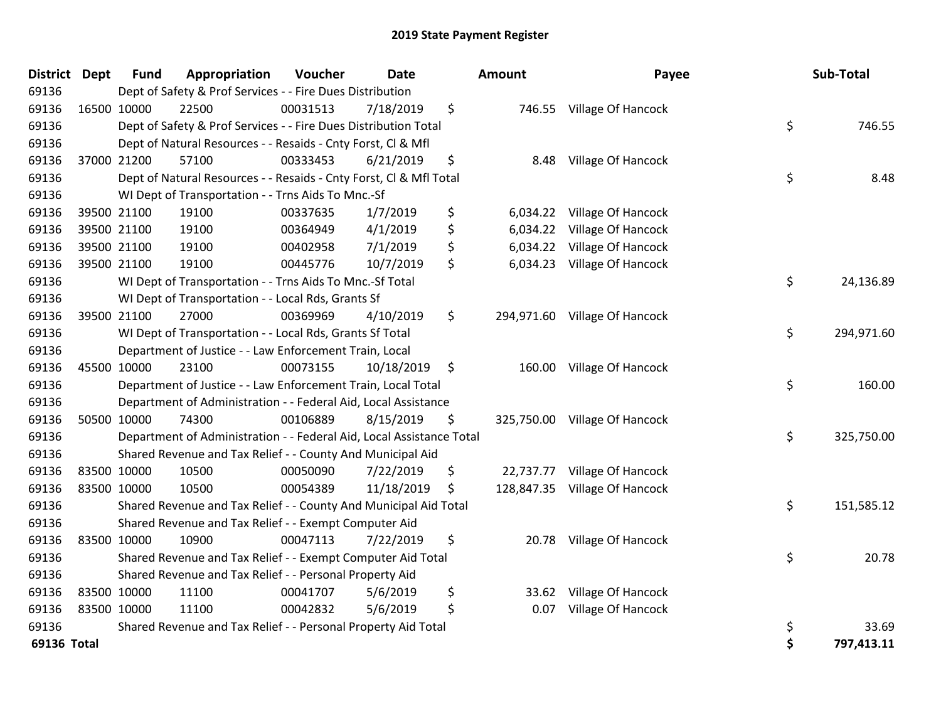| <b>District</b> | <b>Dept</b> | <b>Fund</b> | Appropriation                                                        | Voucher  | Date       | Amount         | Payee                         | Sub-Total        |
|-----------------|-------------|-------------|----------------------------------------------------------------------|----------|------------|----------------|-------------------------------|------------------|
| 69136           |             |             | Dept of Safety & Prof Services - - Fire Dues Distribution            |          |            |                |                               |                  |
| 69136           | 16500 10000 |             | 22500                                                                | 00031513 | 7/18/2019  | \$             | 746.55 Village Of Hancock     |                  |
| 69136           |             |             | Dept of Safety & Prof Services - - Fire Dues Distribution Total      |          |            |                |                               | \$<br>746.55     |
| 69136           |             |             | Dept of Natural Resources - - Resaids - Cnty Forst, Cl & Mfl         |          |            |                |                               |                  |
| 69136           | 37000 21200 |             | 57100                                                                | 00333453 | 6/21/2019  | \$<br>8.48     | Village Of Hancock            |                  |
| 69136           |             |             | Dept of Natural Resources - - Resaids - Cnty Forst, Cl & Mfl Total   |          |            |                |                               | \$<br>8.48       |
| 69136           |             |             | WI Dept of Transportation - - Trns Aids To Mnc.-Sf                   |          |            |                |                               |                  |
| 69136           |             | 39500 21100 | 19100                                                                | 00337635 | 1/7/2019   | \$<br>6,034.22 | Village Of Hancock            |                  |
| 69136           |             | 39500 21100 | 19100                                                                | 00364949 | 4/1/2019   | \$<br>6,034.22 | Village Of Hancock            |                  |
| 69136           |             | 39500 21100 | 19100                                                                | 00402958 | 7/1/2019   | \$<br>6,034.22 | Village Of Hancock            |                  |
| 69136           |             | 39500 21100 | 19100                                                                | 00445776 | 10/7/2019  | \$             | 6,034.23 Village Of Hancock   |                  |
| 69136           |             |             | WI Dept of Transportation - - Trns Aids To Mnc.-Sf Total             |          |            |                |                               | \$<br>24,136.89  |
| 69136           |             |             | WI Dept of Transportation - - Local Rds, Grants Sf                   |          |            |                |                               |                  |
| 69136           | 39500 21100 |             | 27000                                                                | 00369969 | 4/10/2019  | \$             | 294,971.60 Village Of Hancock |                  |
| 69136           |             |             | WI Dept of Transportation - - Local Rds, Grants Sf Total             |          |            |                |                               | \$<br>294,971.60 |
| 69136           |             |             | Department of Justice - - Law Enforcement Train, Local               |          |            |                |                               |                  |
| 69136           | 45500 10000 |             | 23100                                                                | 00073155 | 10/18/2019 | \$             | 160.00 Village Of Hancock     |                  |
| 69136           |             |             | Department of Justice - - Law Enforcement Train, Local Total         |          |            |                |                               | \$<br>160.00     |
| 69136           |             |             | Department of Administration - - Federal Aid, Local Assistance       |          |            |                |                               |                  |
| 69136           | 50500 10000 |             | 74300                                                                | 00106889 | 8/15/2019  | \$             | 325,750.00 Village Of Hancock |                  |
| 69136           |             |             | Department of Administration - - Federal Aid, Local Assistance Total |          |            |                |                               | \$<br>325,750.00 |
| 69136           |             |             | Shared Revenue and Tax Relief - - County And Municipal Aid           |          |            |                |                               |                  |
| 69136           | 83500 10000 |             | 10500                                                                | 00050090 | 7/22/2019  | \$             | 22,737.77 Village Of Hancock  |                  |
| 69136           | 83500 10000 |             | 10500                                                                | 00054389 | 11/18/2019 | \$             | 128,847.35 Village Of Hancock |                  |
| 69136           |             |             | Shared Revenue and Tax Relief - - County And Municipal Aid Total     |          |            |                |                               | \$<br>151,585.12 |
| 69136           |             |             | Shared Revenue and Tax Relief - - Exempt Computer Aid                |          |            |                |                               |                  |
| 69136           | 83500 10000 |             | 10900                                                                | 00047113 | 7/22/2019  | \$<br>20.78    | Village Of Hancock            |                  |
| 69136           |             |             | Shared Revenue and Tax Relief - - Exempt Computer Aid Total          |          |            |                |                               | \$<br>20.78      |
| 69136           |             |             | Shared Revenue and Tax Relief - - Personal Property Aid              |          |            |                |                               |                  |
| 69136           | 83500 10000 |             | 11100                                                                | 00041707 | 5/6/2019   | \$<br>33.62    | Village Of Hancock            |                  |
| 69136           | 83500 10000 |             | 11100                                                                | 00042832 | 5/6/2019   | \$<br>0.07     | Village Of Hancock            |                  |
| 69136           |             |             | Shared Revenue and Tax Relief - - Personal Property Aid Total        |          |            |                |                               | \$<br>33.69      |
| 69136 Total     |             |             |                                                                      |          |            |                |                               | \$<br>797,413.11 |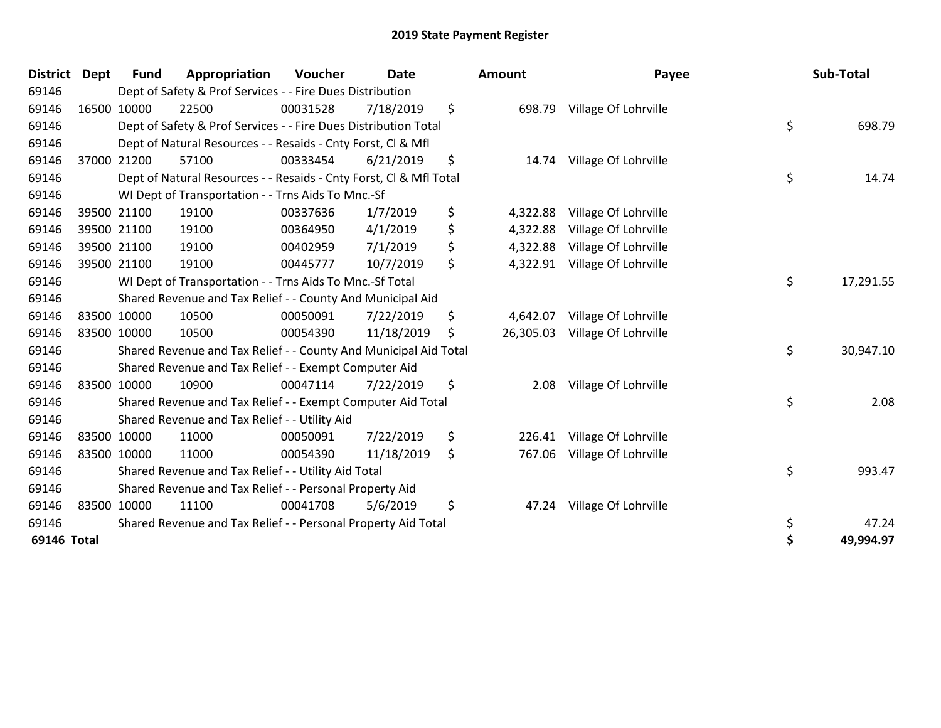| <b>District</b> | <b>Dept</b> | <b>Fund</b> | Appropriation                                                      | Voucher  | Date       | <b>Amount</b>   | Payee                | Sub-Total       |
|-----------------|-------------|-------------|--------------------------------------------------------------------|----------|------------|-----------------|----------------------|-----------------|
| 69146           |             |             | Dept of Safety & Prof Services - - Fire Dues Distribution          |          |            |                 |                      |                 |
| 69146           | 16500       | 10000       | 22500                                                              | 00031528 | 7/18/2019  | \$<br>698.79    | Village Of Lohrville |                 |
| 69146           |             |             | Dept of Safety & Prof Services - - Fire Dues Distribution Total    |          |            |                 |                      | \$<br>698.79    |
| 69146           |             |             | Dept of Natural Resources - - Resaids - Cnty Forst, CI & Mfl       |          |            |                 |                      |                 |
| 69146           |             | 37000 21200 | 57100                                                              | 00333454 | 6/21/2019  | \$<br>14.74     | Village Of Lohrville |                 |
| 69146           |             |             | Dept of Natural Resources - - Resaids - Cnty Forst, Cl & Mfl Total |          |            |                 |                      | \$<br>14.74     |
| 69146           |             |             | WI Dept of Transportation - - Trns Aids To Mnc.-Sf                 |          |            |                 |                      |                 |
| 69146           |             | 39500 21100 | 19100                                                              | 00337636 | 1/7/2019   | \$<br>4,322.88  | Village Of Lohrville |                 |
| 69146           |             | 39500 21100 | 19100                                                              | 00364950 | 4/1/2019   | \$<br>4,322.88  | Village Of Lohrville |                 |
| 69146           |             | 39500 21100 | 19100                                                              | 00402959 | 7/1/2019   | \$<br>4,322.88  | Village Of Lohrville |                 |
| 69146           |             | 39500 21100 | 19100                                                              | 00445777 | 10/7/2019  | \$<br>4,322.91  | Village Of Lohrville |                 |
| 69146           |             |             | WI Dept of Transportation - - Trns Aids To Mnc.-Sf Total           |          |            |                 |                      | \$<br>17,291.55 |
| 69146           |             |             | Shared Revenue and Tax Relief - - County And Municipal Aid         |          |            |                 |                      |                 |
| 69146           |             | 83500 10000 | 10500                                                              | 00050091 | 7/22/2019  | \$<br>4,642.07  | Village Of Lohrville |                 |
| 69146           |             | 83500 10000 | 10500                                                              | 00054390 | 11/18/2019 | \$<br>26,305.03 | Village Of Lohrville |                 |
| 69146           |             |             | Shared Revenue and Tax Relief - - County And Municipal Aid Total   |          |            |                 |                      | \$<br>30,947.10 |
| 69146           |             |             | Shared Revenue and Tax Relief - - Exempt Computer Aid              |          |            |                 |                      |                 |
| 69146           |             | 83500 10000 | 10900                                                              | 00047114 | 7/22/2019  | \$<br>2.08      | Village Of Lohrville |                 |
| 69146           |             |             | Shared Revenue and Tax Relief - - Exempt Computer Aid Total        |          |            |                 |                      | \$<br>2.08      |
| 69146           |             |             | Shared Revenue and Tax Relief - - Utility Aid                      |          |            |                 |                      |                 |
| 69146           |             | 83500 10000 | 11000                                                              | 00050091 | 7/22/2019  | \$<br>226.41    | Village Of Lohrville |                 |
| 69146           |             | 83500 10000 | 11000                                                              | 00054390 | 11/18/2019 | \$<br>767.06    | Village Of Lohrville |                 |
| 69146           |             |             | Shared Revenue and Tax Relief - - Utility Aid Total                |          |            |                 |                      | \$<br>993.47    |
| 69146           |             |             | Shared Revenue and Tax Relief - - Personal Property Aid            |          |            |                 |                      |                 |
| 69146           |             | 83500 10000 | 11100                                                              | 00041708 | 5/6/2019   | \$<br>47.24     | Village Of Lohrville |                 |
| 69146           |             |             | Shared Revenue and Tax Relief - - Personal Property Aid Total      |          |            |                 |                      | \$<br>47.24     |
| 69146 Total     |             |             |                                                                    |          |            |                 |                      | \$<br>49,994.97 |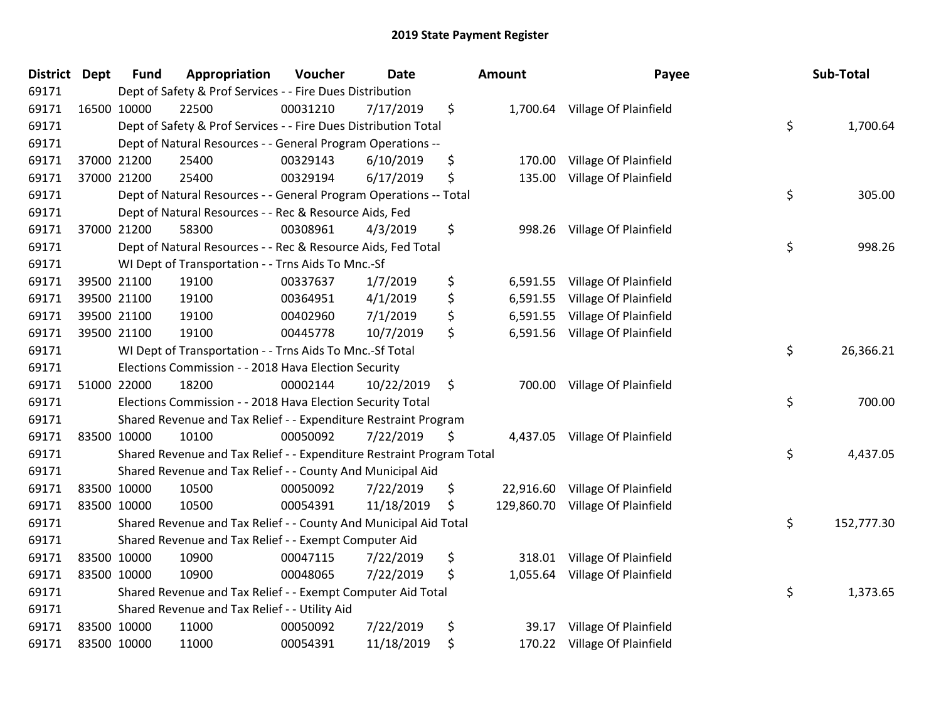| <b>District</b> | <b>Dept</b> | <b>Fund</b> | Appropriation                                                         | Voucher  | <b>Date</b> |     | Amount     | Payee                          | Sub-Total        |
|-----------------|-------------|-------------|-----------------------------------------------------------------------|----------|-------------|-----|------------|--------------------------------|------------------|
| 69171           |             |             | Dept of Safety & Prof Services - - Fire Dues Distribution             |          |             |     |            |                                |                  |
| 69171           | 16500 10000 |             | 22500                                                                 | 00031210 | 7/17/2019   | \$  |            | 1,700.64 Village Of Plainfield |                  |
| 69171           |             |             | Dept of Safety & Prof Services - - Fire Dues Distribution Total       |          |             |     |            |                                | \$<br>1,700.64   |
| 69171           |             |             | Dept of Natural Resources - - General Program Operations --           |          |             |     |            |                                |                  |
| 69171           |             | 37000 21200 | 25400                                                                 | 00329143 | 6/10/2019   | \$  | 170.00     | Village Of Plainfield          |                  |
| 69171           |             | 37000 21200 | 25400                                                                 | 00329194 | 6/17/2019   | \$  | 135.00     | Village Of Plainfield          |                  |
| 69171           |             |             | Dept of Natural Resources - - General Program Operations -- Total     |          |             |     |            |                                | \$<br>305.00     |
| 69171           |             |             | Dept of Natural Resources - - Rec & Resource Aids, Fed                |          |             |     |            |                                |                  |
| 69171           |             | 37000 21200 | 58300                                                                 | 00308961 | 4/3/2019    | \$  | 998.26     | Village Of Plainfield          |                  |
| 69171           |             |             | Dept of Natural Resources - - Rec & Resource Aids, Fed Total          |          |             |     |            |                                | \$<br>998.26     |
| 69171           |             |             | WI Dept of Transportation - - Trns Aids To Mnc.-Sf                    |          |             |     |            |                                |                  |
| 69171           |             | 39500 21100 | 19100                                                                 | 00337637 | 1/7/2019    | \$  | 6,591.55   | Village Of Plainfield          |                  |
| 69171           |             | 39500 21100 | 19100                                                                 | 00364951 | 4/1/2019    | \$  | 6,591.55   | Village Of Plainfield          |                  |
| 69171           |             | 39500 21100 | 19100                                                                 | 00402960 | 7/1/2019    | \$  | 6,591.55   | Village Of Plainfield          |                  |
| 69171           |             | 39500 21100 | 19100                                                                 | 00445778 | 10/7/2019   | \$  | 6,591.56   | Village Of Plainfield          |                  |
| 69171           |             |             | WI Dept of Transportation - - Trns Aids To Mnc.-Sf Total              |          |             |     |            |                                | \$<br>26,366.21  |
| 69171           |             |             | Elections Commission - - 2018 Hava Election Security                  |          |             |     |            |                                |                  |
| 69171           |             | 51000 22000 | 18200                                                                 | 00002144 | 10/22/2019  | \$  | 700.00     | Village Of Plainfield          |                  |
| 69171           |             |             | Elections Commission - - 2018 Hava Election Security Total            |          |             |     |            |                                | \$<br>700.00     |
| 69171           |             |             | Shared Revenue and Tax Relief - - Expenditure Restraint Program       |          |             |     |            |                                |                  |
| 69171           | 83500 10000 |             | 10100                                                                 | 00050092 | 7/22/2019   | \$. |            | 4,437.05 Village Of Plainfield |                  |
| 69171           |             |             | Shared Revenue and Tax Relief - - Expenditure Restraint Program Total |          |             |     |            |                                | \$<br>4,437.05   |
| 69171           |             |             | Shared Revenue and Tax Relief - - County And Municipal Aid            |          |             |     |            |                                |                  |
| 69171           |             | 83500 10000 | 10500                                                                 | 00050092 | 7/22/2019   | \$  | 22,916.60  | Village Of Plainfield          |                  |
| 69171           |             | 83500 10000 | 10500                                                                 | 00054391 | 11/18/2019  | \$  | 129,860.70 | Village Of Plainfield          |                  |
| 69171           |             |             | Shared Revenue and Tax Relief - - County And Municipal Aid Total      |          |             |     |            |                                | \$<br>152,777.30 |
| 69171           |             |             | Shared Revenue and Tax Relief - - Exempt Computer Aid                 |          |             |     |            |                                |                  |
| 69171           |             | 83500 10000 | 10900                                                                 | 00047115 | 7/22/2019   | \$  | 318.01     | Village Of Plainfield          |                  |
| 69171           | 83500 10000 |             | 10900                                                                 | 00048065 | 7/22/2019   | \$  |            | 1,055.64 Village Of Plainfield |                  |
| 69171           |             |             | Shared Revenue and Tax Relief - - Exempt Computer Aid Total           |          |             |     |            |                                | \$<br>1,373.65   |
| 69171           |             |             | Shared Revenue and Tax Relief - - Utility Aid                         |          |             |     |            |                                |                  |
| 69171           |             | 83500 10000 | 11000                                                                 | 00050092 | 7/22/2019   | \$  | 39.17      | Village Of Plainfield          |                  |
| 69171           | 83500 10000 |             | 11000                                                                 | 00054391 | 11/18/2019  | \$  | 170.22     | Village Of Plainfield          |                  |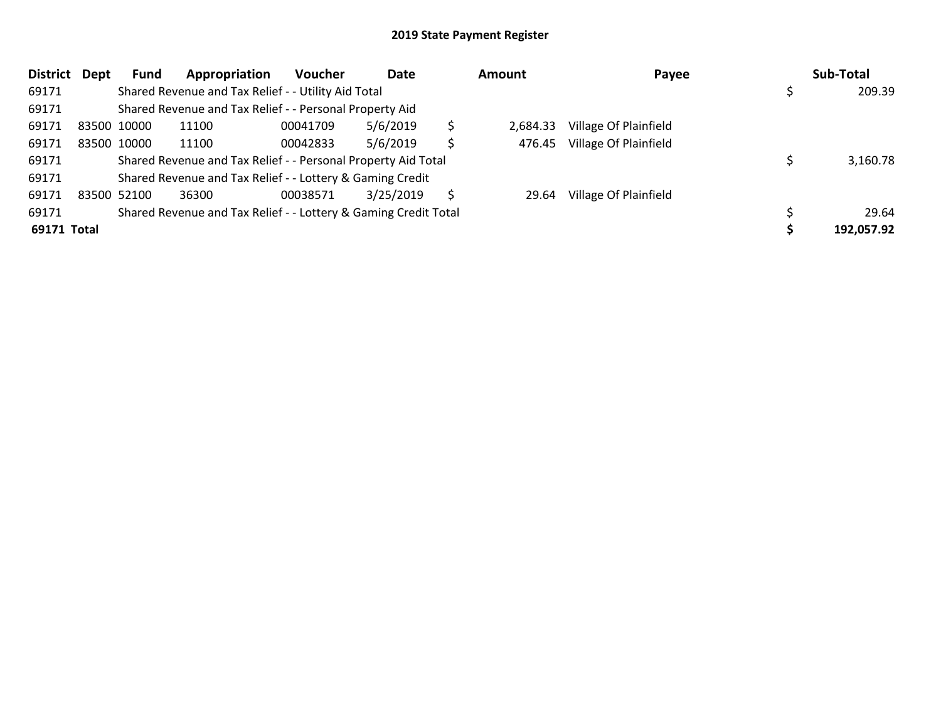| <b>District</b> | Dept | Fund        | Appropriation                                                   | <b>Voucher</b> | Date      |     | Amount   | Payee                 | Sub-Total  |
|-----------------|------|-------------|-----------------------------------------------------------------|----------------|-----------|-----|----------|-----------------------|------------|
| 69171           |      |             | Shared Revenue and Tax Relief - - Utility Aid Total             |                |           |     |          |                       | 209.39     |
| 69171           |      |             | Shared Revenue and Tax Relief - - Personal Property Aid         |                |           |     |          |                       |            |
| 69171           |      | 83500 10000 | 11100                                                           | 00041709       | 5/6/2019  | \$  | 2,684.33 | Village Of Plainfield |            |
| 69171           |      | 83500 10000 | 11100                                                           | 00042833       | 5/6/2019  | \$. | 476.45   | Village Of Plainfield |            |
| 69171           |      |             | Shared Revenue and Tax Relief - - Personal Property Aid Total   |                |           |     |          |                       | 3,160.78   |
| 69171           |      |             | Shared Revenue and Tax Relief - - Lottery & Gaming Credit       |                |           |     |          |                       |            |
| 69171           |      | 83500 52100 | 36300                                                           | 00038571       | 3/25/2019 |     | 29.64    | Village Of Plainfield |            |
| 69171           |      |             | Shared Revenue and Tax Relief - - Lottery & Gaming Credit Total |                |           |     |          |                       | 29.64      |
| 69171 Total     |      |             |                                                                 |                |           |     |          |                       | 192,057.92 |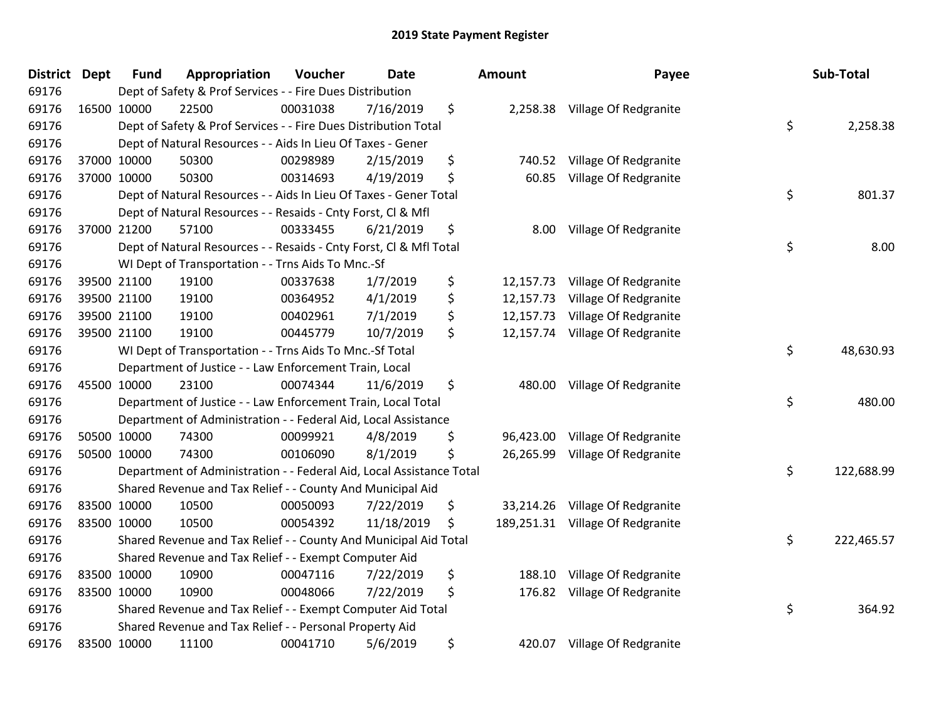| <b>District</b> | Dept | <b>Fund</b> | Appropriation                                                        | Voucher  | <b>Date</b> | <b>Amount</b>    | Payee                           | Sub-Total        |
|-----------------|------|-------------|----------------------------------------------------------------------|----------|-------------|------------------|---------------------------------|------------------|
| 69176           |      |             | Dept of Safety & Prof Services - - Fire Dues Distribution            |          |             |                  |                                 |                  |
| 69176           |      | 16500 10000 | 22500                                                                | 00031038 | 7/16/2019   | \$               | 2,258.38 Village Of Redgranite  |                  |
| 69176           |      |             | Dept of Safety & Prof Services - - Fire Dues Distribution Total      |          |             |                  |                                 | \$<br>2,258.38   |
| 69176           |      |             | Dept of Natural Resources - - Aids In Lieu Of Taxes - Gener          |          |             |                  |                                 |                  |
| 69176           |      | 37000 10000 | 50300                                                                | 00298989 | 2/15/2019   | \$<br>740.52     | Village Of Redgranite           |                  |
| 69176           |      | 37000 10000 | 50300                                                                | 00314693 | 4/19/2019   | \$<br>60.85      | Village Of Redgranite           |                  |
| 69176           |      |             | Dept of Natural Resources - - Aids In Lieu Of Taxes - Gener Total    |          |             |                  |                                 | \$<br>801.37     |
| 69176           |      |             | Dept of Natural Resources - - Resaids - Cnty Forst, Cl & Mfl         |          |             |                  |                                 |                  |
| 69176           |      | 37000 21200 | 57100                                                                | 00333455 | 6/21/2019   | \$<br>8.00       | Village Of Redgranite           |                  |
| 69176           |      |             | Dept of Natural Resources - - Resaids - Cnty Forst, CI & Mfl Total   |          |             |                  |                                 | \$<br>8.00       |
| 69176           |      |             | WI Dept of Transportation - - Trns Aids To Mnc.-Sf                   |          |             |                  |                                 |                  |
| 69176           |      | 39500 21100 | 19100                                                                | 00337638 | 1/7/2019    | \$<br>12,157.73  | Village Of Redgranite           |                  |
| 69176           |      | 39500 21100 | 19100                                                                | 00364952 | 4/1/2019    | \$<br>12,157.73  | Village Of Redgranite           |                  |
| 69176           |      | 39500 21100 | 19100                                                                | 00402961 | 7/1/2019    | \$               | 12,157.73 Village Of Redgranite |                  |
| 69176           |      | 39500 21100 | 19100                                                                | 00445779 | 10/7/2019   | \$               | 12,157.74 Village Of Redgranite |                  |
| 69176           |      |             | WI Dept of Transportation - - Trns Aids To Mnc.-Sf Total             |          |             |                  |                                 | \$<br>48,630.93  |
| 69176           |      |             | Department of Justice - - Law Enforcement Train, Local               |          |             |                  |                                 |                  |
| 69176           |      | 45500 10000 | 23100                                                                | 00074344 | 11/6/2019   | \$<br>480.00     | Village Of Redgranite           |                  |
| 69176           |      |             | Department of Justice - - Law Enforcement Train, Local Total         |          |             |                  |                                 | \$<br>480.00     |
| 69176           |      |             | Department of Administration - - Federal Aid, Local Assistance       |          |             |                  |                                 |                  |
| 69176           |      | 50500 10000 | 74300                                                                | 00099921 | 4/8/2019    | \$<br>96,423.00  | Village Of Redgranite           |                  |
| 69176           |      | 50500 10000 | 74300                                                                | 00106090 | 8/1/2019    | \$<br>26,265.99  | Village Of Redgranite           |                  |
| 69176           |      |             | Department of Administration - - Federal Aid, Local Assistance Total |          |             |                  |                                 | \$<br>122,688.99 |
| 69176           |      |             | Shared Revenue and Tax Relief - - County And Municipal Aid           |          |             |                  |                                 |                  |
| 69176           |      | 83500 10000 | 10500                                                                | 00050093 | 7/22/2019   | \$<br>33,214.26  | Village Of Redgranite           |                  |
| 69176           |      | 83500 10000 | 10500                                                                | 00054392 | 11/18/2019  | \$<br>189,251.31 | Village Of Redgranite           |                  |
| 69176           |      |             | Shared Revenue and Tax Relief - - County And Municipal Aid Total     |          |             |                  |                                 | \$<br>222,465.57 |
| 69176           |      |             | Shared Revenue and Tax Relief - - Exempt Computer Aid                |          |             |                  |                                 |                  |
| 69176           |      | 83500 10000 | 10900                                                                | 00047116 | 7/22/2019   | \$<br>188.10     | Village Of Redgranite           |                  |
| 69176           |      | 83500 10000 | 10900                                                                | 00048066 | 7/22/2019   | \$<br>176.82     | Village Of Redgranite           |                  |
| 69176           |      |             | Shared Revenue and Tax Relief - - Exempt Computer Aid Total          |          |             |                  |                                 | \$<br>364.92     |
| 69176           |      |             | Shared Revenue and Tax Relief - - Personal Property Aid              |          |             |                  |                                 |                  |
| 69176           |      | 83500 10000 | 11100                                                                | 00041710 | 5/6/2019    | \$<br>420.07     | Village Of Redgranite           |                  |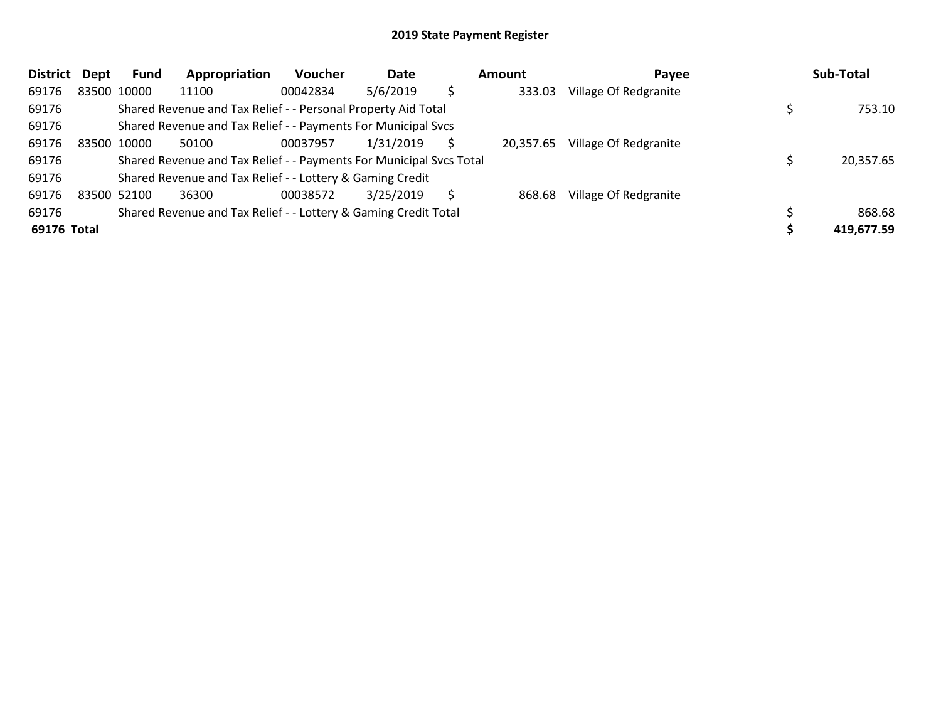| <b>District</b> | Dept | Fund        | Appropriation                                                       | <b>Voucher</b> | Date      |    | Amount    | Payee                 | Sub-Total  |
|-----------------|------|-------------|---------------------------------------------------------------------|----------------|-----------|----|-----------|-----------------------|------------|
| 69176           |      | 83500 10000 | 11100                                                               | 00042834       | 5/6/2019  | \$ | 333.03    | Village Of Redgranite |            |
| 69176           |      |             | Shared Revenue and Tax Relief - - Personal Property Aid Total       |                |           |    |           |                       | 753.10     |
| 69176           |      |             | Shared Revenue and Tax Relief - - Payments For Municipal Svcs       |                |           |    |           |                       |            |
| 69176           |      | 83500 10000 | 50100                                                               | 00037957       | 1/31/2019 |    | 20,357.65 | Village Of Redgranite |            |
| 69176           |      |             | Shared Revenue and Tax Relief - - Payments For Municipal Svcs Total |                |           |    |           |                       | 20,357.65  |
| 69176           |      |             | Shared Revenue and Tax Relief - - Lottery & Gaming Credit           |                |           |    |           |                       |            |
| 69176           |      | 83500 52100 | 36300                                                               | 00038572       | 3/25/2019 | S  | 868.68    | Village Of Redgranite |            |
| 69176           |      |             | Shared Revenue and Tax Relief - - Lottery & Gaming Credit Total     |                |           |    |           |                       | 868.68     |
| 69176 Total     |      |             |                                                                     |                |           |    |           |                       | 419,677.59 |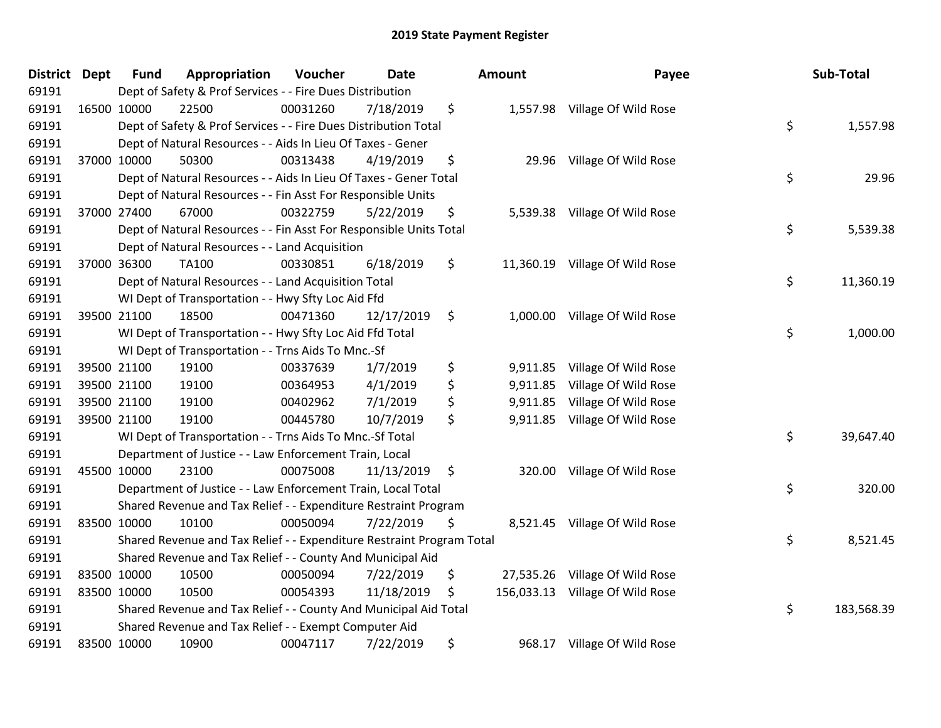| District | <b>Dept</b> | <b>Fund</b> | Appropriation                                                         | Voucher  | <b>Date</b> |                    | Amount   | Payee                           | Sub-Total        |
|----------|-------------|-------------|-----------------------------------------------------------------------|----------|-------------|--------------------|----------|---------------------------------|------------------|
| 69191    |             |             | Dept of Safety & Prof Services - - Fire Dues Distribution             |          |             |                    |          |                                 |                  |
| 69191    |             | 16500 10000 | 22500                                                                 | 00031260 | 7/18/2019   | \$                 |          | 1,557.98 Village Of Wild Rose   |                  |
| 69191    |             |             | Dept of Safety & Prof Services - - Fire Dues Distribution Total       |          |             |                    |          |                                 | \$<br>1,557.98   |
| 69191    |             |             | Dept of Natural Resources - - Aids In Lieu Of Taxes - Gener           |          |             |                    |          |                                 |                  |
| 69191    |             | 37000 10000 | 50300                                                                 | 00313438 | 4/19/2019   | \$                 | 29.96    | Village Of Wild Rose            |                  |
| 69191    |             |             | Dept of Natural Resources - - Aids In Lieu Of Taxes - Gener Total     |          |             |                    |          |                                 | \$<br>29.96      |
| 69191    |             |             | Dept of Natural Resources - - Fin Asst For Responsible Units          |          |             |                    |          |                                 |                  |
| 69191    |             | 37000 27400 | 67000                                                                 | 00322759 | 5/22/2019   | \$                 |          | 5,539.38 Village Of Wild Rose   |                  |
| 69191    |             |             | Dept of Natural Resources - - Fin Asst For Responsible Units Total    |          |             |                    |          |                                 | \$<br>5,539.38   |
| 69191    |             |             | Dept of Natural Resources - - Land Acquisition                        |          |             |                    |          |                                 |                  |
| 69191    |             | 37000 36300 | TA100                                                                 | 00330851 | 6/18/2019   | \$                 |          | 11,360.19 Village Of Wild Rose  |                  |
| 69191    |             |             | Dept of Natural Resources - - Land Acquisition Total                  |          |             |                    |          |                                 | \$<br>11,360.19  |
| 69191    |             |             | WI Dept of Transportation - - Hwy Sfty Loc Aid Ffd                    |          |             |                    |          |                                 |                  |
| 69191    |             | 39500 21100 | 18500                                                                 | 00471360 | 12/17/2019  | \$                 | 1,000.00 | Village Of Wild Rose            |                  |
| 69191    |             |             | WI Dept of Transportation - - Hwy Sfty Loc Aid Ffd Total              |          |             |                    |          |                                 | \$<br>1,000.00   |
| 69191    |             |             | WI Dept of Transportation - - Trns Aids To Mnc.-Sf                    |          |             |                    |          |                                 |                  |
| 69191    |             | 39500 21100 | 19100                                                                 | 00337639 | 1/7/2019    | \$                 | 9,911.85 | Village Of Wild Rose            |                  |
| 69191    |             | 39500 21100 | 19100                                                                 | 00364953 | 4/1/2019    | \$                 |          | 9,911.85 Village Of Wild Rose   |                  |
| 69191    |             | 39500 21100 | 19100                                                                 | 00402962 | 7/1/2019    | \$                 | 9,911.85 | Village Of Wild Rose            |                  |
| 69191    |             | 39500 21100 | 19100                                                                 | 00445780 | 10/7/2019   | \$                 | 9,911.85 | Village Of Wild Rose            |                  |
| 69191    |             |             | WI Dept of Transportation - - Trns Aids To Mnc.-Sf Total              |          |             |                    |          |                                 | \$<br>39,647.40  |
| 69191    |             |             | Department of Justice - - Law Enforcement Train, Local                |          |             |                    |          |                                 |                  |
| 69191    |             | 45500 10000 | 23100                                                                 | 00075008 | 11/13/2019  | $\ddot{\varsigma}$ |          | 320.00 Village Of Wild Rose     |                  |
| 69191    |             |             | Department of Justice - - Law Enforcement Train, Local Total          |          |             |                    |          |                                 | \$<br>320.00     |
| 69191    |             |             | Shared Revenue and Tax Relief - - Expenditure Restraint Program       |          |             |                    |          |                                 |                  |
| 69191    |             | 83500 10000 | 10100                                                                 | 00050094 | 7/22/2019   | \$                 |          | 8,521.45 Village Of Wild Rose   |                  |
| 69191    |             |             | Shared Revenue and Tax Relief - - Expenditure Restraint Program Total |          |             |                    |          |                                 | \$<br>8,521.45   |
| 69191    |             |             | Shared Revenue and Tax Relief - - County And Municipal Aid            |          |             |                    |          |                                 |                  |
| 69191    |             | 83500 10000 | 10500                                                                 | 00050094 | 7/22/2019   | \$                 |          | 27,535.26 Village Of Wild Rose  |                  |
| 69191    |             | 83500 10000 | 10500                                                                 | 00054393 | 11/18/2019  | \$                 |          | 156,033.13 Village Of Wild Rose |                  |
| 69191    |             |             | Shared Revenue and Tax Relief - - County And Municipal Aid Total      |          |             |                    |          |                                 | \$<br>183,568.39 |
| 69191    |             |             | Shared Revenue and Tax Relief - - Exempt Computer Aid                 |          |             |                    |          |                                 |                  |
| 69191    |             | 83500 10000 | 10900                                                                 | 00047117 | 7/22/2019   | \$                 | 968.17   | Village Of Wild Rose            |                  |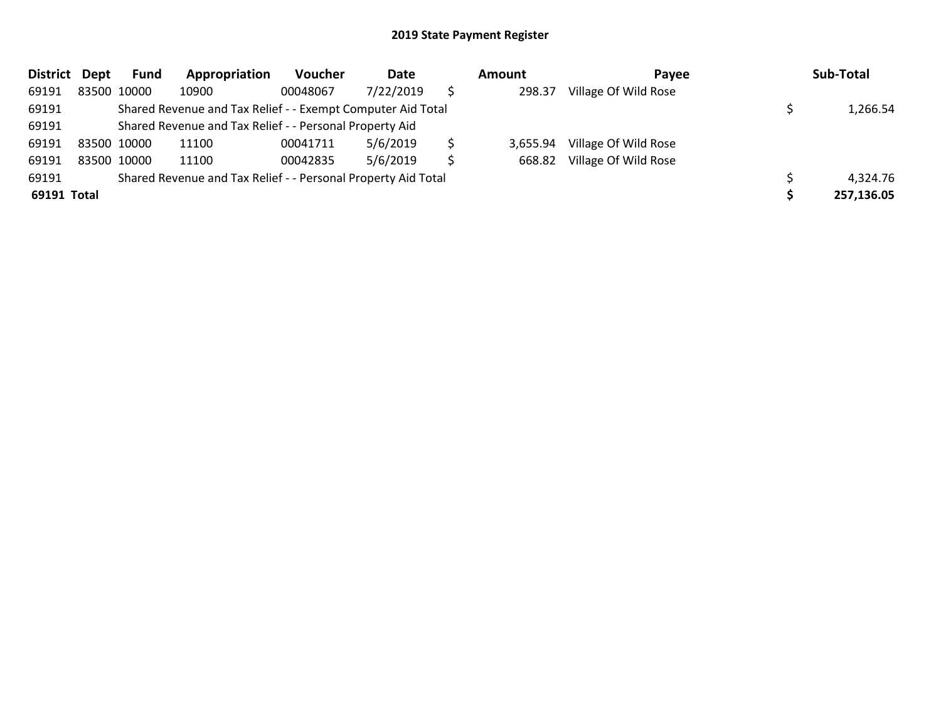| District    | Dept | <b>Fund</b> | Appropriation                                                 | Voucher  | Date      |    | Amount   | Payee                | Sub-Total  |
|-------------|------|-------------|---------------------------------------------------------------|----------|-----------|----|----------|----------------------|------------|
| 69191       |      | 83500 10000 | 10900                                                         | 00048067 | 7/22/2019 |    | 298.37   | Village Of Wild Rose |            |
| 69191       |      |             | Shared Revenue and Tax Relief - - Exempt Computer Aid Total   |          |           |    |          |                      | 1,266.54   |
| 69191       |      |             | Shared Revenue and Tax Relief - - Personal Property Aid       |          |           |    |          |                      |            |
| 69191       |      | 83500 10000 | 11100                                                         | 00041711 | 5/6/2019  |    | 3.655.94 | Village Of Wild Rose |            |
| 69191       |      | 83500 10000 | 11100                                                         | 00042835 | 5/6/2019  | Ś. | 668.82   | Village Of Wild Rose |            |
| 69191       |      |             | Shared Revenue and Tax Relief - - Personal Property Aid Total |          |           |    |          |                      | 4,324.76   |
| 69191 Total |      |             |                                                               |          |           |    |          |                      | 257,136.05 |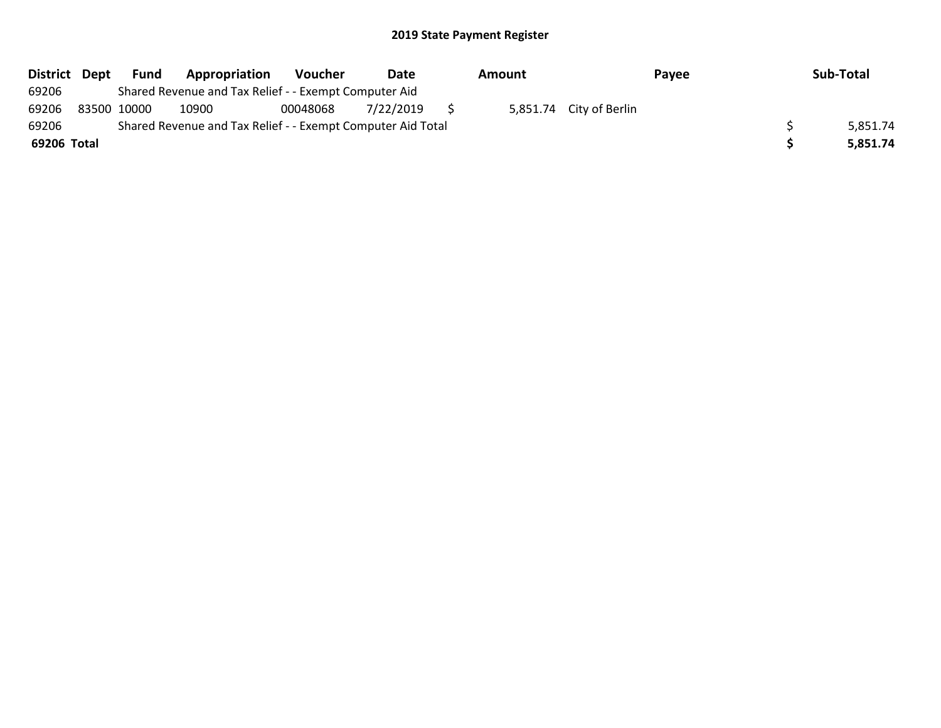| District Dept | Fund        | Appropriation                                               | <b>Voucher</b> | Date      | Amount |                         | Payee | Sub-Total |
|---------------|-------------|-------------------------------------------------------------|----------------|-----------|--------|-------------------------|-------|-----------|
| 69206         |             | Shared Revenue and Tax Relief - - Exempt Computer Aid       |                |           |        |                         |       |           |
| 69206         | 83500 10000 | 10900                                                       | 00048068       | 7/22/2019 |        | 5,851.74 City of Berlin |       |           |
| 69206         |             | Shared Revenue and Tax Relief - - Exempt Computer Aid Total |                |           |        |                         |       | 5,851.74  |
| 69206 Total   |             |                                                             |                |           |        |                         |       | 5.851.74  |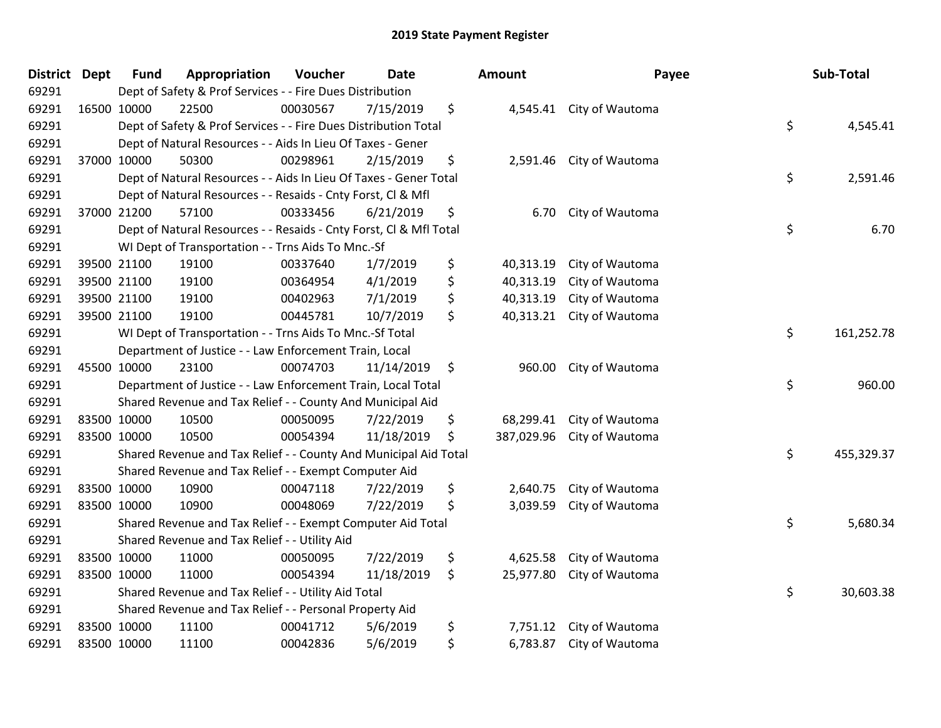| <b>District Dept</b> | <b>Fund</b> | Appropriation                                                      | Voucher  | <b>Date</b> | <b>Amount</b>    | Payee                     | Sub-Total        |
|----------------------|-------------|--------------------------------------------------------------------|----------|-------------|------------------|---------------------------|------------------|
| 69291                |             | Dept of Safety & Prof Services - - Fire Dues Distribution          |          |             |                  |                           |                  |
| 69291                | 16500 10000 | 22500                                                              | 00030567 | 7/15/2019   | \$               | 4,545.41 City of Wautoma  |                  |
| 69291                |             | Dept of Safety & Prof Services - - Fire Dues Distribution Total    |          |             |                  |                           | \$<br>4,545.41   |
| 69291                |             | Dept of Natural Resources - - Aids In Lieu Of Taxes - Gener        |          |             |                  |                           |                  |
| 69291                | 37000 10000 | 50300                                                              | 00298961 | 2/15/2019   | \$<br>2,591.46   | City of Wautoma           |                  |
| 69291                |             | Dept of Natural Resources - - Aids In Lieu Of Taxes - Gener Total  |          |             |                  |                           | \$<br>2,591.46   |
| 69291                |             | Dept of Natural Resources - - Resaids - Cnty Forst, Cl & Mfl       |          |             |                  |                           |                  |
| 69291                | 37000 21200 | 57100                                                              | 00333456 | 6/21/2019   | \$<br>6.70       | City of Wautoma           |                  |
| 69291                |             | Dept of Natural Resources - - Resaids - Cnty Forst, CI & Mfl Total |          |             |                  |                           | \$<br>6.70       |
| 69291                |             | WI Dept of Transportation - - Trns Aids To Mnc.-Sf                 |          |             |                  |                           |                  |
| 69291                | 39500 21100 | 19100                                                              | 00337640 | 1/7/2019    | \$<br>40,313.19  | City of Wautoma           |                  |
| 69291                | 39500 21100 | 19100                                                              | 00364954 | 4/1/2019    | \$<br>40,313.19  | City of Wautoma           |                  |
| 69291                | 39500 21100 | 19100                                                              | 00402963 | 7/1/2019    | \$<br>40,313.19  | City of Wautoma           |                  |
| 69291                | 39500 21100 | 19100                                                              | 00445781 | 10/7/2019   | \$<br>40,313.21  | City of Wautoma           |                  |
| 69291                |             | WI Dept of Transportation - - Trns Aids To Mnc.-Sf Total           |          |             |                  |                           | \$<br>161,252.78 |
| 69291                |             | Department of Justice - - Law Enforcement Train, Local             |          |             |                  |                           |                  |
| 69291                | 45500 10000 | 23100                                                              | 00074703 | 11/14/2019  | \$<br>960.00     | City of Wautoma           |                  |
| 69291                |             | Department of Justice - - Law Enforcement Train, Local Total       |          |             |                  |                           | \$<br>960.00     |
| 69291                |             | Shared Revenue and Tax Relief - - County And Municipal Aid         |          |             |                  |                           |                  |
| 69291                | 83500 10000 | 10500                                                              | 00050095 | 7/22/2019   | \$<br>68,299.41  | City of Wautoma           |                  |
| 69291                | 83500 10000 | 10500                                                              | 00054394 | 11/18/2019  | \$<br>387,029.96 | City of Wautoma           |                  |
| 69291                |             | Shared Revenue and Tax Relief - - County And Municipal Aid Total   |          |             |                  |                           | \$<br>455,329.37 |
| 69291                |             | Shared Revenue and Tax Relief - - Exempt Computer Aid              |          |             |                  |                           |                  |
| 69291                | 83500 10000 | 10900                                                              | 00047118 | 7/22/2019   | \$<br>2,640.75   | City of Wautoma           |                  |
| 69291                | 83500 10000 | 10900                                                              | 00048069 | 7/22/2019   | \$<br>3,039.59   | City of Wautoma           |                  |
| 69291                |             | Shared Revenue and Tax Relief - - Exempt Computer Aid Total        |          |             |                  |                           | \$<br>5,680.34   |
| 69291                |             | Shared Revenue and Tax Relief - - Utility Aid                      |          |             |                  |                           |                  |
| 69291                | 83500 10000 | 11000                                                              | 00050095 | 7/22/2019   | \$<br>4,625.58   | City of Wautoma           |                  |
| 69291                | 83500 10000 | 11000                                                              | 00054394 | 11/18/2019  | \$               | 25,977.80 City of Wautoma |                  |
| 69291                |             | Shared Revenue and Tax Relief - - Utility Aid Total                |          |             |                  |                           | \$<br>30,603.38  |
| 69291                |             | Shared Revenue and Tax Relief - - Personal Property Aid            |          |             |                  |                           |                  |
| 69291                | 83500 10000 | 11100                                                              | 00041712 | 5/6/2019    | \$<br>7,751.12   | City of Wautoma           |                  |
| 69291                | 83500 10000 | 11100                                                              | 00042836 | 5/6/2019    | \$               | 6,783.87 City of Wautoma  |                  |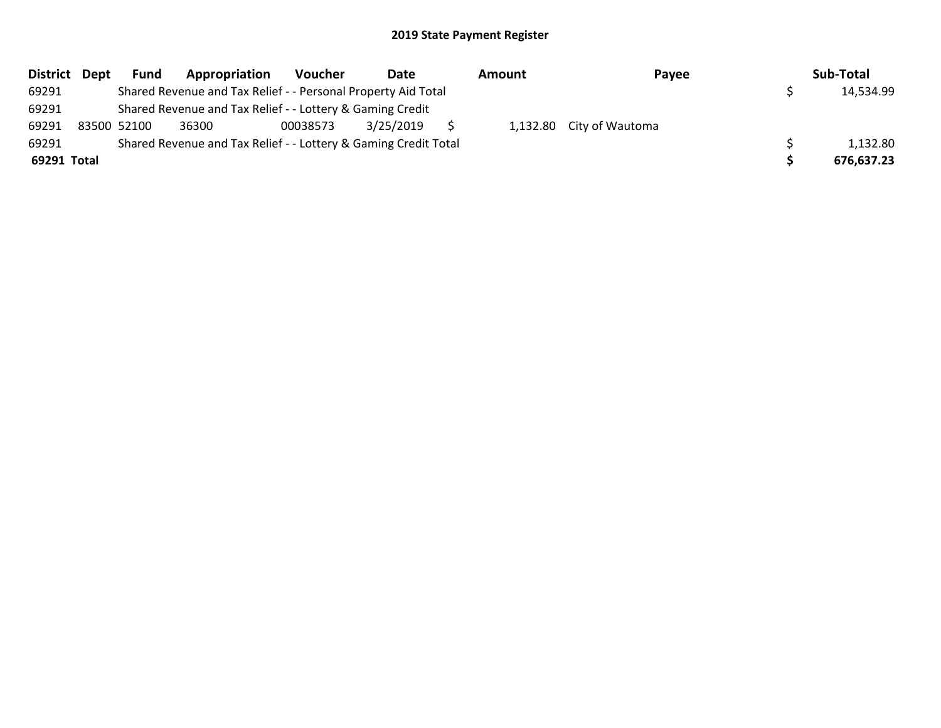|             | District Dept | Fund        | Appropriation                                                   | Voucher  | Date      | Amount | Payee                    | Sub-Total  |
|-------------|---------------|-------------|-----------------------------------------------------------------|----------|-----------|--------|--------------------------|------------|
| 69291       |               |             | Shared Revenue and Tax Relief - - Personal Property Aid Total   |          |           |        |                          | 14,534.99  |
| 69291       |               |             | Shared Revenue and Tax Relief - - Lottery & Gaming Credit       |          |           |        |                          |            |
| 69291       |               | 83500 52100 | 36300                                                           | 00038573 | 3/25/2019 |        | 1,132.80 City of Wautoma |            |
| 69291       |               |             | Shared Revenue and Tax Relief - - Lottery & Gaming Credit Total |          |           |        |                          | 1,132.80   |
| 69291 Total |               |             |                                                                 |          |           |        |                          | 676,637.23 |